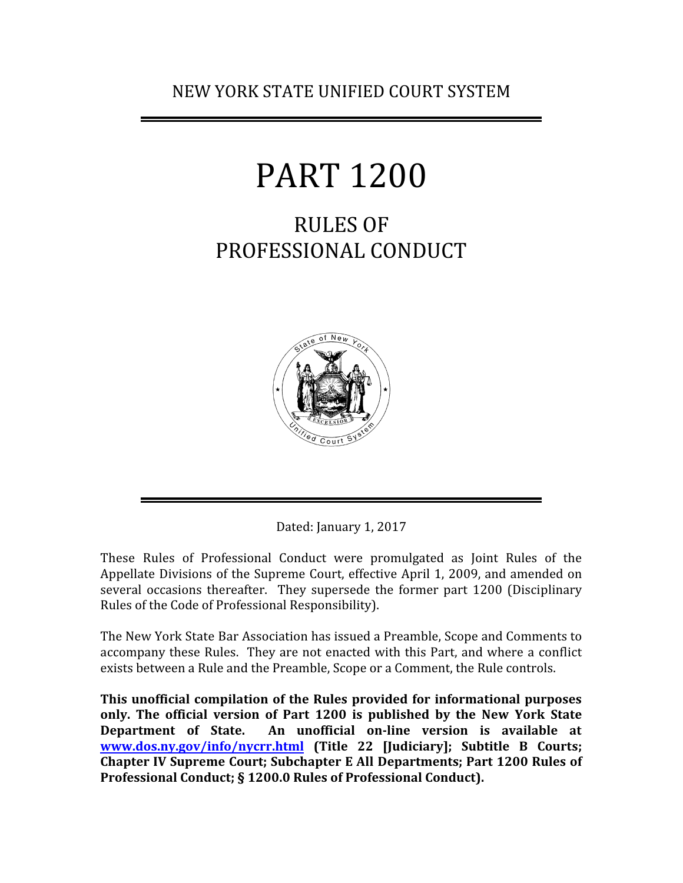# NEW YORK STATE UNIFIED COURT SYSTEM

# PART 1200

# RULES OF PROFESSIONAL CONDUCT



Dated: January 1, 2017

These Rules of Professional Conduct were promulgated as Joint Rules of the Appellate Divisions of the Supreme Court, effective April 1, 2009, and amended on several occasions thereafter. They supersede the former part 1200 (Disciplinary Rules of the Code of Professional Responsibility).

The New York State Bar Association has issued a Preamble, Scope and Comments to accompany these Rules. They are not enacted with this Part, and where a conflict exists between a Rule and the Preamble, Scope or a Comment, the Rule controls.

**This unofficial compilation of the Rules provided for informational purposes only. The official version of Part 1200 is published by the New York State Department of State. An unofficial on-line version is available at [www.dos.ny.gov/info/nycrr.html](http://www.dos.ny.gov/info/nycrr.html) (Title 22 [Judiciary]; Subtitle B Courts; Chapter IV Supreme Court; Subchapter E All Departments; Part 1200 Rules of Professional Conduct; § 1200.0 Rules of Professional Conduct).**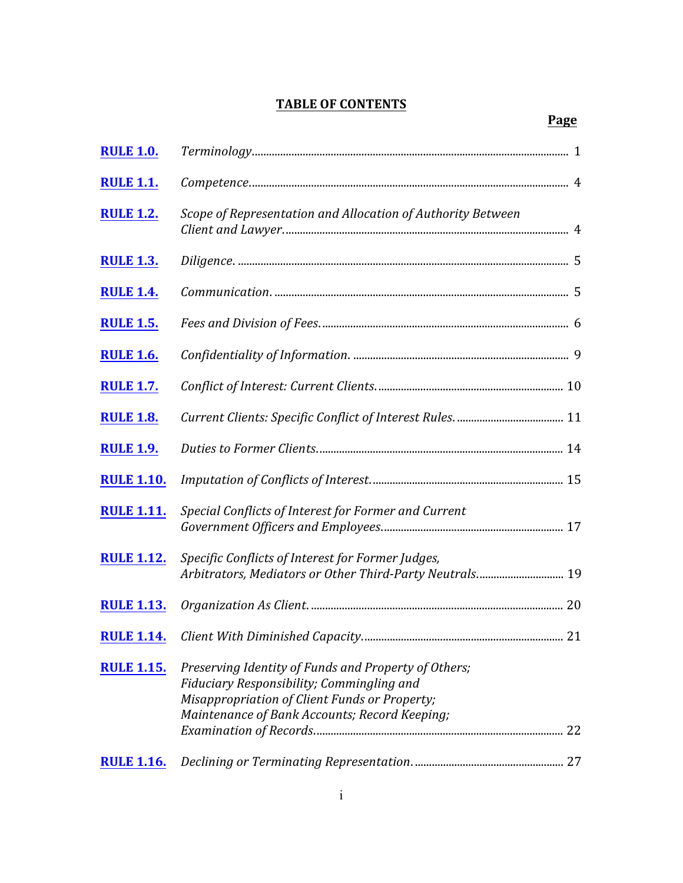# **TABLE OF CONTENTS**

| <b>RULE 1.0.</b>  |                                                                                                                                                                                                     |
|-------------------|-----------------------------------------------------------------------------------------------------------------------------------------------------------------------------------------------------|
| <b>RULE 1.1.</b>  |                                                                                                                                                                                                     |
| <b>RULE 1.2.</b>  | Scope of Representation and Allocation of Authority Between                                                                                                                                         |
| <b>RULE 1.3.</b>  |                                                                                                                                                                                                     |
| <b>RULE 1.4.</b>  |                                                                                                                                                                                                     |
| <b>RULE 1.5.</b>  |                                                                                                                                                                                                     |
| <b>RULE 1.6.</b>  |                                                                                                                                                                                                     |
| <b>RULE 1.7.</b>  |                                                                                                                                                                                                     |
| <b>RULE 1.8.</b>  |                                                                                                                                                                                                     |
| <b>RULE 1.9.</b>  |                                                                                                                                                                                                     |
| <b>RULE 1.10.</b> |                                                                                                                                                                                                     |
| <b>RULE 1.11.</b> | Special Conflicts of Interest for Former and Current                                                                                                                                                |
| <b>RULE 1.12.</b> | Specific Conflicts of Interest for Former Judges,<br>Arbitrators, Mediators or Other Third-Party Neutrals 19                                                                                        |
| <b>RULE 1.13.</b> |                                                                                                                                                                                                     |
| <b>RULE 1.14.</b> |                                                                                                                                                                                                     |
| <b>RULE 1.15.</b> | Preserving Identity of Funds and Property of Others;<br>Fiduciary Responsibility; Commingling and<br>Misappropriation of Client Funds or Property;<br>Maintenance of Bank Accounts; Record Keeping; |
| <b>RULE 1.16.</b> |                                                                                                                                                                                                     |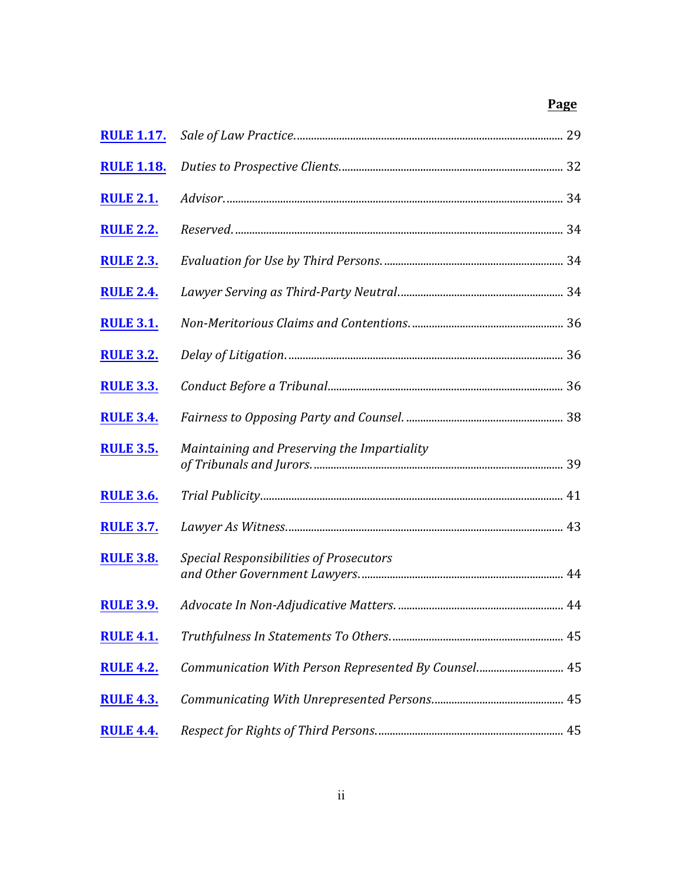# **Page**

| <b>RULE 1.17.</b> |                                                     |  |
|-------------------|-----------------------------------------------------|--|
| <b>RULE 1.18.</b> |                                                     |  |
| <b>RULE 2.1.</b>  |                                                     |  |
| <b>RULE 2.2.</b>  |                                                     |  |
| <b>RULE 2.3.</b>  |                                                     |  |
| <b>RULE 2.4.</b>  |                                                     |  |
| <b>RULE 3.1.</b>  |                                                     |  |
| <b>RULE 3.2.</b>  |                                                     |  |
| <b>RULE 3.3.</b>  |                                                     |  |
| <b>RULE 3.4.</b>  |                                                     |  |
| <b>RULE 3.5.</b>  | Maintaining and Preserving the Impartiality         |  |
| <b>RULE 3.6.</b>  |                                                     |  |
| <b>RULE 3.7.</b>  |                                                     |  |
| <b>RULE 3.8.</b>  | <b>Special Responsibilities of Prosecutors</b>      |  |
| <b>RULE 3.9.</b>  |                                                     |  |
| <b>RULE 4.1.</b>  |                                                     |  |
| <b>RULE 4.2.</b>  | Communication With Person Represented By Counsel 45 |  |
| <b>RULE 4.3.</b>  |                                                     |  |
| <b>RULE 4.4.</b>  |                                                     |  |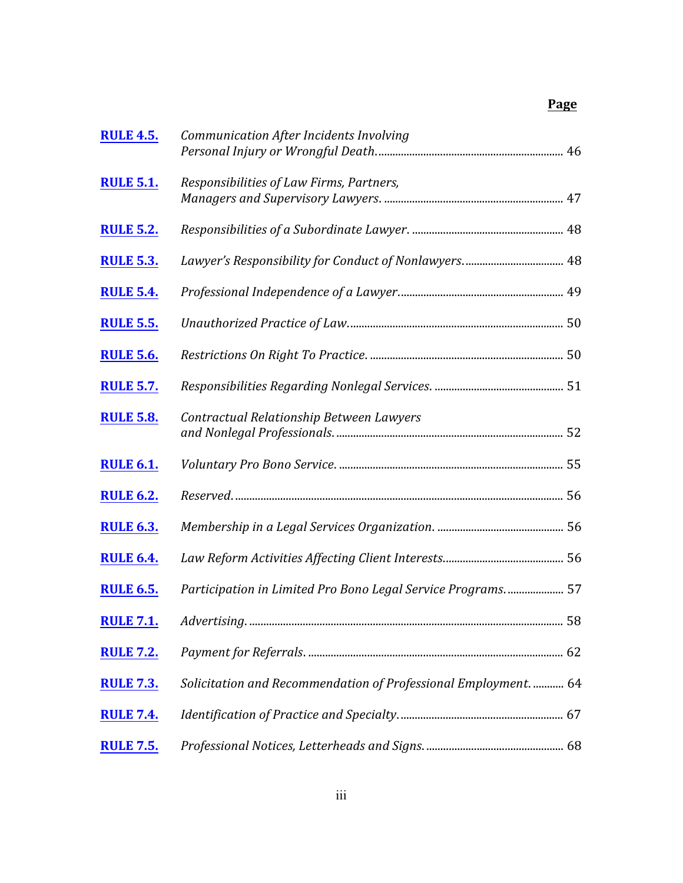# **Page**

| <b>RULE 4.5.</b> | Communication After Incidents Involving                       |  |
|------------------|---------------------------------------------------------------|--|
|                  |                                                               |  |
| <b>RULE 5.1.</b> | Responsibilities of Law Firms, Partners,                      |  |
| <b>RULE 5.2.</b> |                                                               |  |
| <b>RULE 5.3.</b> |                                                               |  |
| <b>RULE 5.4.</b> |                                                               |  |
| <b>RULE 5.5.</b> |                                                               |  |
| <b>RULE 5.6.</b> |                                                               |  |
| <b>RULE 5.7.</b> |                                                               |  |
| <b>RULE 5.8.</b> | Contractual Relationship Between Lawyers                      |  |
| <b>RULE 6.1.</b> |                                                               |  |
| <b>RULE 6.2.</b> |                                                               |  |
| <b>RULE 6.3.</b> |                                                               |  |
| <b>RULE 6.4.</b> |                                                               |  |
| <b>RULE 6.5.</b> | Participation in Limited Pro Bono Legal Service Programs.  57 |  |
| <b>RULE 7.1.</b> |                                                               |  |
| <b>RULE 7.2.</b> |                                                               |  |
| <b>RULE 7.3.</b> | Solicitation and Recommendation of Professional Employment 64 |  |
| <b>RULE 7.4.</b> |                                                               |  |
| <b>RULE 7.5.</b> |                                                               |  |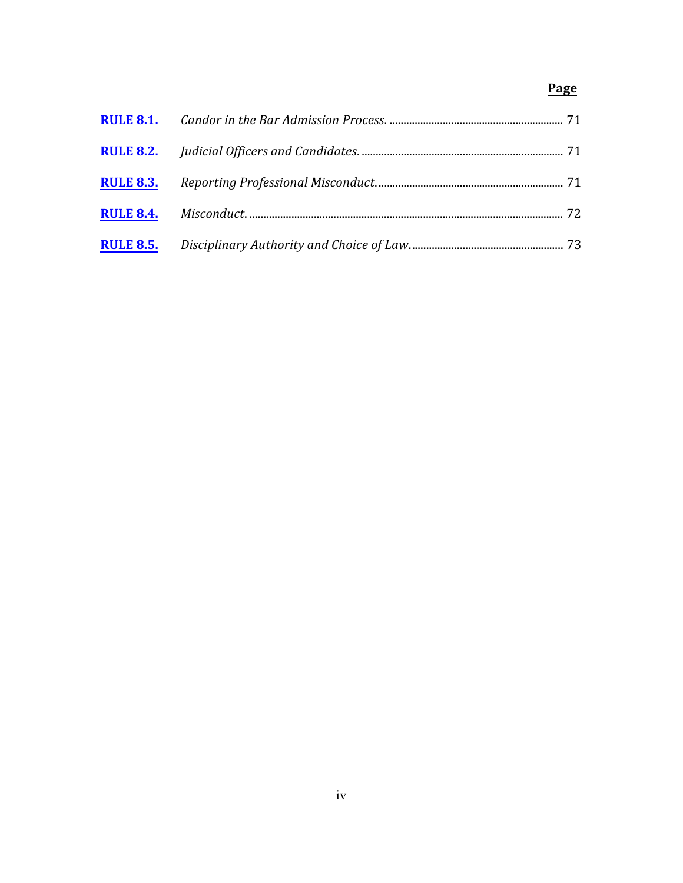# **Page**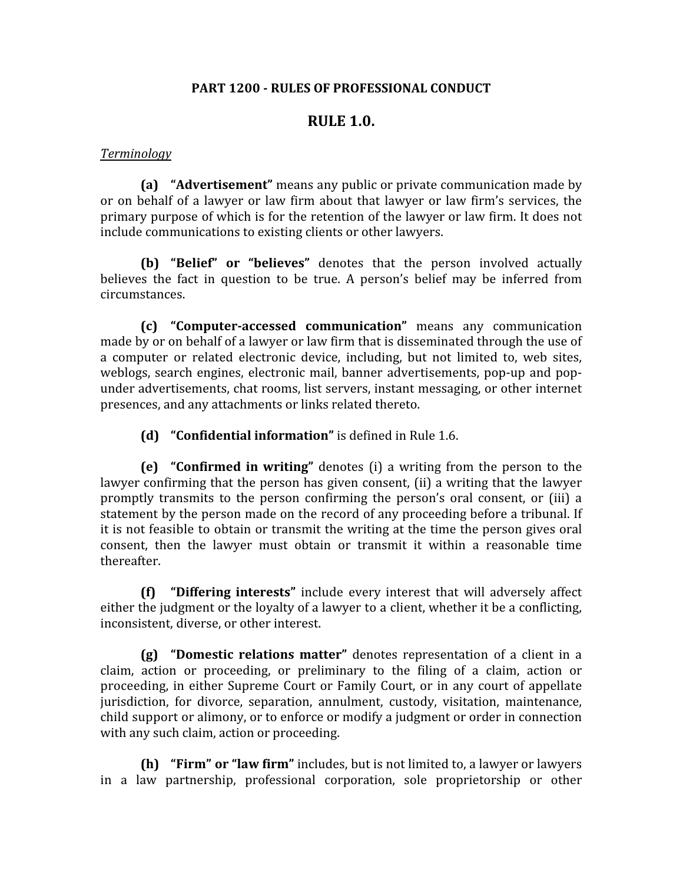#### **PART 1200 - RULES OF PROFESSIONAL CONDUCT**

# <span id="page-5-0"></span>**RULE 1.0.**

#### *Terminology*

**(a) "Advertisement"** means any public or private communication made by or on behalf of a lawyer or law firm about that lawyer or law firm's services, the primary purpose of which is for the retention of the lawyer or law firm. It does not include communications to existing clients or other lawyers.

**(b) "Belief" or "believes"** denotes that the person involved actually believes the fact in question to be true. A person's belief may be inferred from circumstances.

**(c) "Computer-accessed communication"** means any communication made by or on behalf of a lawyer or law firm that is disseminated through the use of a computer or related electronic device, including, but not limited to, web sites, weblogs, search engines, electronic mail, banner advertisements, pop-up and popunder advertisements, chat rooms, list servers, instant messaging, or other internet presences, and any attachments or links related thereto.

**(d) "Confidential information"** is defined in Rule 1.6.

**(e) "Confirmed in writing"** denotes (i) a writing from the person to the lawyer confirming that the person has given consent, (ii) a writing that the lawyer promptly transmits to the person confirming the person's oral consent, or (iii) a statement by the person made on the record of any proceeding before a tribunal. If it is not feasible to obtain or transmit the writing at the time the person gives oral consent, then the lawyer must obtain or transmit it within a reasonable time thereafter.

**(f) "Differing interests"** include every interest that will adversely affect either the judgment or the loyalty of a lawyer to a client, whether it be a conflicting, inconsistent, diverse, or other interest.

**(g) "Domestic relations matter"** denotes representation of a client in a claim, action or proceeding, or preliminary to the filing of a claim, action or proceeding, in either Supreme Court or Family Court, or in any court of appellate jurisdiction, for divorce, separation, annulment, custody, visitation, maintenance, child support or alimony, or to enforce or modify a judgment or order in connection with any such claim, action or proceeding.

**(h) "Firm" or "law firm"** includes, but is not limited to, a lawyer or lawyers in a law partnership, professional corporation, sole proprietorship or other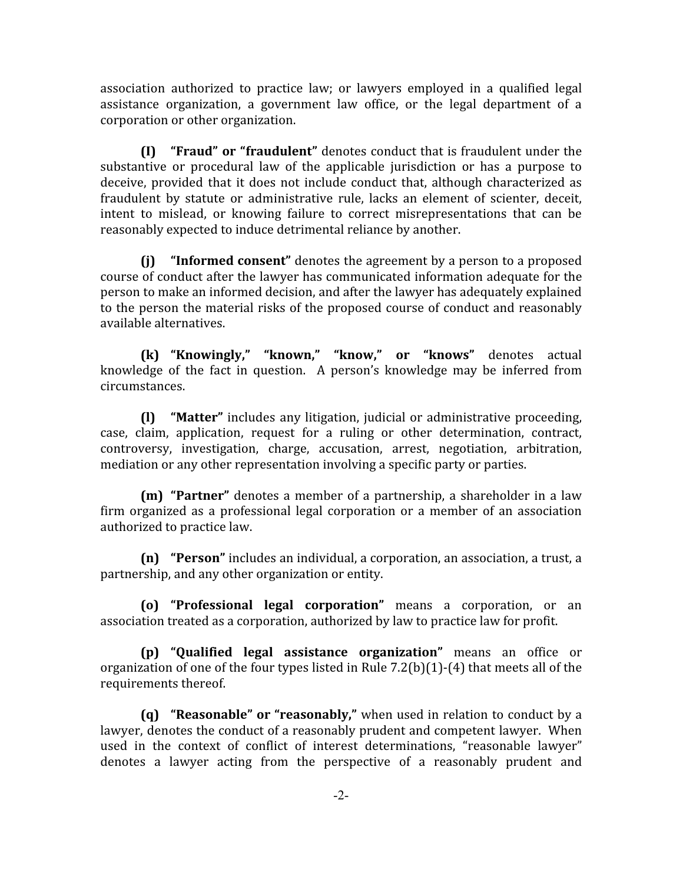association authorized to practice law; or lawyers employed in a qualified legal assistance organization, a government law office, or the legal department of a corporation or other organization.

**(I) "Fraud" or "fraudulent"** denotes conduct that is fraudulent under the substantive or procedural law of the applicable jurisdiction or has a purpose to deceive, provided that it does not include conduct that, although characterized as fraudulent by statute or administrative rule, lacks an element of scienter, deceit, intent to mislead, or knowing failure to correct misrepresentations that can be reasonably expected to induce detrimental reliance by another.

**(j) "Informed consent"** denotes the agreement by a person to a proposed course of conduct after the lawyer has communicated information adequate for the person to make an informed decision, and after the lawyer has adequately explained to the person the material risks of the proposed course of conduct and reasonably available alternatives.

**(k) "Knowingly," "known," "know," or "knows"** denotes actual knowledge of the fact in question. A person's knowledge may be inferred from circumstances.

**(l) "Matter"** includes any litigation, judicial or administrative proceeding, case, claim, application, request for a ruling or other determination, contract, controversy, investigation, charge, accusation, arrest, negotiation, arbitration, mediation or any other representation involving a specific party or parties.

**(m) "Partner"** denotes a member of a partnership, a shareholder in a law firm organized as a professional legal corporation or a member of an association authorized to practice law.

**(n) "Person"** includes an individual, a corporation, an association, a trust, a partnership, and any other organization or entity.

**(o) "Professional legal corporation"** means a corporation, or an association treated as a corporation, authorized by law to practice law for profit.

**(p) "Qualified legal assistance organization"** means an office or organization of one of the four types listed in Rule 7.2(b)(1)-(4) that meets all of the requirements thereof.

**(q) "Reasonable" or "reasonably,"** when used in relation to conduct by a lawyer, denotes the conduct of a reasonably prudent and competent lawyer. When used in the context of conflict of interest determinations, "reasonable lawyer" denotes a lawyer acting from the perspective of a reasonably prudent and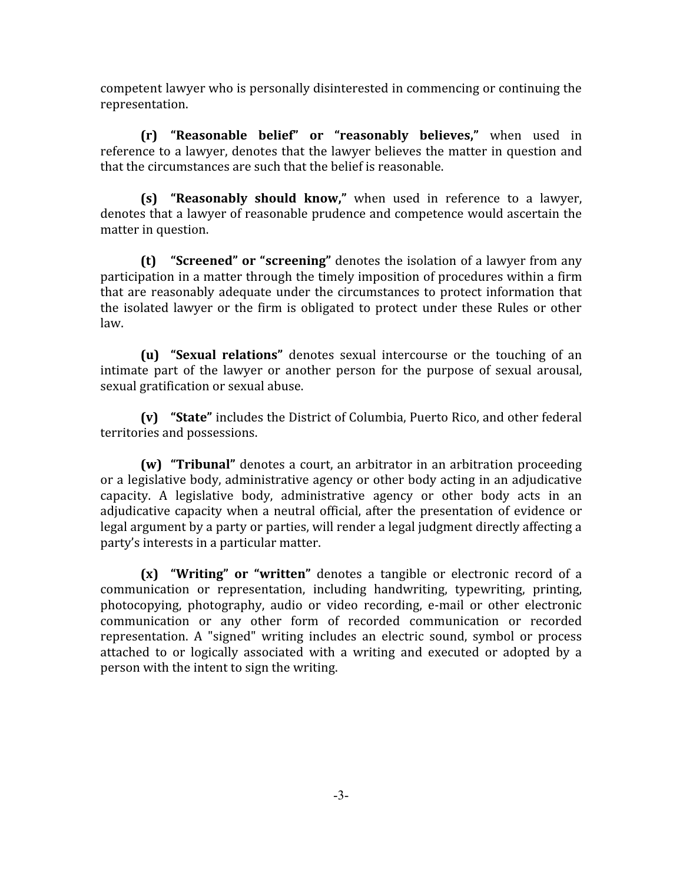competent lawyer who is personally disinterested in commencing or continuing the representation.

**(r) "Reasonable belief" or "reasonably believes,"** when used in reference to a lawyer, denotes that the lawyer believes the matter in question and that the circumstances are such that the belief is reasonable.

**(s) "Reasonably should know,"** when used in reference to a lawyer, denotes that a lawyer of reasonable prudence and competence would ascertain the matter in question.

**(t) "Screened" or "screening"** denotes the isolation of a lawyer from any participation in a matter through the timely imposition of procedures within a firm that are reasonably adequate under the circumstances to protect information that the isolated lawyer or the firm is obligated to protect under these Rules or other law.

**(u) "Sexual relations"** denotes sexual intercourse or the touching of an intimate part of the lawyer or another person for the purpose of sexual arousal, sexual gratification or sexual abuse.

**(v) "State"** includes the District of Columbia, Puerto Rico, and other federal territories and possessions.

**(w) "Tribunal"** denotes a court, an arbitrator in an arbitration proceeding or a legislative body, administrative agency or other body acting in an adjudicative capacity. A legislative body, administrative agency or other body acts in an adjudicative capacity when a neutral official, after the presentation of evidence or legal argument by a party or parties, will render a legal judgment directly affecting a party's interests in a particular matter.

**(x) "Writing" or "written"** denotes a tangible or electronic record of a communication or representation, including handwriting, typewriting, printing, photocopying, photography, audio or video recording, e-mail or other electronic communication or any other form of recorded communication or recorded representation. A "signed" writing includes an electric sound, symbol or process attached to or logically associated with a writing and executed or adopted by a person with the intent to sign the writing.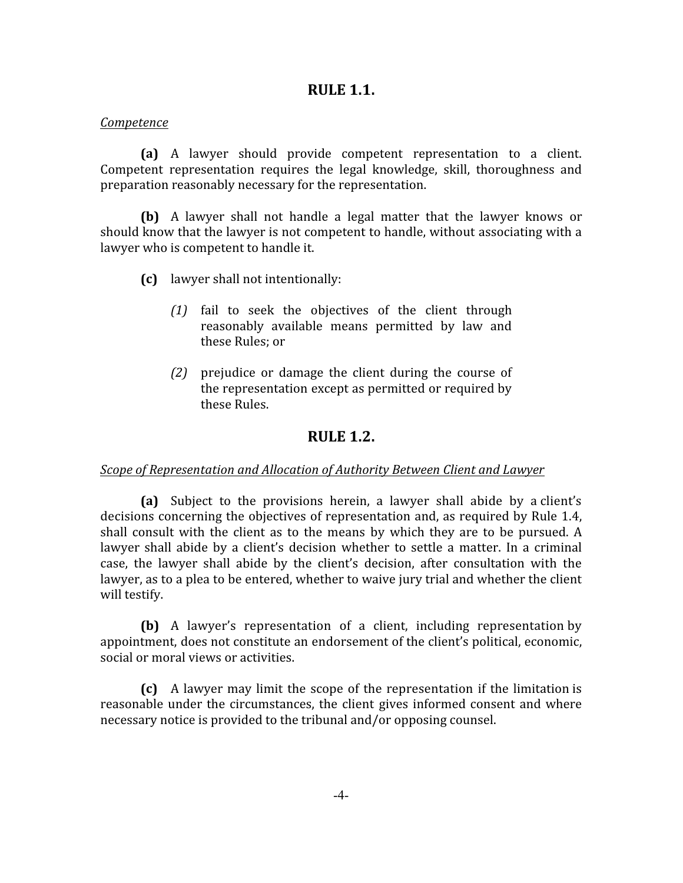# <span id="page-8-0"></span>**RULE 1.1.**

#### *Competence*

**(a)** A lawyer should provide competent representation to a client. Competent representation requires the legal knowledge, skill, thoroughness and preparation reasonably necessary for the representation.

**(b)** A lawyer shall not handle a legal matter that the lawyer knows or should know that the lawyer is not competent to handle, without associating with a lawyer who is competent to handle it.

- **(c)** lawyer shall not intentionally:
	- *(1)* fail to seek the objectives of the client through reasonably available means permitted by law and these Rules; or
	- *(2)* prejudice or damage the client during the course of the representation except as permitted or required by these Rules.

# <span id="page-8-1"></span>**RULE 1.2.**

#### *Scope of Representation and Allocation of Authority Between Client and Lawyer*

**(a)** Subject to the provisions herein, a lawyer shall abide by a client's decisions concerning the objectives of representation and, as required by Rule 1.4, shall consult with the client as to the means by which they are to be pursued. A lawyer shall abide by a client's decision whether to settle a matter. In a criminal case, the lawyer shall abide by the client's decision, after consultation with the lawyer, as to a plea to be entered, whether to waive jury trial and whether the client will testify.

**(b)** A lawyer's representation of a client, including representation by appointment, does not constitute an endorsement of the client's political, economic, social or moral views or activities.

**(c)** A lawyer may limit the scope of the representation if the limitation is reasonable under the circumstances, the client gives informed consent and where necessary notice is provided to the tribunal and/or opposing counsel.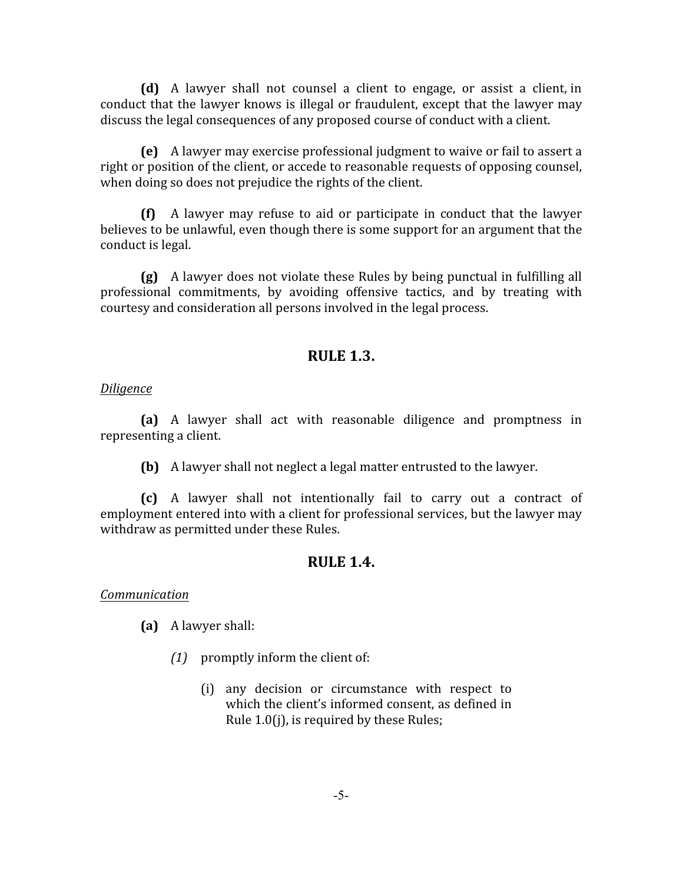**(d)** A lawyer shall not counsel a client to engage, or assist a client, in conduct that the lawyer knows is illegal or fraudulent, except that the lawyer may discuss the legal consequences of any proposed course of conduct with a client.

**(e)** A lawyer may exercise professional judgment to waive or fail to assert a right or position of the client, or accede to reasonable requests of opposing counsel, when doing so does not prejudice the rights of the client.

**(f)** A lawyer may refuse to aid or participate in conduct that the lawyer believes to be unlawful, even though there is some support for an argument that the conduct is legal.

**(g)** A lawyer does not violate these Rules by being punctual in fulfilling all professional commitments, by avoiding offensive tactics, and by treating with courtesy and consideration all persons involved in the legal process.

# <span id="page-9-0"></span>**RULE 1.3.**

#### *Diligence*

**(a)** A lawyer shall act with reasonable diligence and promptness in representing a client.

**(b)** A lawyer shall not neglect a legal matter entrusted to the lawyer.

**(c)** A lawyer shall not intentionally fail to carry out a contract of employment entered into with a client for professional services, but the lawyer may withdraw as permitted under these Rules.

# <span id="page-9-1"></span>**RULE 1.4.**

*Communication*

**(a)** A lawyer shall:

- *(1)* promptly inform the client of:
	- (i) any decision or circumstance with respect to which the client's informed consent, as defined in Rule 1.0(j), is required by these Rules;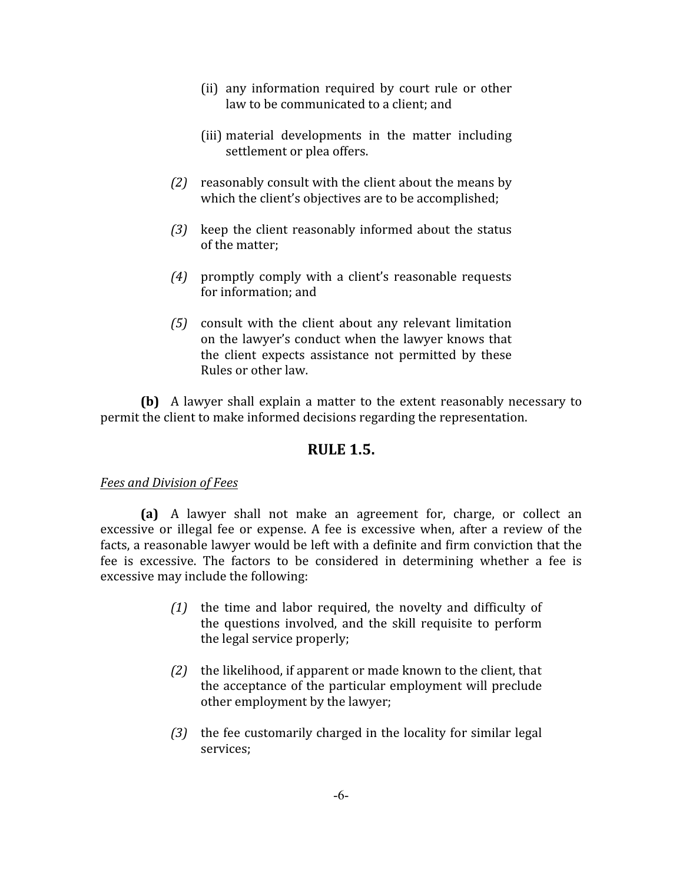- (ii) any information required by court rule or other law to be communicated to a client; and
- (iii) material developments in the matter including settlement or plea offers.
- *(2)* reasonably consult with the client about the means by which the client's objectives are to be accomplished;
- *(3)* keep the client reasonably informed about the status of the matter;
- *(4)* promptly comply with a client's reasonable requests for information; and
- *(5)* consult with the client about any relevant limitation on the lawyer's conduct when the lawyer knows that the client expects assistance not permitted by these Rules or other law.

**(b)** A lawyer shall explain a matter to the extent reasonably necessary to permit the client to make informed decisions regarding the representation.

# <span id="page-10-0"></span>**RULE 1.5.**

#### *Fees and Division of Fees*

**(a)** A lawyer shall not make an agreement for, charge, or collect an excessive or illegal fee or expense. A fee is excessive when, after a review of the facts, a reasonable lawyer would be left with a definite and firm conviction that the fee is excessive. The factors to be considered in determining whether a fee is excessive may include the following:

- *(1)* the time and labor required, the novelty and difficulty of the questions involved, and the skill requisite to perform the legal service properly;
- *(2)* the likelihood, if apparent or made known to the client, that the acceptance of the particular employment will preclude other employment by the lawyer;
- *(3)* the fee customarily charged in the locality for similar legal services;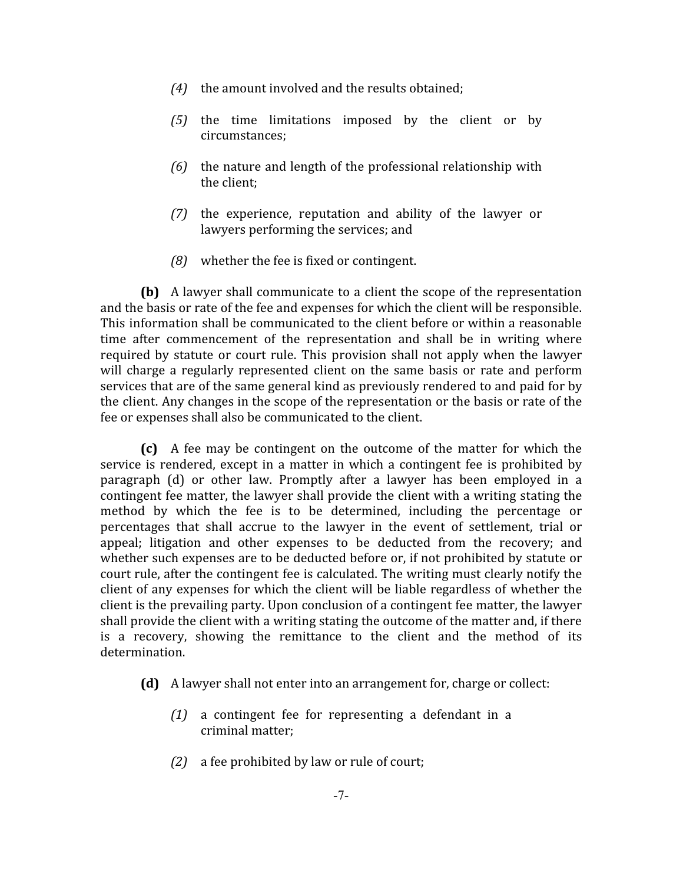- *(4)* the amount involved and the results obtained;
- *(5)* the time limitations imposed by the client or by circumstances;
- *(6)* the nature and length of the professional relationship with the client;
- *(7)* the experience, reputation and ability of the lawyer or lawyers performing the services; and
- *(8)* whether the fee is fixed or contingent.

**(b)** A lawyer shall communicate to a client the scope of the representation and the basis or rate of the fee and expenses for which the client will be responsible. This information shall be communicated to the client before or within a reasonable time after commencement of the representation and shall be in writing where required by statute or court rule. This provision shall not apply when the lawyer will charge a regularly represented client on the same basis or rate and perform services that are of the same general kind as previously rendered to and paid for by the client. Any changes in the scope of the representation or the basis or rate of the fee or expenses shall also be communicated to the client.

**(c)** A fee may be contingent on the outcome of the matter for which the service is rendered, except in a matter in which a contingent fee is prohibited by paragraph (d) or other law. Promptly after a lawyer has been employed in a contingent fee matter, the lawyer shall provide the client with a writing stating the method by which the fee is to be determined, including the percentage or percentages that shall accrue to the lawyer in the event of settlement, trial or appeal; litigation and other expenses to be deducted from the recovery; and whether such expenses are to be deducted before or, if not prohibited by statute or court rule, after the contingent fee is calculated. The writing must clearly notify the client of any expenses for which the client will be liable regardless of whether the client is the prevailing party. Upon conclusion of a contingent fee matter, the lawyer shall provide the client with a writing stating the outcome of the matter and, if there is a recovery, showing the remittance to the client and the method of its determination.

- **(d)** A lawyer shall not enter into an arrangement for, charge or collect:
	- *(1)* a contingent fee for representing a defendant in a criminal matter;
	- *(2)* a fee prohibited by law or rule of court;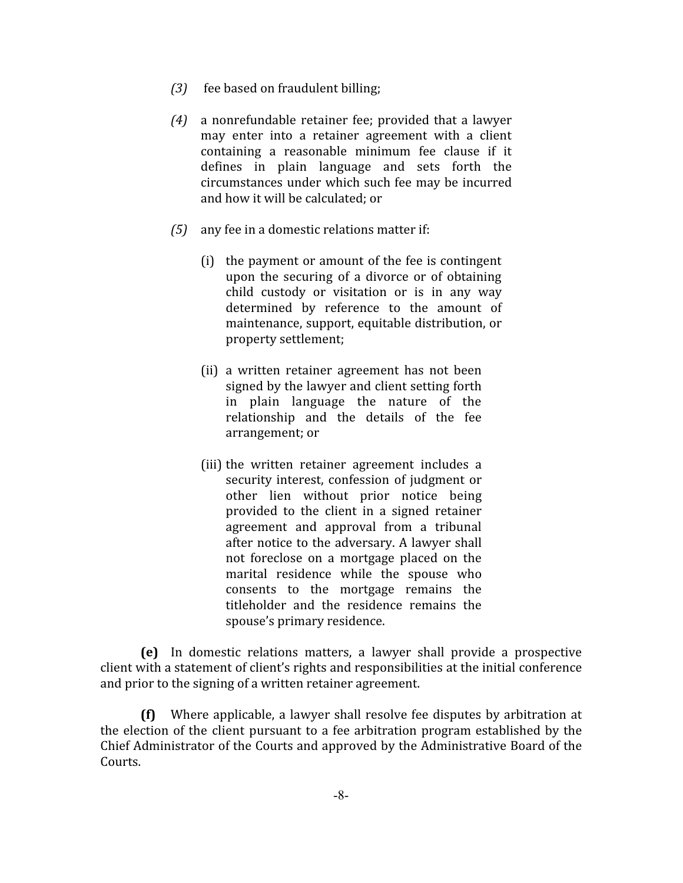- *(3)* fee based on fraudulent billing;
- *(4)* a nonrefundable retainer fee; provided that a lawyer may enter into a retainer agreement with a client containing a reasonable minimum fee clause if it defines in plain language and sets forth the circumstances under which such fee may be incurred and how it will be calculated; or
- *(5)* any fee in a domestic relations matter if:
	- (i) the payment or amount of the fee is contingent upon the securing of a divorce or of obtaining child custody or visitation or is in any way determined by reference to the amount of maintenance, support, equitable distribution, or property settlement;
	- (ii) a written retainer agreement has not been signed by the lawyer and client setting forth in plain language the nature of the relationship and the details of the fee arrangement; or
	- (iii) the written retainer agreement includes a security interest, confession of judgment or other lien without prior notice being provided to the client in a signed retainer agreement and approval from a tribunal after notice to the adversary. A lawyer shall not foreclose on a mortgage placed on the marital residence while the spouse who consents to the mortgage remains the titleholder and the residence remains the spouse's primary residence.

**(e)** In domestic relations matters, a lawyer shall provide a prospective client with a statement of client's rights and responsibilities at the initial conference and prior to the signing of a written retainer agreement.

**(f)** Where applicable, a lawyer shall resolve fee disputes by arbitration at the election of the client pursuant to a fee arbitration program established by the Chief Administrator of the Courts and approved by the Administrative Board of the Courts.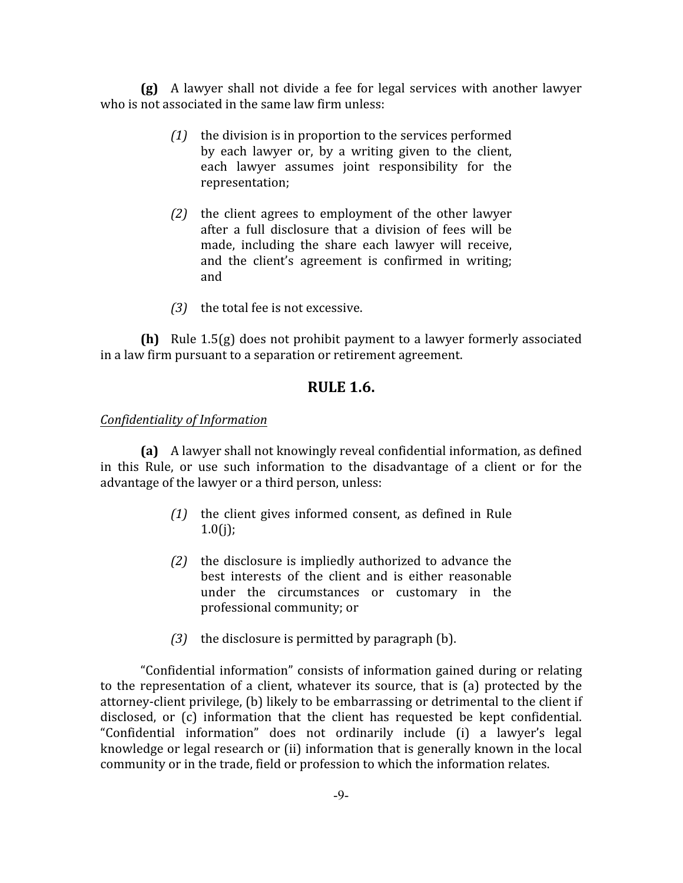**(g)** A lawyer shall not divide a fee for legal services with another lawyer who is not associated in the same law firm unless:

- *(1)* the division is in proportion to the services performed by each lawyer or, by a writing given to the client, each lawyer assumes joint responsibility for the representation;
- *(2)* the client agrees to employment of the other lawyer after a full disclosure that a division of fees will be made, including the share each lawyer will receive, and the client's agreement is confirmed in writing; and
- *(3)* the total fee is not excessive.

**(h)** Rule 1.5(g) does not prohibit payment to a lawyer formerly associated in a law firm pursuant to a separation or retirement agreement.

#### <span id="page-13-0"></span>**RULE 1.6.**

#### *Confidentiality of Information*

**(a)** A lawyer shall not knowingly reveal confidential information, as defined in this Rule, or use such information to the disadvantage of a client or for the advantage of the lawyer or a third person, unless:

- *(1)* the client gives informed consent, as defined in Rule  $1.0(i)$ ;
- *(2)* the disclosure is impliedly authorized to advance the best interests of the client and is either reasonable under the circumstances or customary in the professional community; or
- *(3)* the disclosure is permitted by paragraph (b).

"Confidential information" consists of information gained during or relating to the representation of a client, whatever its source, that is (a) protected by the attorney-client privilege, (b) likely to be embarrassing or detrimental to the client if disclosed, or (c) information that the client has requested be kept confidential. "Confidential information" does not ordinarily include (i) a lawyer's legal knowledge or legal research or (ii) information that is generally known in the local community or in the trade, field or profession to which the information relates.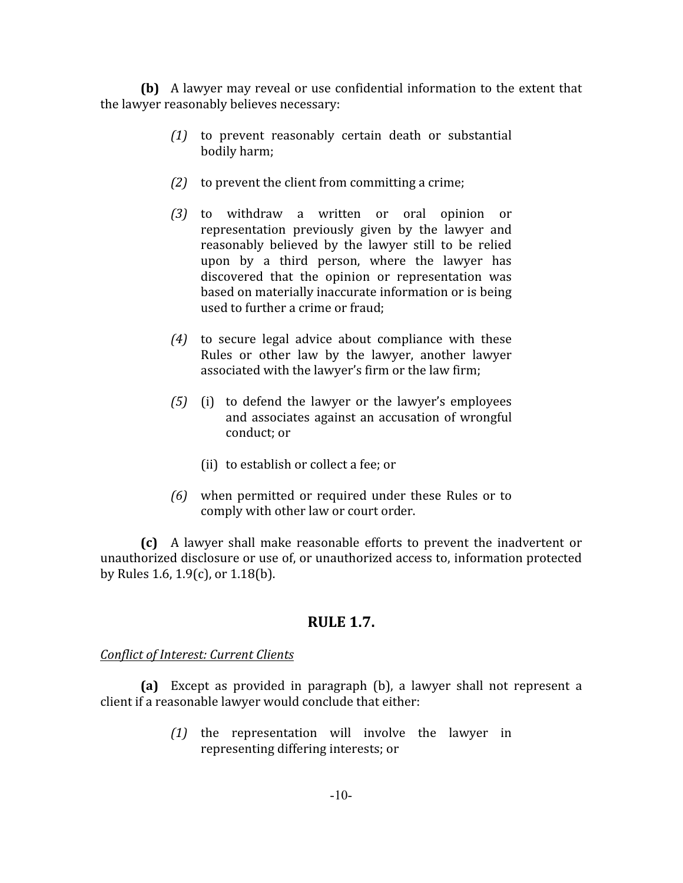**(b)** A lawyer may reveal or use confidential information to the extent that the lawyer reasonably believes necessary:

- *(1)* to prevent reasonably certain death or substantial bodily harm;
- *(2)* to prevent the client from committing a crime;
- *(3)* to withdraw a written or oral opinion or representation previously given by the lawyer and reasonably believed by the lawyer still to be relied upon by a third person, where the lawyer has discovered that the opinion or representation was based on materially inaccurate information or is being used to further a crime or fraud;
- *(4)* to secure legal advice about compliance with these Rules or other law by the lawyer, another lawyer associated with the lawyer's firm or the law firm;
- *(5)* (i) to defend the lawyer or the lawyer's employees and associates against an accusation of wrongful conduct; or
	- (ii) to establish or collect a fee; or
- *(6)* when permitted or required under these Rules or to comply with other law or court order.

**(c)** A lawyer shall make reasonable efforts to prevent the inadvertent or unauthorized disclosure or use of, or unauthorized access to, information protected by Rules 1.6, 1.9(c), or 1.18(b).

# <span id="page-14-0"></span>**RULE 1.7.**

#### *Conflict of Interest: Current Clients*

**(a)** Except as provided in paragraph (b), a lawyer shall not represent a client if a reasonable lawyer would conclude that either:

> *(1)* the representation will involve the lawyer in representing differing interests; or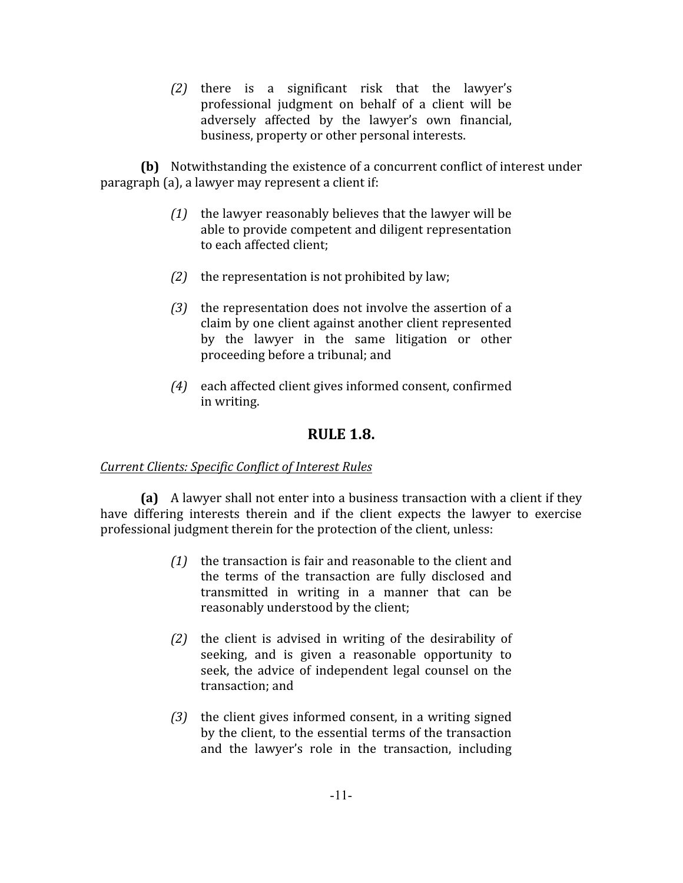*(2)* there is a significant risk that the lawyer's professional judgment on behalf of a client will be adversely affected by the lawyer's own financial, business, property or other personal interests.

**(b)** Notwithstanding the existence of a concurrent conflict of interest under paragraph (a), a lawyer may represent a client if:

- *(1)* the lawyer reasonably believes that the lawyer will be able to provide competent and diligent representation to each affected client;
- *(2)* the representation is not prohibited by law;
- *(3)* the representation does not involve the assertion of a claim by one client against another client represented by the lawyer in the same litigation or other proceeding before a tribunal; and
- *(4)* each affected client gives informed consent, confirmed in writing.

# <span id="page-15-0"></span>**RULE 1.8.**

# *Current Clients: Specific Conflict of Interest Rules*

**(a)** A lawyer shall not enter into a business transaction with a client if they have differing interests therein and if the client expects the lawyer to exercise professional judgment therein for the protection of the client, unless:

- *(1)* the transaction is fair and reasonable to the client and the terms of the transaction are fully disclosed and transmitted in writing in a manner that can be reasonably understood by the client;
- *(2)* the client is advised in writing of the desirability of seeking, and is given a reasonable opportunity to seek, the advice of independent legal counsel on the transaction; and
- *(3)* the client gives informed consent, in a writing signed by the client, to the essential terms of the transaction and the lawyer's role in the transaction, including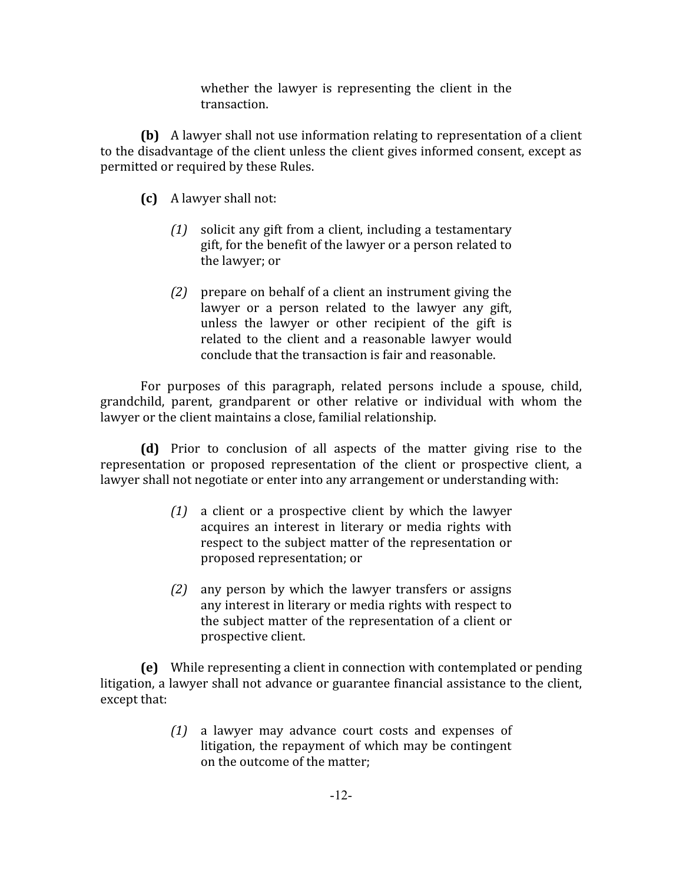whether the lawyer is representing the client in the transaction.

**(b)** A lawyer shall not use information relating to representation of a client to the disadvantage of the client unless the client gives informed consent, except as permitted or required by these Rules.

- **(c)** A lawyer shall not:
	- *(1)* solicit any gift from a client, including a testamentary gift, for the benefit of the lawyer or a person related to the lawyer; or
	- *(2)* prepare on behalf of a client an instrument giving the lawyer or a person related to the lawyer any gift, unless the lawyer or other recipient of the gift is related to the client and a reasonable lawyer would conclude that the transaction is fair and reasonable.

For purposes of this paragraph, related persons include a spouse, child, grandchild, parent, grandparent or other relative or individual with whom the lawyer or the client maintains a close, familial relationship.

**(d)** Prior to conclusion of all aspects of the matter giving rise to the representation or proposed representation of the client or prospective client, a lawyer shall not negotiate or enter into any arrangement or understanding with:

- *(1)* a client or a prospective client by which the lawyer acquires an interest in literary or media rights with respect to the subject matter of the representation or proposed representation; or
- *(2)* any person by which the lawyer transfers or assigns any interest in literary or media rights with respect to the subject matter of the representation of a client or prospective client.

**(e)** While representing a client in connection with contemplated or pending litigation, a lawyer shall not advance or guarantee financial assistance to the client, except that:

> *(1)* a lawyer may advance court costs and expenses of litigation, the repayment of which may be contingent on the outcome of the matter;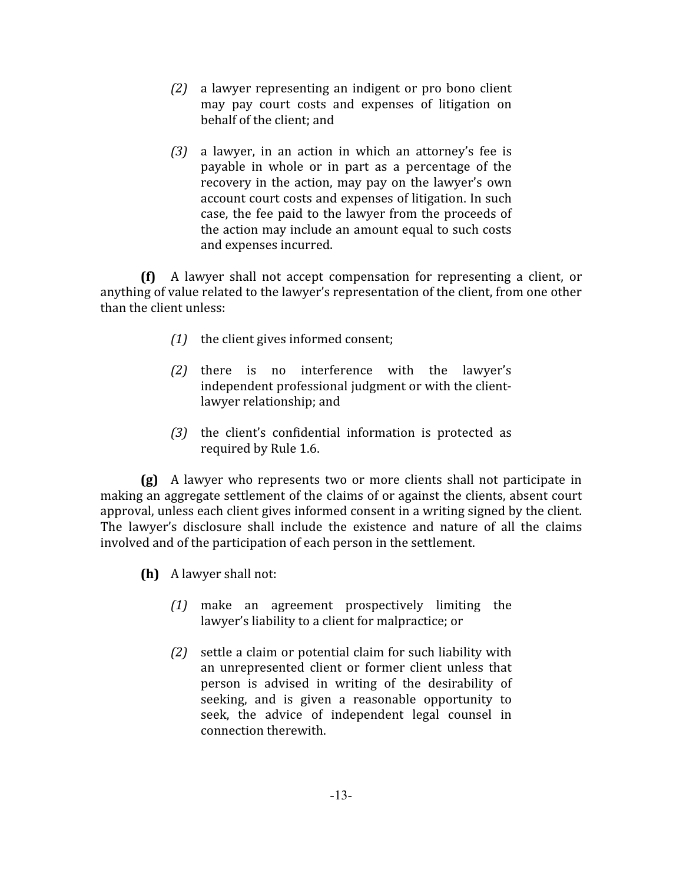- *(2)* a lawyer representing an indigent or pro bono client may pay court costs and expenses of litigation on behalf of the client; and
- *(3)* a lawyer, in an action in which an attorney's fee is payable in whole or in part as a percentage of the recovery in the action, may pay on the lawyer's own account court costs and expenses of litigation. In such case, the fee paid to the lawyer from the proceeds of the action may include an amount equal to such costs and expenses incurred.

**(f)** A lawyer shall not accept compensation for representing a client, or anything of value related to the lawyer's representation of the client, from one other than the client unless:

- *(1)* the client gives informed consent;
- *(2)* there is no interference with the lawyer's independent professional judgment or with the clientlawyer relationship; and
- *(3)* the client's confidential information is protected as required by Rule 1.6.

**(g)** A lawyer who represents two or more clients shall not participate in making an aggregate settlement of the claims of or against the clients, absent court approval, unless each client gives informed consent in a writing signed by the client. The lawyer's disclosure shall include the existence and nature of all the claims involved and of the participation of each person in the settlement.

- **(h)** A lawyer shall not:
	- *(1)* make an agreement prospectively limiting the lawyer's liability to a client for malpractice; or
	- *(2)* settle a claim or potential claim for such liability with an unrepresented client or former client unless that person is advised in writing of the desirability of seeking, and is given a reasonable opportunity to seek, the advice of independent legal counsel in connection therewith.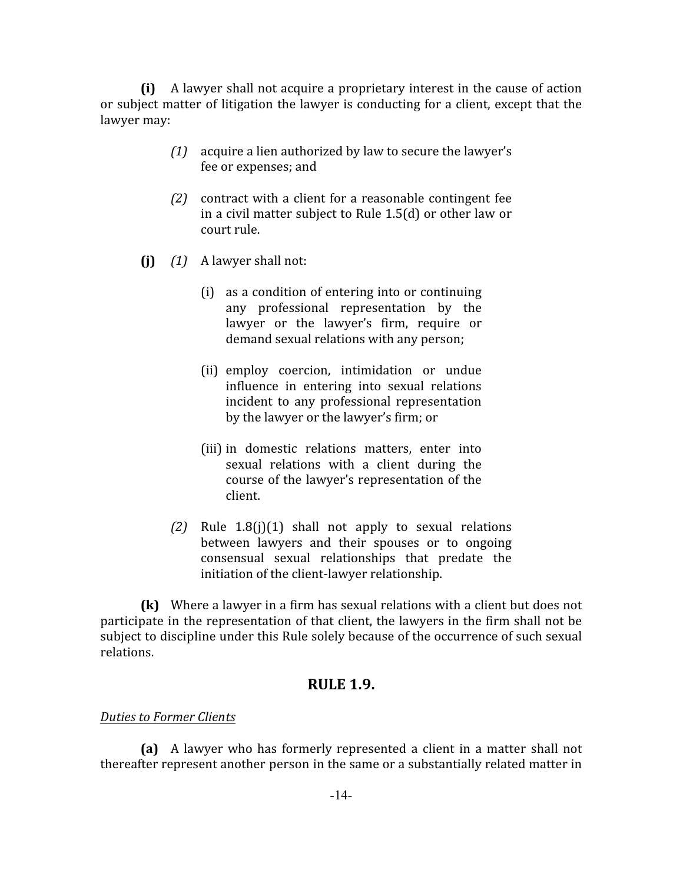**(i)** A lawyer shall not acquire a proprietary interest in the cause of action or subject matter of litigation the lawyer is conducting for a client, except that the lawyer may:

- *(1)* acquire a lien authorized by law to secure the lawyer's fee or expenses; and
- *(2)* contract with a client for a reasonable contingent fee in a civil matter subject to Rule 1.5(d) or other law or court rule.
- **(j)** *(1)* A lawyer shall not:
	- (i) as a condition of entering into or continuing any professional representation by the lawyer or the lawyer's firm, require or demand sexual relations with any person;
	- (ii) employ coercion, intimidation or undue influence in entering into sexual relations incident to any professional representation by the lawyer or the lawyer's firm; or
	- (iii) in domestic relations matters, enter into sexual relations with a client during the course of the lawyer's representation of the client.
	- *(2)* Rule 1.8(j)(1) shall not apply to sexual relations between lawyers and their spouses or to ongoing consensual sexual relationships that predate the initiation of the client-lawyer relationship.

**(k)** Where a lawyer in a firm has sexual relations with a client but does not participate in the representation of that client, the lawyers in the firm shall not be subject to discipline under this Rule solely because of the occurrence of such sexual relations.

# <span id="page-18-0"></span>**RULE 1.9.**

#### *Duties to Former Clients*

**(a)** A lawyer who has formerly represented a client in a matter shall not thereafter represent another person in the same or a substantially related matter in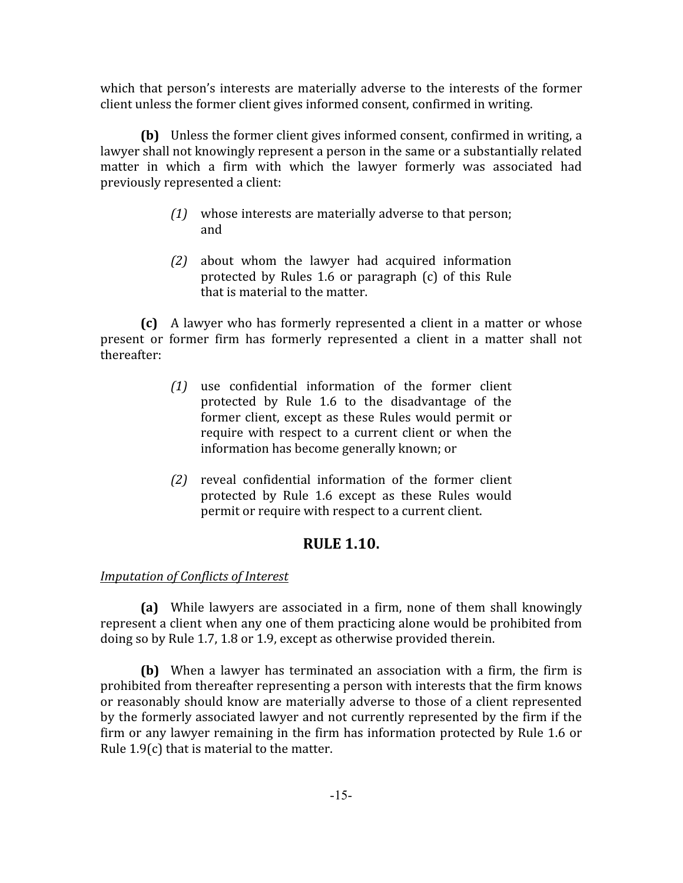which that person's interests are materially adverse to the interests of the former client unless the former client gives informed consent, confirmed in writing.

**(b)** Unless the former client gives informed consent, confirmed in writing, a lawyer shall not knowingly represent a person in the same or a substantially related matter in which a firm with which the lawyer formerly was associated had previously represented a client:

- *(1)* whose interests are materially adverse to that person; and
- *(2)* about whom the lawyer had acquired information protected by Rules 1.6 or paragraph (c) of this Rule that is material to the matter.

**(c)** A lawyer who has formerly represented a client in a matter or whose present or former firm has formerly represented a client in a matter shall not thereafter:

- *(1)* use confidential information of the former client protected by Rule 1.6 to the disadvantage of the former client, except as these Rules would permit or require with respect to a current client or when the information has become generally known; or
- *(2)* reveal confidential information of the former client protected by Rule 1.6 except as these Rules would permit or require with respect to a current client.

# <span id="page-19-0"></span>**RULE 1.10.**

# *Imputation of Conflicts of Interest*

**(a)** While lawyers are associated in a firm, none of them shall knowingly represent a client when any one of them practicing alone would be prohibited from doing so by Rule 1.7, 1.8 or 1.9, except as otherwise provided therein.

**(b)** When a lawyer has terminated an association with a firm, the firm is prohibited from thereafter representing a person with interests that the firm knows or reasonably should know are materially adverse to those of a client represented by the formerly associated lawyer and not currently represented by the firm if the firm or any lawyer remaining in the firm has information protected by Rule 1.6 or Rule 1.9(c) that is material to the matter.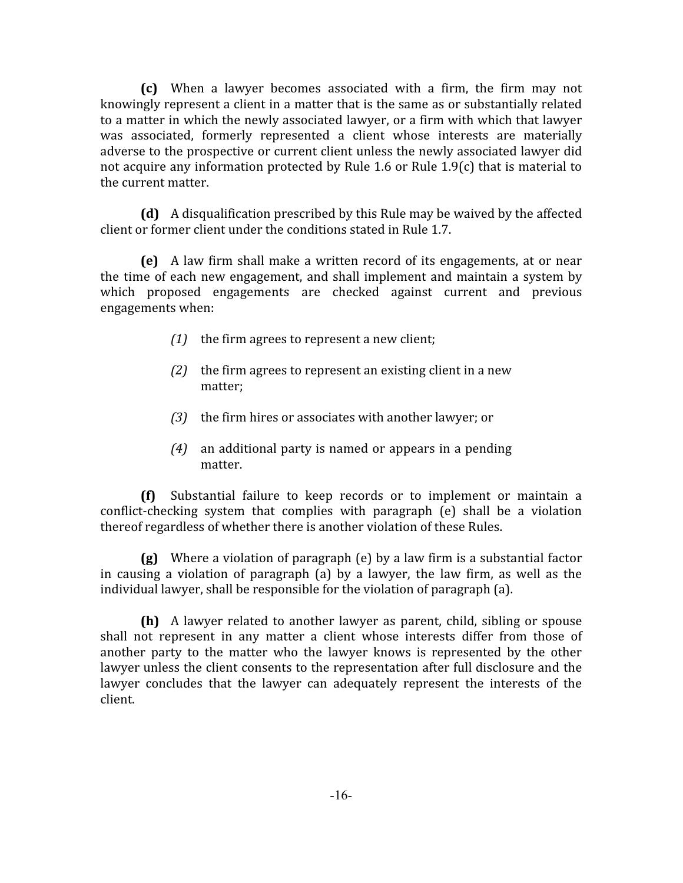**(c)** When a lawyer becomes associated with a firm, the firm may not knowingly represent a client in a matter that is the same as or substantially related to a matter in which the newly associated lawyer, or a firm with which that lawyer was associated, formerly represented a client whose interests are materially adverse to the prospective or current client unless the newly associated lawyer did not acquire any information protected by Rule 1.6 or Rule 1.9(c) that is material to the current matter.

**(d)** A disqualification prescribed by this Rule may be waived by the affected client or former client under the conditions stated in Rule 1.7.

**(e)** A law firm shall make a written record of its engagements, at or near the time of each new engagement, and shall implement and maintain a system by which proposed engagements are checked against current and previous engagements when:

- *(1)* the firm agrees to represent a new client;
- *(2)* the firm agrees to represent an existing client in a new matter;
- *(3)* the firm hires or associates with another lawyer; or
- *(4)* an additional party is named or appears in a pending matter.

**(f)** Substantial failure to keep records or to implement or maintain a conflict-checking system that complies with paragraph (e) shall be a violation thereof regardless of whether there is another violation of these Rules.

**(g)** Where a violation of paragraph (e) by a law firm is a substantial factor in causing a violation of paragraph (a) by a lawyer, the law firm, as well as the individual lawyer, shall be responsible for the violation of paragraph (a).

**(h)** A lawyer related to another lawyer as parent, child, sibling or spouse shall not represent in any matter a client whose interests differ from those of another party to the matter who the lawyer knows is represented by the other lawyer unless the client consents to the representation after full disclosure and the lawyer concludes that the lawyer can adequately represent the interests of the client.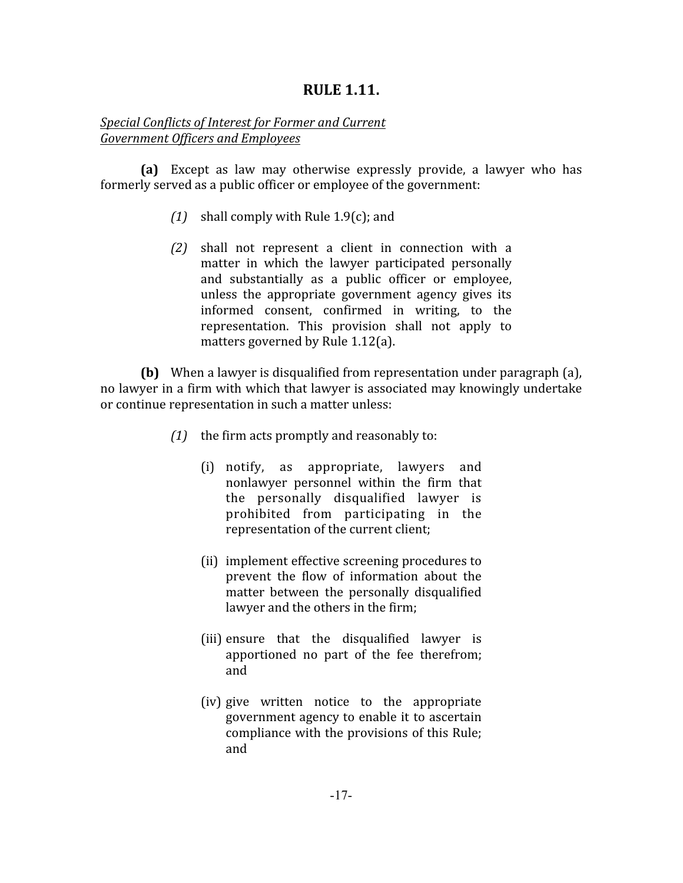# <span id="page-21-0"></span>**RULE 1.11.**

#### *Special Conflicts of Interest for Former and Current Government Officers and Employees*

**(a)** Except as law may otherwise expressly provide, a lawyer who has formerly served as a public officer or employee of the government:

- *(1)* shall comply with Rule 1.9(c); and
- *(2)* shall not represent a client in connection with a matter in which the lawyer participated personally and substantially as a public officer or employee, unless the appropriate government agency gives its informed consent, confirmed in writing, to the representation. This provision shall not apply to matters governed by Rule 1.12(a).

**(b)** When a lawyer is disqualified from representation under paragraph (a), no lawyer in a firm with which that lawyer is associated may knowingly undertake or continue representation in such a matter unless:

- *(1)* the firm acts promptly and reasonably to:
	- (i) notify, as appropriate, lawyers and nonlawyer personnel within the firm that the personally disqualified lawyer is prohibited from participating in the representation of the current client;
	- (ii) implement effective screening procedures to prevent the flow of information about the matter between the personally disqualified lawyer and the others in the firm;
	- (iii) ensure that the disqualified lawyer is apportioned no part of the fee therefrom; and
	- (iv) give written notice to the appropriate government agency to enable it to ascertain compliance with the provisions of this Rule; and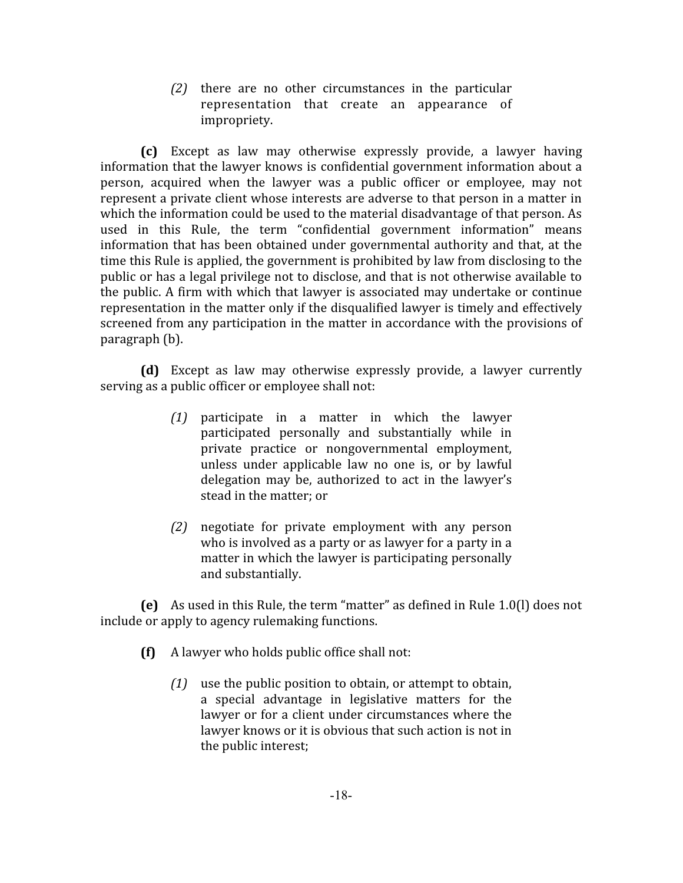*(2)* there are no other circumstances in the particular representation that create an appearance of impropriety.

**(c)** Except as law may otherwise expressly provide, a lawyer having information that the lawyer knows is confidential government information about a person, acquired when the lawyer was a public officer or employee, may not represent a private client whose interests are adverse to that person in a matter in which the information could be used to the material disadvantage of that person. As used in this Rule, the term "confidential government information" means information that has been obtained under governmental authority and that, at the time this Rule is applied, the government is prohibited by law from disclosing to the public or has a legal privilege not to disclose, and that is not otherwise available to the public. A firm with which that lawyer is associated may undertake or continue representation in the matter only if the disqualified lawyer is timely and effectively screened from any participation in the matter in accordance with the provisions of paragraph (b).

**(d)** Except as law may otherwise expressly provide, a lawyer currently serving as a public officer or employee shall not:

- *(1)* participate in a matter in which the lawyer participated personally and substantially while in private practice or nongovernmental employment, unless under applicable law no one is, or by lawful delegation may be, authorized to act in the lawyer's stead in the matter; or
- *(2)* negotiate for private employment with any person who is involved as a party or as lawyer for a party in a matter in which the lawyer is participating personally and substantially.

**(e)** As used in this Rule, the term "matter" as defined in Rule 1.0(l) does not include or apply to agency rulemaking functions.

- **(f)** A lawyer who holds public office shall not:
	- *(1)* use the public position to obtain, or attempt to obtain, a special advantage in legislative matters for the lawyer or for a client under circumstances where the lawyer knows or it is obvious that such action is not in the public interest;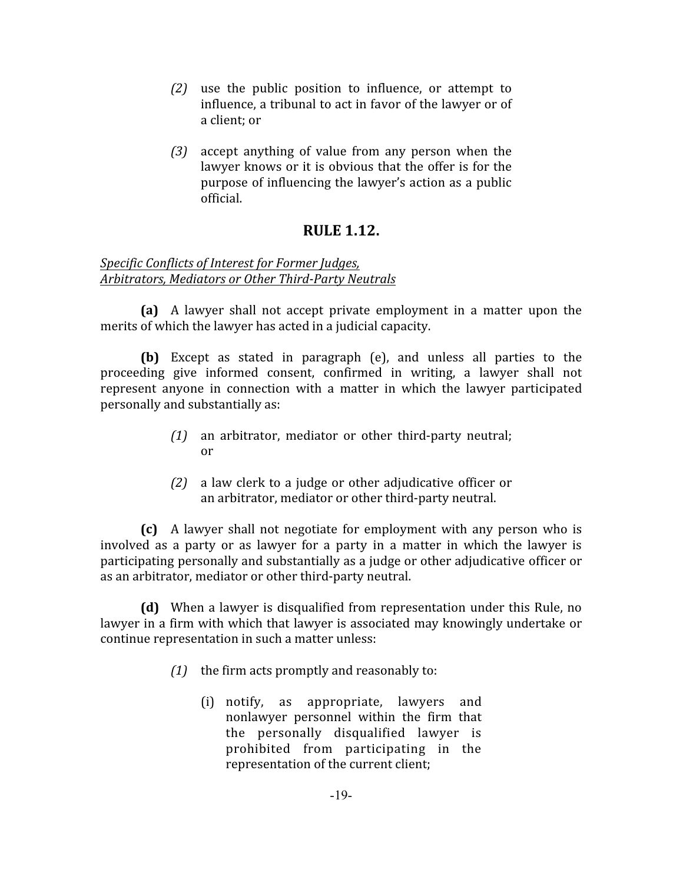- *(2)* use the public position to influence, or attempt to influence, a tribunal to act in favor of the lawyer or of a client; or
- *(3)* accept anything of value from any person when the lawyer knows or it is obvious that the offer is for the purpose of influencing the lawyer's action as a public official.

# <span id="page-23-0"></span>**RULE 1.12.**

#### *Specific Conflicts of Interest for Former Judges, Arbitrators, Mediators or Other Third-Party Neutrals*

**(a)** A lawyer shall not accept private employment in a matter upon the merits of which the lawyer has acted in a judicial capacity.

**(b)** Except as stated in paragraph (e), and unless all parties to the proceeding give informed consent, confirmed in writing, a lawyer shall not represent anyone in connection with a matter in which the lawyer participated personally and substantially as:

- *(1)* an arbitrator, mediator or other third-party neutral; or
- *(2)* a law clerk to a judge or other adjudicative officer or an arbitrator, mediator or other third-party neutral.

**(c)** A lawyer shall not negotiate for employment with any person who is involved as a party or as lawyer for a party in a matter in which the lawyer is participating personally and substantially as a judge or other adjudicative officer or as an arbitrator, mediator or other third-party neutral.

**(d)** When a lawyer is disqualified from representation under this Rule, no lawyer in a firm with which that lawyer is associated may knowingly undertake or continue representation in such a matter unless:

- *(1)* the firm acts promptly and reasonably to:
	- (i) notify, as appropriate, lawyers and nonlawyer personnel within the firm that the personally disqualified lawyer is prohibited from participating in the representation of the current client;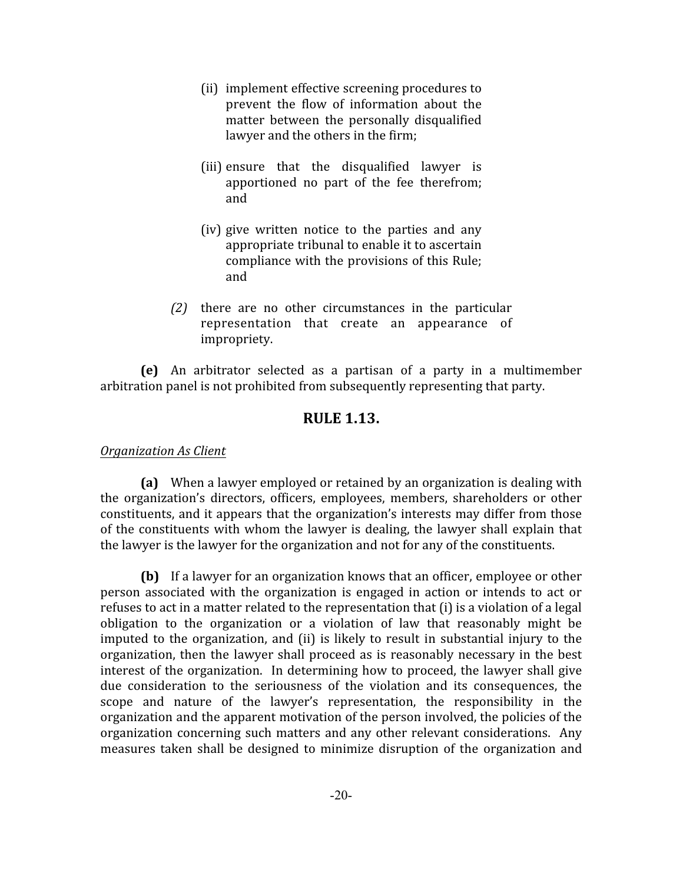- (ii) implement effective screening procedures to prevent the flow of information about the matter between the personally disqualified lawyer and the others in the firm;
- (iii) ensure that the disqualified lawyer is apportioned no part of the fee therefrom; and
- (iv) give written notice to the parties and any appropriate tribunal to enable it to ascertain compliance with the provisions of this Rule; and
- *(2)* there are no other circumstances in the particular representation that create an appearance of impropriety.

**(e)** An arbitrator selected as a partisan of a party in a multimember arbitration panel is not prohibited from subsequently representing that party.

# <span id="page-24-0"></span>**RULE 1.13.**

# *Organization As Client*

**(a)** When a lawyer employed or retained by an organization is dealing with the organization's directors, officers, employees, members, shareholders or other constituents, and it appears that the organization's interests may differ from those of the constituents with whom the lawyer is dealing, the lawyer shall explain that the lawyer is the lawyer for the organization and not for any of the constituents.

**(b)** If a lawyer for an organization knows that an officer, employee or other person associated with the organization is engaged in action or intends to act or refuses to act in a matter related to the representation that (i) is a violation of a legal obligation to the organization or a violation of law that reasonably might be imputed to the organization, and (ii) is likely to result in substantial injury to the organization, then the lawyer shall proceed as is reasonably necessary in the best interest of the organization. In determining how to proceed, the lawyer shall give due consideration to the seriousness of the violation and its consequences, the scope and nature of the lawyer's representation, the responsibility in the organization and the apparent motivation of the person involved, the policies of the organization concerning such matters and any other relevant considerations. Any measures taken shall be designed to minimize disruption of the organization and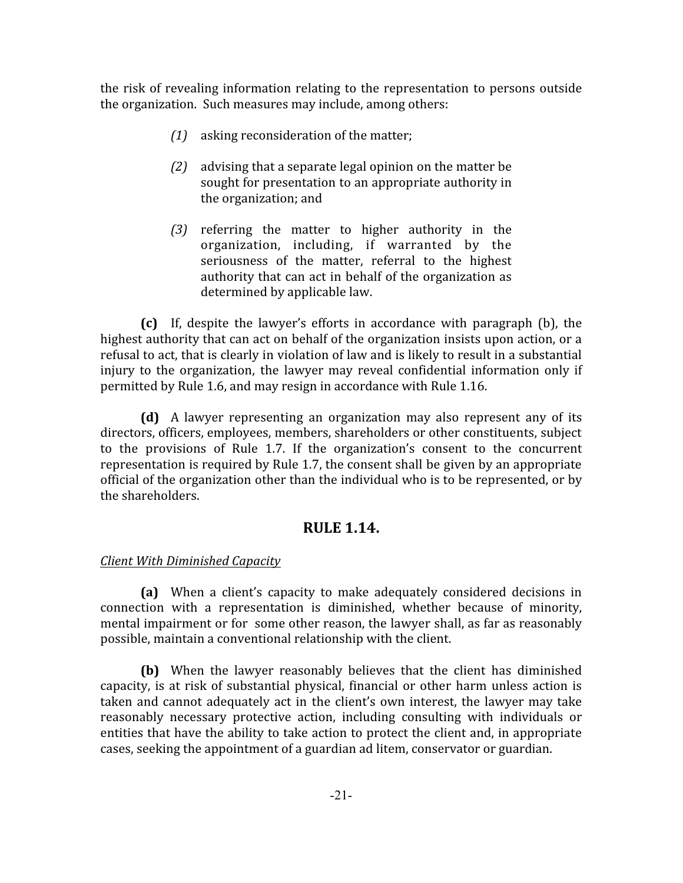the risk of revealing information relating to the representation to persons outside the organization. Such measures may include, among others:

- *(1)* asking reconsideration of the matter;
- *(2)* advising that a separate legal opinion on the matter be sought for presentation to an appropriate authority in the organization; and
- *(3)* referring the matter to higher authority in the organization, including, if warranted by the seriousness of the matter, referral to the highest authority that can act in behalf of the organization as determined by applicable law.

**(c)** If, despite the lawyer's efforts in accordance with paragraph (b), the highest authority that can act on behalf of the organization insists upon action, or a refusal to act, that is clearly in violation of law and is likely to result in a substantial injury to the organization, the lawyer may reveal confidential information only if permitted by Rule 1.6, and may resign in accordance with Rule 1.16.

**(d)** A lawyer representing an organization may also represent any of its directors, officers, employees, members, shareholders or other constituents, subject to the provisions of Rule 1.7. If the organization's consent to the concurrent representation is required by Rule 1.7, the consent shall be given by an appropriate official of the organization other than the individual who is to be represented, or by the shareholders.

# <span id="page-25-0"></span>**RULE 1.14.**

# *Client With Diminished Capacity*

**(a)** When a client's capacity to make adequately considered decisions in connection with a representation is diminished, whether because of minority, mental impairment or for some other reason, the lawyer shall, as far as reasonably possible, maintain a conventional relationship with the client.

**(b)** When the lawyer reasonably believes that the client has diminished capacity, is at risk of substantial physical, financial or other harm unless action is taken and cannot adequately act in the client's own interest, the lawyer may take reasonably necessary protective action, including consulting with individuals or entities that have the ability to take action to protect the client and, in appropriate cases, seeking the appointment of a guardian ad litem, conservator or guardian.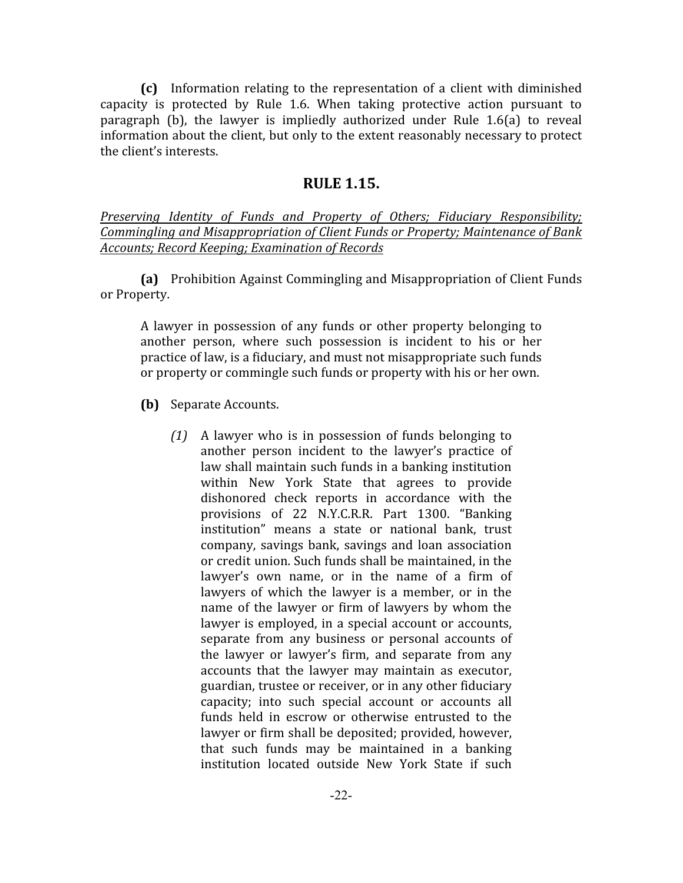**(c)** Information relating to the representation of a client with diminished capacity is protected by Rule 1.6. When taking protective action pursuant to paragraph (b), the lawyer is impliedly authorized under Rule 1.6(a) to reveal information about the client, but only to the extent reasonably necessary to protect the client's interests.

#### <span id="page-26-0"></span>**RULE 1.15.**

*Preserving Identity of Funds and Property of Others; Fiduciary Responsibility; Commingling and Misappropriation of Client Funds or Property; Maintenance of Bank Accounts; Record Keeping; Examination of Records*

**(a)** Prohibition Against Commingling and Misappropriation of Client Funds or Property.

A lawyer in possession of any funds or other property belonging to another person, where such possession is incident to his or her practice of law, is a fiduciary, and must not misappropriate such funds or property or commingle such funds or property with his or her own.

- **(b)** Separate Accounts.
	- *(1)* A lawyer who is in possession of funds belonging to another person incident to the lawyer's practice of law shall maintain such funds in a banking institution within New York State that agrees to provide dishonored check reports in accordance with the provisions of 22 N.Y.C.R.R. Part 1300. "Banking institution" means a state or national bank, trust company, savings bank, savings and loan association or credit union. Such funds shall be maintained, in the lawyer's own name, or in the name of a firm of lawyers of which the lawyer is a member, or in the name of the lawyer or firm of lawyers by whom the lawyer is employed, in a special account or accounts, separate from any business or personal accounts of the lawyer or lawyer's firm, and separate from any accounts that the lawyer may maintain as executor, guardian, trustee or receiver, or in any other fiduciary capacity; into such special account or accounts all funds held in escrow or otherwise entrusted to the lawyer or firm shall be deposited; provided, however, that such funds may be maintained in a banking institution located outside New York State if such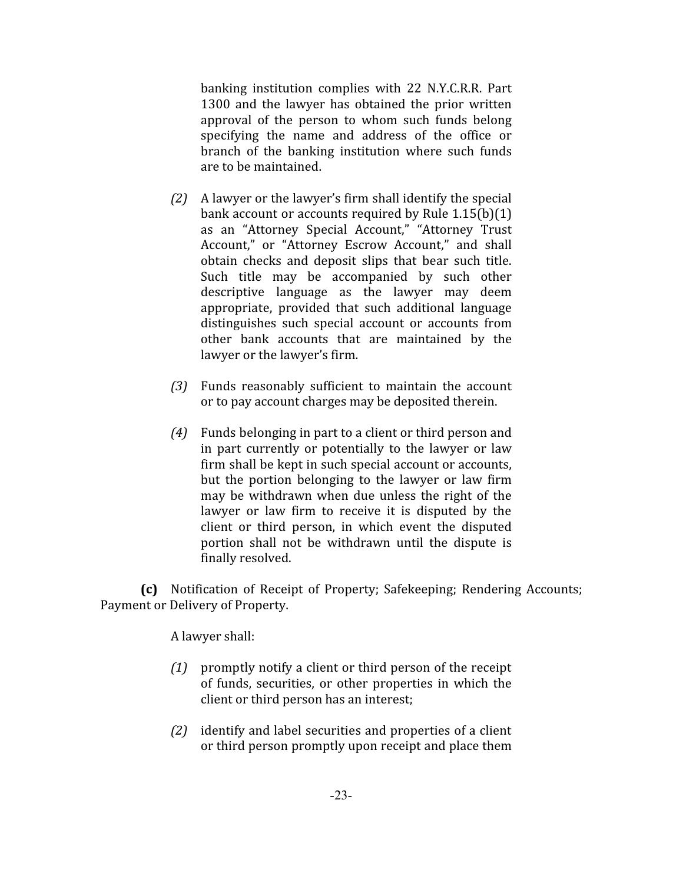banking institution complies with 22 N.Y.C.R.R. Part 1300 and the lawyer has obtained the prior written approval of the person to whom such funds belong specifying the name and address of the office or branch of the banking institution where such funds are to be maintained.

- *(2)* A lawyer or the lawyer's firm shall identify the special bank account or accounts required by Rule 1.15(b)(1) as an "Attorney Special Account," "Attorney Trust Account," or "Attorney Escrow Account," and shall obtain checks and deposit slips that bear such title. Such title may be accompanied by such other descriptive language as the lawyer may deem appropriate, provided that such additional language distinguishes such special account or accounts from other bank accounts that are maintained by the lawyer or the lawyer's firm.
- *(3)* Funds reasonably sufficient to maintain the account or to pay account charges may be deposited therein.
- *(4)* Funds belonging in part to a client or third person and in part currently or potentially to the lawyer or law firm shall be kept in such special account or accounts, but the portion belonging to the lawyer or law firm may be withdrawn when due unless the right of the lawyer or law firm to receive it is disputed by the client or third person, in which event the disputed portion shall not be withdrawn until the dispute is finally resolved.

**(c)** Notification of Receipt of Property; Safekeeping; Rendering Accounts; Payment or Delivery of Property.

A lawyer shall:

- *(1)* promptly notify a client or third person of the receipt of funds, securities, or other properties in which the client or third person has an interest;
- *(2)* identify and label securities and properties of a client or third person promptly upon receipt and place them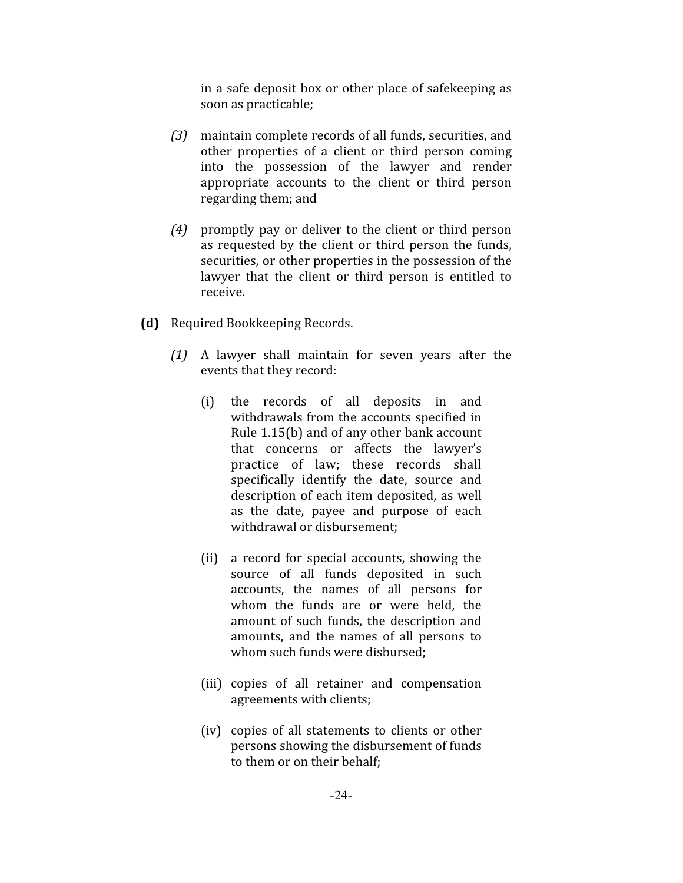in a safe deposit box or other place of safekeeping as soon as practicable;

- *(3)* maintain complete records of all funds, securities, and other properties of a client or third person coming into the possession of the lawyer and render appropriate accounts to the client or third person regarding them; and
- *(4)* promptly pay or deliver to the client or third person as requested by the client or third person the funds, securities, or other properties in the possession of the lawyer that the client or third person is entitled to receive.
- **(d)** Required Bookkeeping Records.
	- *(1)* A lawyer shall maintain for seven years after the events that they record:
		- (i) the records of all deposits in and withdrawals from the accounts specified in Rule 1.15(b) and of any other bank account that concerns or affects the lawyer's practice of law; these records shall specifically identify the date, source and description of each item deposited, as well as the date, payee and purpose of each withdrawal or disbursement;
		- (ii) a record for special accounts, showing the source of all funds deposited in such accounts, the names of all persons for whom the funds are or were held, the amount of such funds, the description and amounts, and the names of all persons to whom such funds were disbursed;
		- (iii) copies of all retainer and compensation agreements with clients;
		- (iv) copies of all statements to clients or other persons showing the disbursement of funds to them or on their behalf;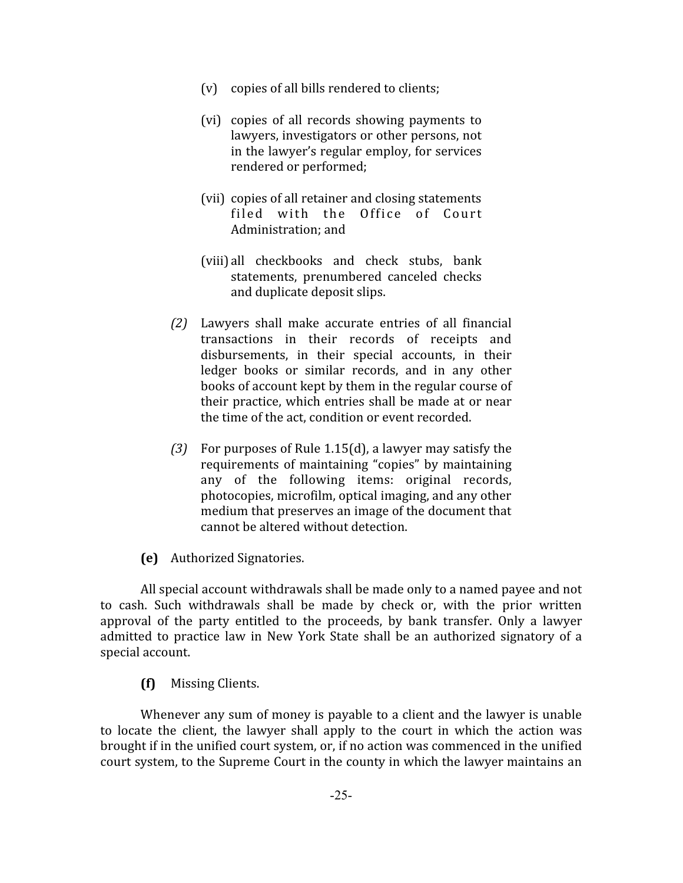- (v) copies of all bills rendered to clients;
- (vi) copies of all records showing payments to lawyers, investigators or other persons, not in the lawyer's regular employ, for services rendered or performed;
- (vii) copies of all retainer and closing statements filed with the Office of Court Administration; and
- (viii) all checkbooks and check stubs, bank statements, prenumbered canceled checks and duplicate deposit slips.
- *(2)* Lawyers shall make accurate entries of all financial transactions in their records of receipts and disbursements, in their special accounts, in their ledger books or similar records, and in any other books of account kept by them in the regular course of their practice, which entries shall be made at or near the time of the act, condition or event recorded.
- *(3)* For purposes of Rule 1.15(d), a lawyer may satisfy the requirements of maintaining "copies" by maintaining any of the following items: original records, photocopies, microfilm, optical imaging, and any other medium that preserves an image of the document that cannot be altered without detection.
- **(e)** Authorized Signatories.

All special account withdrawals shall be made only to a named payee and not to cash. Such withdrawals shall be made by check or, with the prior written approval of the party entitled to the proceeds, by bank transfer. Only a lawyer admitted to practice law in New York State shall be an authorized signatory of a special account.

**(f)** Missing Clients.

Whenever any sum of money is payable to a client and the lawyer is unable to locate the client, the lawyer shall apply to the court in which the action was brought if in the unified court system, or, if no action was commenced in the unified court system, to the Supreme Court in the county in which the lawyer maintains an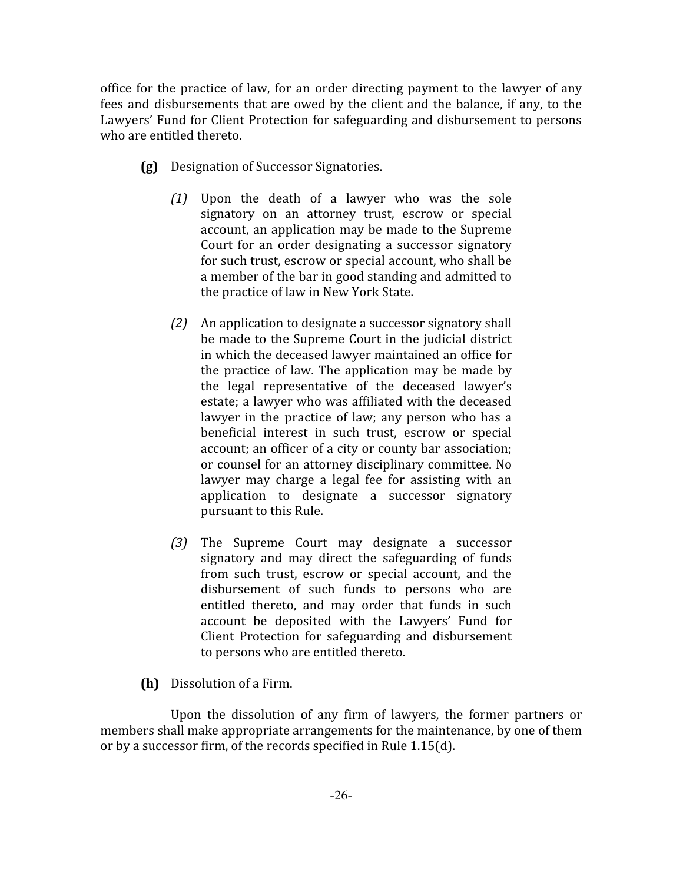office for the practice of law, for an order directing payment to the lawyer of any fees and disbursements that are owed by the client and the balance, if any, to the Lawyers' Fund for Client Protection for safeguarding and disbursement to persons who are entitled thereto.

- **(g)** Designation of Successor Signatories.
	- *(1)* Upon the death of a lawyer who was the sole signatory on an attorney trust, escrow or special account, an application may be made to the Supreme Court for an order designating a successor signatory for such trust, escrow or special account, who shall be a member of the bar in good standing and admitted to the practice of law in New York State.
	- *(2)* An application to designate a successor signatory shall be made to the Supreme Court in the judicial district in which the deceased lawyer maintained an office for the practice of law. The application may be made by the legal representative of the deceased lawyer's estate; a lawyer who was affiliated with the deceased lawyer in the practice of law; any person who has a beneficial interest in such trust, escrow or special account; an officer of a city or county bar association; or counsel for an attorney disciplinary committee. No lawyer may charge a legal fee for assisting with an application to designate a successor signatory pursuant to this Rule.
	- *(3)* The Supreme Court may designate a successor signatory and may direct the safeguarding of funds from such trust, escrow or special account, and the disbursement of such funds to persons who are entitled thereto, and may order that funds in such account be deposited with the Lawyers' Fund for Client Protection for safeguarding and disbursement to persons who are entitled thereto.
- **(h)** Dissolution of a Firm.

Upon the dissolution of any firm of lawyers, the former partners or members shall make appropriate arrangements for the maintenance, by one of them or by a successor firm, of the records specified in Rule 1.15(d).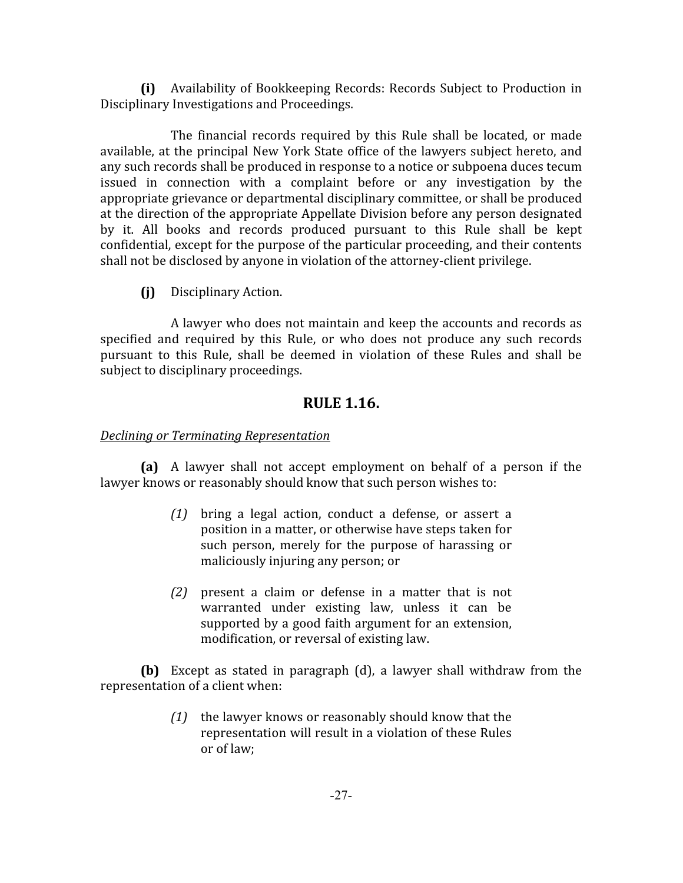**(i)** Availability of Bookkeeping Records: Records Subject to Production in Disciplinary Investigations and Proceedings.

The financial records required by this Rule shall be located, or made available, at the principal New York State office of the lawyers subject hereto, and any such records shall be produced in response to a notice or subpoena duces tecum issued in connection with a complaint before or any investigation by the appropriate grievance or departmental disciplinary committee, or shall be produced at the direction of the appropriate Appellate Division before any person designated by it. All books and records produced pursuant to this Rule shall be kept confidential, except for the purpose of the particular proceeding, and their contents shall not be disclosed by anyone in violation of the attorney-client privilege.

**(j)** Disciplinary Action.

A lawyer who does not maintain and keep the accounts and records as specified and required by this Rule, or who does not produce any such records pursuant to this Rule, shall be deemed in violation of these Rules and shall be subject to disciplinary proceedings.

# <span id="page-31-0"></span>**RULE 1.16.**

# *Declining or Terminating Representation*

**(a)** A lawyer shall not accept employment on behalf of a person if the lawyer knows or reasonably should know that such person wishes to:

- *(1)* bring a legal action, conduct a defense, or assert a position in a matter, or otherwise have steps taken for such person, merely for the purpose of harassing or maliciously injuring any person; or
- *(2)* present a claim or defense in a matter that is not warranted under existing law, unless it can be supported by a good faith argument for an extension, modification, or reversal of existing law.

**(b)** Except as stated in paragraph (d), a lawyer shall withdraw from the representation of a client when:

> *(1)* the lawyer knows or reasonably should know that the representation will result in a violation of these Rules or of law;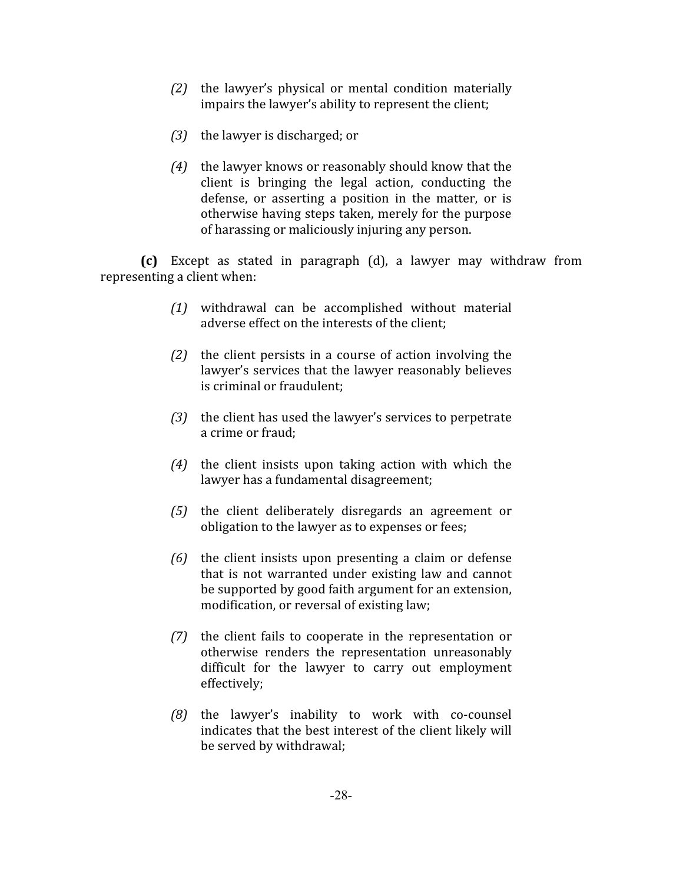- *(2)* the lawyer's physical or mental condition materially impairs the lawyer's ability to represent the client;
- *(3)* the lawyer is discharged; or
- *(4)* the lawyer knows or reasonably should know that the client is bringing the legal action, conducting the defense, or asserting a position in the matter, or is otherwise having steps taken, merely for the purpose of harassing or maliciously injuring any person.

**(c)** Except as stated in paragraph (d), a lawyer may withdraw from representing a client when:

- *(1)* withdrawal can be accomplished without material adverse effect on the interests of the client;
- *(2)* the client persists in a course of action involving the lawyer's services that the lawyer reasonably believes is criminal or fraudulent;
- *(3)* the client has used the lawyer's services to perpetrate a crime or fraud;
- *(4)* the client insists upon taking action with which the lawyer has a fundamental disagreement;
- *(5)* the client deliberately disregards an agreement or obligation to the lawyer as to expenses or fees;
- *(6)* the client insists upon presenting a claim or defense that is not warranted under existing law and cannot be supported by good faith argument for an extension, modification, or reversal of existing law;
- *(7)* the client fails to cooperate in the representation or otherwise renders the representation unreasonably difficult for the lawyer to carry out employment effectively;
- *(8)* the lawyer's inability to work with co-counsel indicates that the best interest of the client likely will be served by withdrawal;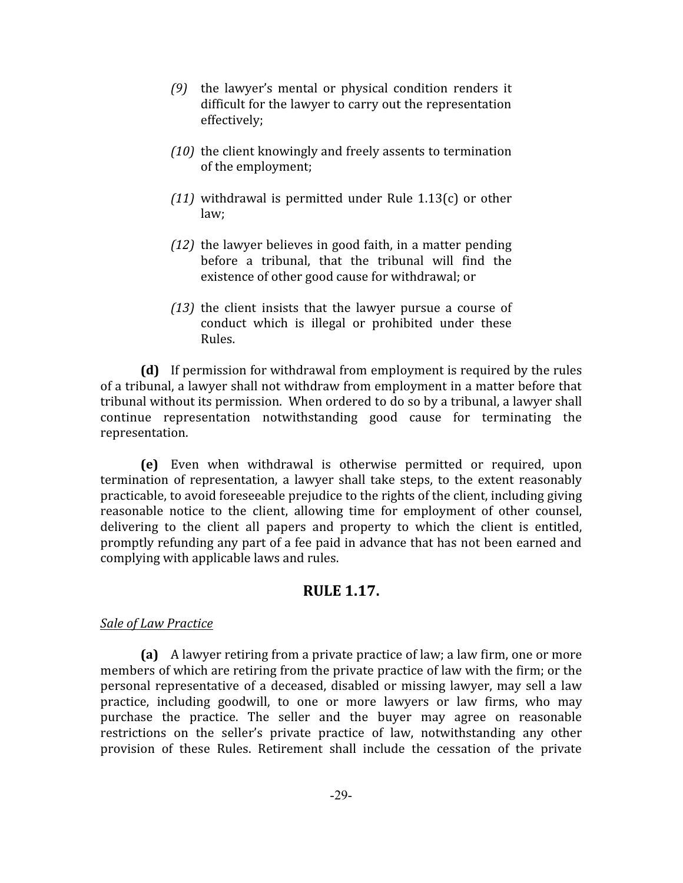- *(9)* the lawyer's mental or physical condition renders it difficult for the lawyer to carry out the representation effectively;
- *(10)* the client knowingly and freely assents to termination of the employment;
- *(11)* withdrawal is permitted under Rule 1.13(c) or other law;
- *(12)* the lawyer believes in good faith, in a matter pending before a tribunal, that the tribunal will find the existence of other good cause for withdrawal; or
- *(13)* the client insists that the lawyer pursue a course of conduct which is illegal or prohibited under these Rules.

**(d)** If permission for withdrawal from employment is required by the rules of a tribunal, a lawyer shall not withdraw from employment in a matter before that tribunal without its permission. When ordered to do so by a tribunal, a lawyer shall continue representation notwithstanding good cause for terminating the representation.

**(e)** Even when withdrawal is otherwise permitted or required, upon termination of representation, a lawyer shall take steps, to the extent reasonably practicable, to avoid foreseeable prejudice to the rights of the client, including giving reasonable notice to the client, allowing time for employment of other counsel, delivering to the client all papers and property to which the client is entitled, promptly refunding any part of a fee paid in advance that has not been earned and complying with applicable laws and rules.

# <span id="page-33-0"></span>**RULE 1.17.**

# *Sale of Law Practice*

**(a)** A lawyer retiring from a private practice of law; a law firm, one or more members of which are retiring from the private practice of law with the firm; or the personal representative of a deceased, disabled or missing lawyer, may sell a law practice, including goodwill, to one or more lawyers or law firms, who may purchase the practice. The seller and the buyer may agree on reasonable restrictions on the seller's private practice of law, notwithstanding any other provision of these Rules. Retirement shall include the cessation of the private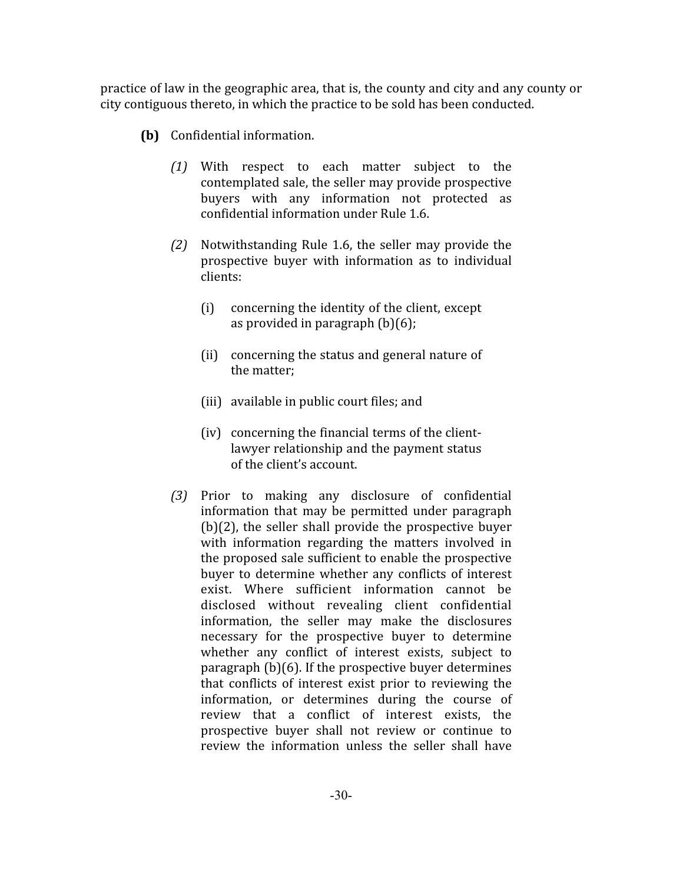practice of law in the geographic area, that is, the county and city and any county or city contiguous thereto, in which the practice to be sold has been conducted.

- **(b)** Confidential information.
	- *(1)* With respect to each matter subject to the contemplated sale, the seller may provide prospective buyers with any information not protected as confidential information under Rule 1.6.
	- *(2)* Notwithstanding Rule 1.6, the seller may provide the prospective buyer with information as to individual clients:
		- (i) concerning the identity of the client, except as provided in paragraph (b)(6);
		- (ii) concerning the status and general nature of the matter;
		- (iii) available in public court files; and
		- (iv) concerning the financial terms of the clientlawyer relationship and the payment status of the client's account.
	- *(3)* Prior to making any disclosure of confidential information that may be permitted under paragraph (b)(2), the seller shall provide the prospective buyer with information regarding the matters involved in the proposed sale sufficient to enable the prospective buyer to determine whether any conflicts of interest exist. Where sufficient information cannot be disclosed without revealing client confidential information, the seller may make the disclosures necessary for the prospective buyer to determine whether any conflict of interest exists, subject to paragraph (b)(6). If the prospective buyer determines that conflicts of interest exist prior to reviewing the information, or determines during the course of review that a conflict of interest exists, the prospective buyer shall not review or continue to review the information unless the seller shall have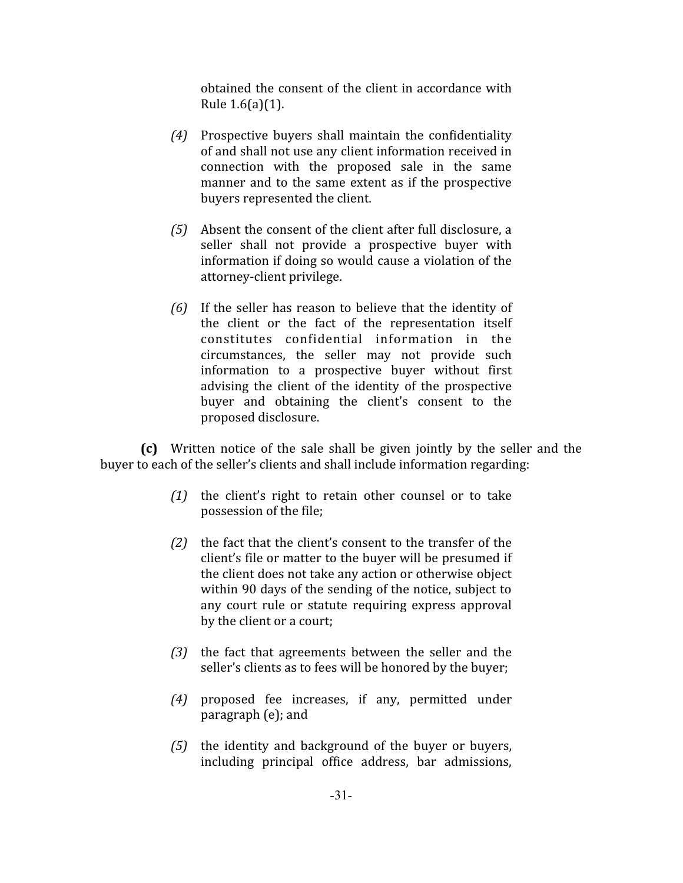obtained the consent of the client in accordance with Rule 1.6(a)(1).

- *(4)* Prospective buyers shall maintain the confidentiality of and shall not use any client information received in connection with the proposed sale in the same manner and to the same extent as if the prospective buyers represented the client.
- *(5)* Absent the consent of the client after full disclosure, a seller shall not provide a prospective buyer with information if doing so would cause a violation of the attorney-client privilege.
- *(6)* If the seller has reason to believe that the identity of the client or the fact of the representation itself constitutes confidential information in the circumstances, the seller may not provide such information to a prospective buyer without first advising the client of the identity of the prospective buyer and obtaining the client's consent to the proposed disclosure.

**(c)** Written notice of the sale shall be given jointly by the seller and the buyer to each of the seller's clients and shall include information regarding:

- *(1)* the client's right to retain other counsel or to take possession of the file;
- *(2)* the fact that the client's consent to the transfer of the client's file or matter to the buyer will be presumed if the client does not take any action or otherwise object within 90 days of the sending of the notice, subject to any court rule or statute requiring express approval by the client or a court;
- *(3)* the fact that agreements between the seller and the seller's clients as to fees will be honored by the buyer;
- *(4)* proposed fee increases, if any, permitted under paragraph (e); and
- *(5)* the identity and background of the buyer or buyers, including principal office address, bar admissions,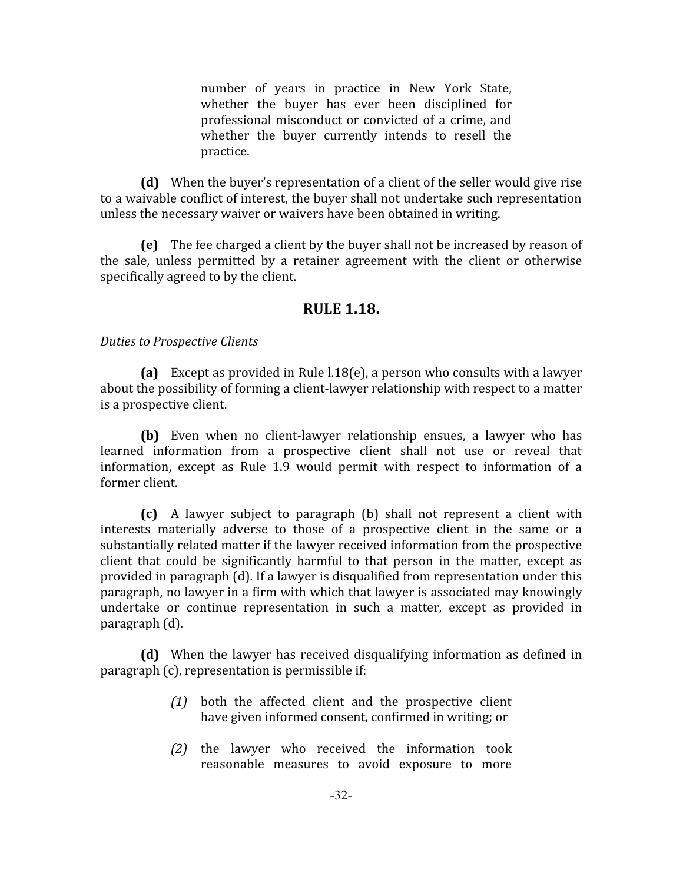number of years in practice in New York State, whether the buyer has ever been disciplined for professional misconduct or convicted of a crime, and whether the buyer currently intends to resell the practice.

**(d)** When the buyer's representation of a client of the seller would give rise to a waivable conflict of interest, the buyer shall not undertake such representation unless the necessary waiver or waivers have been obtained in writing.

**(e)** The fee charged a client by the buyer shall not be increased by reason of the sale, unless permitted by a retainer agreement with the client or otherwise specifically agreed to by the client.

## **RULE 1.18.**

#### *Duties to Prospective Clients*

**(a)** Except as provided in Rule l.18(e), a person who consults with a lawyer about the possibility of forming a client-lawyer relationship with respect to a matter is a prospective client.

**(b)** Even when no client-lawyer relationship ensues, a lawyer who has learned information from a prospective client shall not use or reveal that information, except as Rule 1.9 would permit with respect to information of a former client.

**(c)** A lawyer subject to paragraph (b) shall not represent a client with interests materially adverse to those of a prospective client in the same or a substantially related matter if the lawyer received information from the prospective client that could be significantly harmful to that person in the matter, except as provided in paragraph (d). If a lawyer is disqualified from representation under this paragraph, no lawyer in a firm with which that lawyer is associated may knowingly undertake or continue representation in such a matter, except as provided in paragraph (d).

**(d)** When the lawyer has received disqualifying information as defined in paragraph (c), representation is permissible if:

- *(1)* both the affected client and the prospective client have given informed consent, confirmed in writing; or
- *(2)* the lawyer who received the information took reasonable measures to avoid exposure to more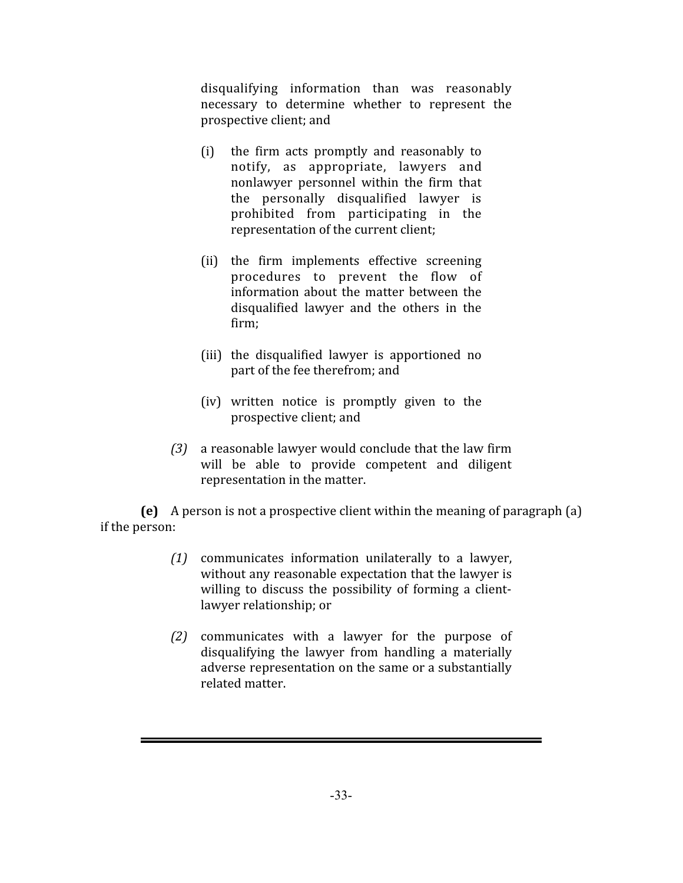disqualifying information than was reasonably necessary to determine whether to represent the prospective client; and

- (i) the firm acts promptly and reasonably to notify, as appropriate, lawyers and nonlawyer personnel within the firm that the personally disqualified lawyer is prohibited from participating in the representation of the current client;
- (ii) the firm implements effective screening procedures to prevent the flow of information about the matter between the disqualified lawyer and the others in the firm;
- (iii) the disqualified lawyer is apportioned no part of the fee therefrom; and
- (iv) written notice is promptly given to the prospective client; and
- *(3)* a reasonable lawyer would conclude that the law firm will be able to provide competent and diligent representation in the matter.

**(e)** A person is not a prospective client within the meaning of paragraph (a) if the person:

- *(1)* communicates information unilaterally to a lawyer, without any reasonable expectation that the lawyer is willing to discuss the possibility of forming a clientlawyer relationship; or
- *(2)* communicates with a lawyer for the purpose of disqualifying the lawyer from handling a materially adverse representation on the same or a substantially related matter.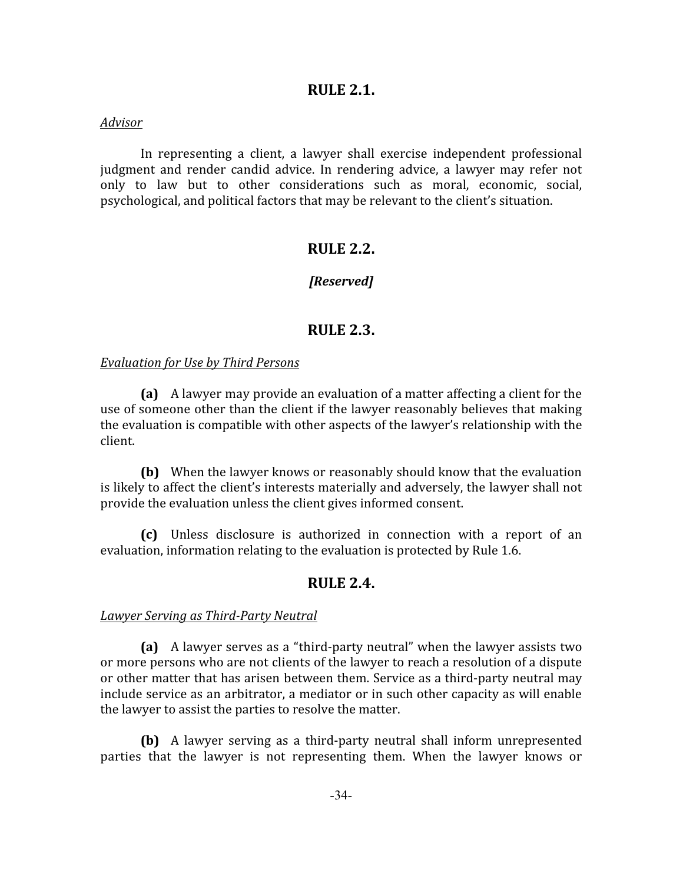## **RULE 2.1.**

#### *Advisor*

In representing a client, a lawyer shall exercise independent professional judgment and render candid advice. In rendering advice, a lawyer may refer not only to law but to other considerations such as moral, economic, social, psychological, and political factors that may be relevant to the client's situation.

## **RULE 2.2.**

## *[Reserved]*

## **RULE 2.3.**

#### *Evaluation for Use by Third Persons*

**(a)** A lawyer may provide an evaluation of a matter affecting a client for the use of someone other than the client if the lawyer reasonably believes that making the evaluation is compatible with other aspects of the lawyer's relationship with the client.

**(b)** When the lawyer knows or reasonably should know that the evaluation is likely to affect the client's interests materially and adversely, the lawyer shall not provide the evaluation unless the client gives informed consent.

**(c)** Unless disclosure is authorized in connection with a report of an evaluation, information relating to the evaluation is protected by Rule 1.6.

## **RULE 2.4.**

#### *Lawyer Serving as Third-Party Neutral*

**(a)** A lawyer serves as a "third-party neutral" when the lawyer assists two or more persons who are not clients of the lawyer to reach a resolution of a dispute or other matter that has arisen between them. Service as a third-party neutral may include service as an arbitrator, a mediator or in such other capacity as will enable the lawyer to assist the parties to resolve the matter.

**(b)** A lawyer serving as a third-party neutral shall inform unrepresented parties that the lawyer is not representing them. When the lawyer knows or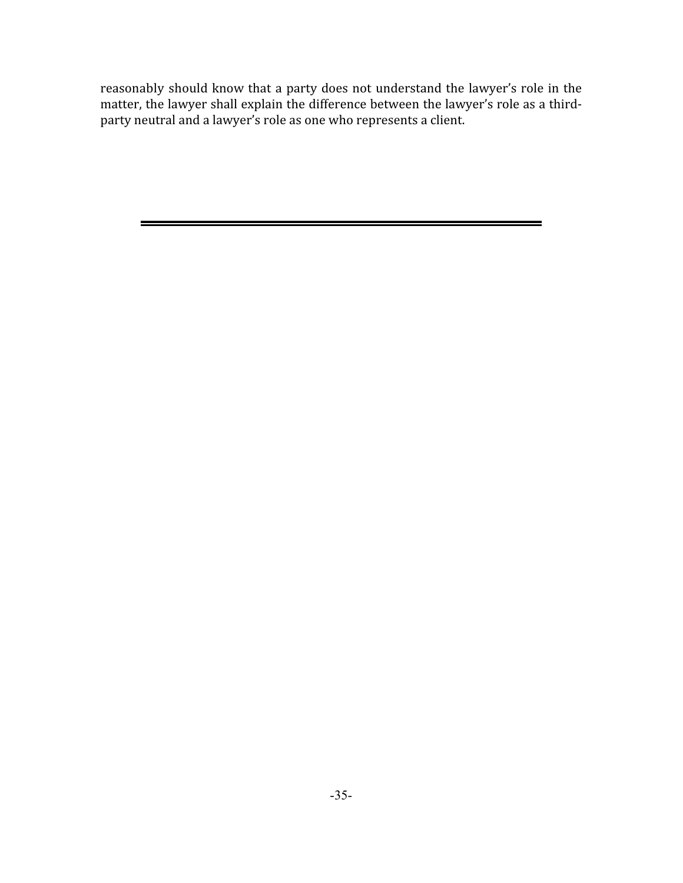reasonably should know that a party does not understand the lawyer's role in the matter, the lawyer shall explain the difference between the lawyer's role as a thirdparty neutral and a lawyer's role as one who represents a client.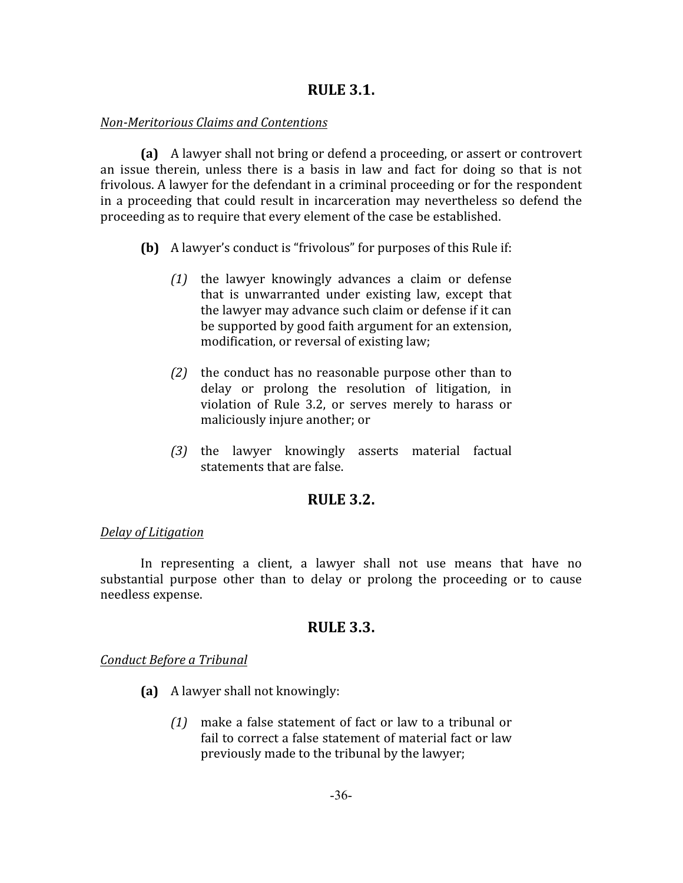# **RULE 3.1.**

#### *Non-Meritorious Claims and Contentions*

**(a)** A lawyer shall not bring or defend a proceeding, or assert or controvert an issue therein, unless there is a basis in law and fact for doing so that is not frivolous. A lawyer for the defendant in a criminal proceeding or for the respondent in a proceeding that could result in incarceration may nevertheless so defend the proceeding as to require that every element of the case be established.

- **(b)** A lawyer's conduct is "frivolous" for purposes of this Rule if:
	- *(1)* the lawyer knowingly advances a claim or defense that is unwarranted under existing law, except that the lawyer may advance such claim or defense if it can be supported by good faith argument for an extension, modification, or reversal of existing law;
	- *(2)* the conduct has no reasonable purpose other than to delay or prolong the resolution of litigation, in violation of Rule 3.2, or serves merely to harass or maliciously injure another; or
	- *(3)* the lawyer knowingly asserts material factual statements that are false.

# **RULE 3.2.**

#### *Delay of Litigation*

In representing a client, a lawyer shall not use means that have no substantial purpose other than to delay or prolong the proceeding or to cause needless expense.

## **RULE 3.3.**

#### *Conduct Before a Tribunal*

- **(a)** A lawyer shall not knowingly:
	- *(1)* make a false statement of fact or law to a tribunal or fail to correct a false statement of material fact or law previously made to the tribunal by the lawyer;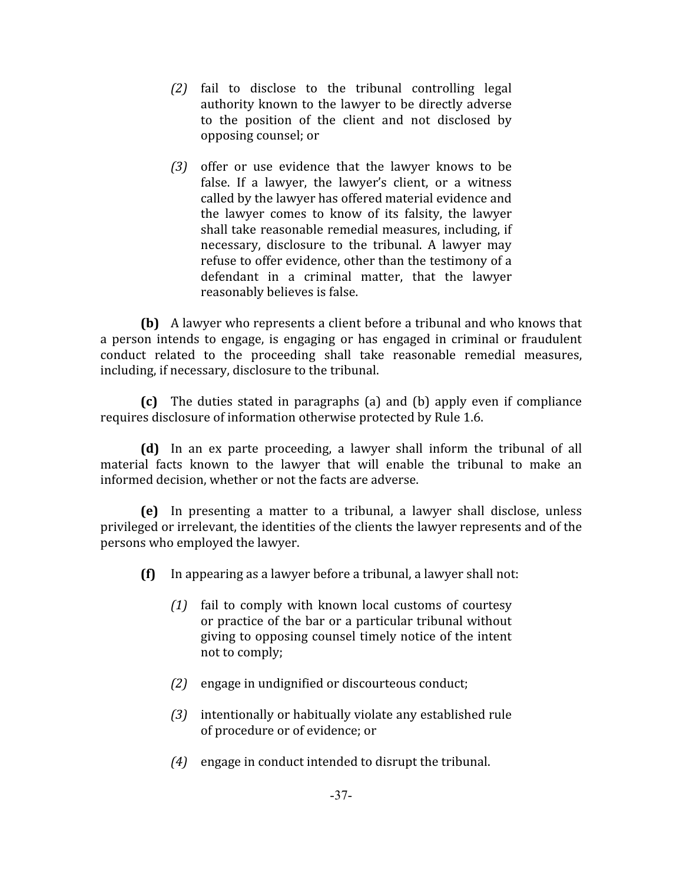- *(2)* fail to disclose to the tribunal controlling legal authority known to the lawyer to be directly adverse to the position of the client and not disclosed by opposing counsel; or
- *(3)* offer or use evidence that the lawyer knows to be false. If a lawyer, the lawyer's client, or a witness called by the lawyer has offered material evidence and the lawyer comes to know of its falsity, the lawyer shall take reasonable remedial measures, including, if necessary, disclosure to the tribunal. A lawyer may refuse to offer evidence, other than the testimony of a defendant in a criminal matter, that the lawyer reasonably believes is false.

**(b)** A lawyer who represents a client before a tribunal and who knows that a person intends to engage, is engaging or has engaged in criminal or fraudulent conduct related to the proceeding shall take reasonable remedial measures, including, if necessary, disclosure to the tribunal.

**(c)** The duties stated in paragraphs (a) and (b) apply even if compliance requires disclosure of information otherwise protected by Rule 1.6.

**(d)** In an ex parte proceeding, a lawyer shall inform the tribunal of all material facts known to the lawyer that will enable the tribunal to make an informed decision, whether or not the facts are adverse.

**(e)** In presenting a matter to a tribunal, a lawyer shall disclose, unless privileged or irrelevant, the identities of the clients the lawyer represents and of the persons who employed the lawyer.

- **(f)** In appearing as a lawyer before a tribunal, a lawyer shall not:
	- *(1)* fail to comply with known local customs of courtesy or practice of the bar or a particular tribunal without giving to opposing counsel timely notice of the intent not to comply;
	- *(2)* engage in undignified or discourteous conduct;
	- *(3)* intentionally or habitually violate any established rule of procedure or of evidence; or
	- *(4)* engage in conduct intended to disrupt the tribunal.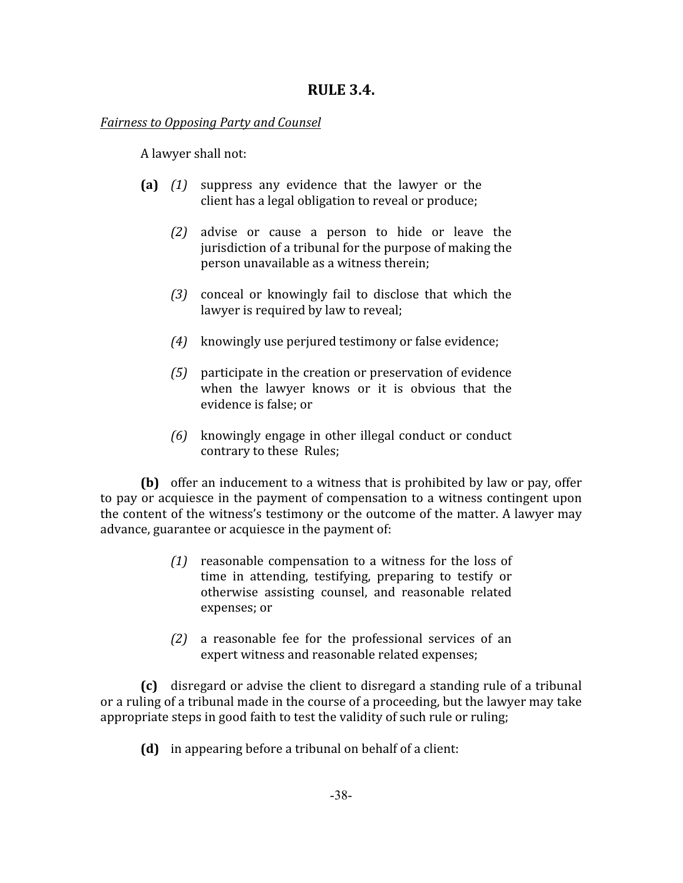# **RULE 3.4.**

#### *Fairness to Opposing Party and Counsel*

A lawyer shall not:

- **(a)** *(1)* suppress any evidence that the lawyer or the client has a legal obligation to reveal or produce;
	- *(2)* advise or cause a person to hide or leave the jurisdiction of a tribunal for the purpose of making the person unavailable as a witness therein;
	- *(3)* conceal or knowingly fail to disclose that which the lawyer is required by law to reveal;
	- *(4)* knowingly use perjured testimony or false evidence;
	- *(5)* participate in the creation or preservation of evidence when the lawyer knows or it is obvious that the evidence is false; or
	- *(6)* knowingly engage in other illegal conduct or conduct contrary to these Rules;

**(b)** offer an inducement to a witness that is prohibited by law or pay, offer to pay or acquiesce in the payment of compensation to a witness contingent upon the content of the witness's testimony or the outcome of the matter. A lawyer may advance, guarantee or acquiesce in the payment of:

- *(1)* reasonable compensation to a witness for the loss of time in attending, testifying, preparing to testify or otherwise assisting counsel, and reasonable related expenses; or
- *(2)* a reasonable fee for the professional services of an expert witness and reasonable related expenses;

**(c)** disregard or advise the client to disregard a standing rule of a tribunal or a ruling of a tribunal made in the course of a proceeding, but the lawyer may take appropriate steps in good faith to test the validity of such rule or ruling;

**(d)** in appearing before a tribunal on behalf of a client: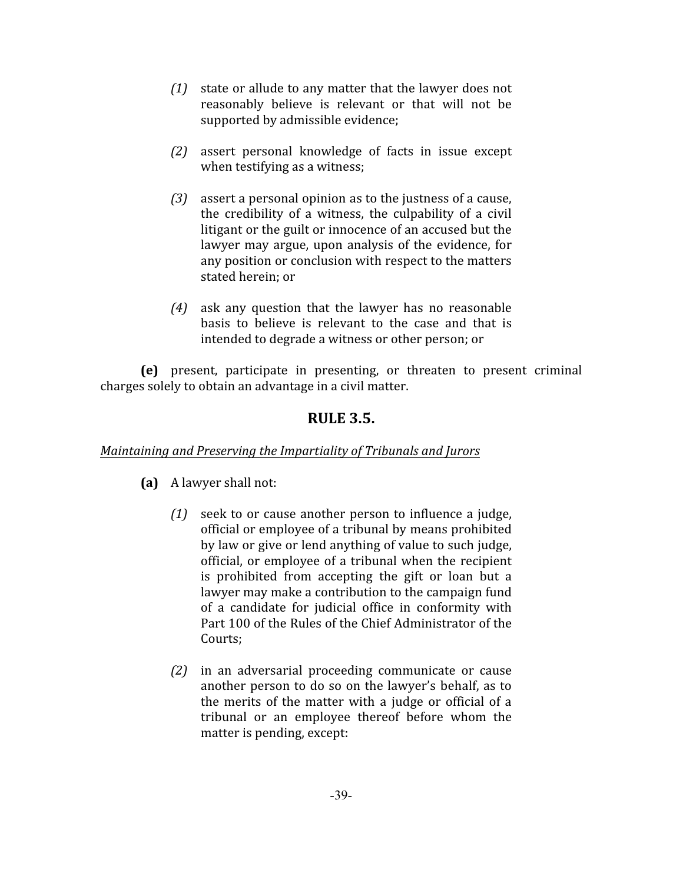- *(1)* state or allude to any matter that the lawyer does not reasonably believe is relevant or that will not be supported by admissible evidence;
- *(2)* assert personal knowledge of facts in issue except when testifying as a witness;
- *(3)* assert a personal opinion as to the justness of a cause, the credibility of a witness, the culpability of a civil litigant or the guilt or innocence of an accused but the lawyer may argue, upon analysis of the evidence, for any position or conclusion with respect to the matters stated herein; or
- *(4)* ask any question that the lawyer has no reasonable basis to believe is relevant to the case and that is intended to degrade a witness or other person; or

**(e)** present, participate in presenting, or threaten to present criminal charges solely to obtain an advantage in a civil matter.

# **RULE 3.5.**

# *Maintaining and Preserving the Impartiality of Tribunals and Jurors*

- **(a)** A lawyer shall not:
	- *(1)* seek to or cause another person to influence a judge, official or employee of a tribunal by means prohibited by law or give or lend anything of value to such judge, official, or employee of a tribunal when the recipient is prohibited from accepting the gift or loan but a lawyer may make a contribution to the campaign fund of a candidate for judicial office in conformity with Part 100 of the Rules of the Chief Administrator of the Courts;
	- *(2)* in an adversarial proceeding communicate or cause another person to do so on the lawyer's behalf, as to the merits of the matter with a judge or official of a tribunal or an employee thereof before whom the matter is pending, except: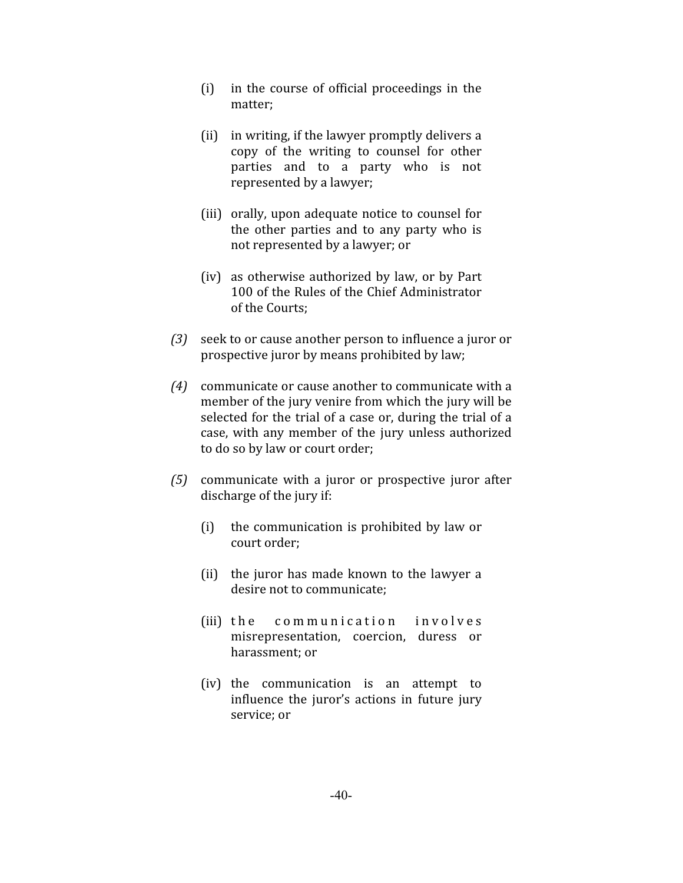- (i) in the course of official proceedings in the matter;
- (ii) in writing, if the lawyer promptly delivers a copy of the writing to counsel for other parties and to a party who is not represented by a lawyer;
- (iii) orally, upon adequate notice to counsel for the other parties and to any party who is not represented by a lawyer; or
- (iv) as otherwise authorized by law, or by Part 100 of the Rules of the Chief Administrator of the Courts;
- *(3)* seek to or cause another person to influence a juror or prospective juror by means prohibited by law;
- *(4)* communicate or cause another to communicate with a member of the jury venire from which the jury will be selected for the trial of a case or, during the trial of a case, with any member of the jury unless authorized to do so by law or court order;
- *(5)* communicate with a juror or prospective juror after discharge of the jury if:
	- (i) the communication is prohibited by law or court order;
	- (ii) the juror has made known to the lawyer a desire not to communicate;
	- (iii) the communication involves misrepresentation, coercion, duress or harassment; or
	- (iv) the communication is an attempt to influence the juror's actions in future jury service; or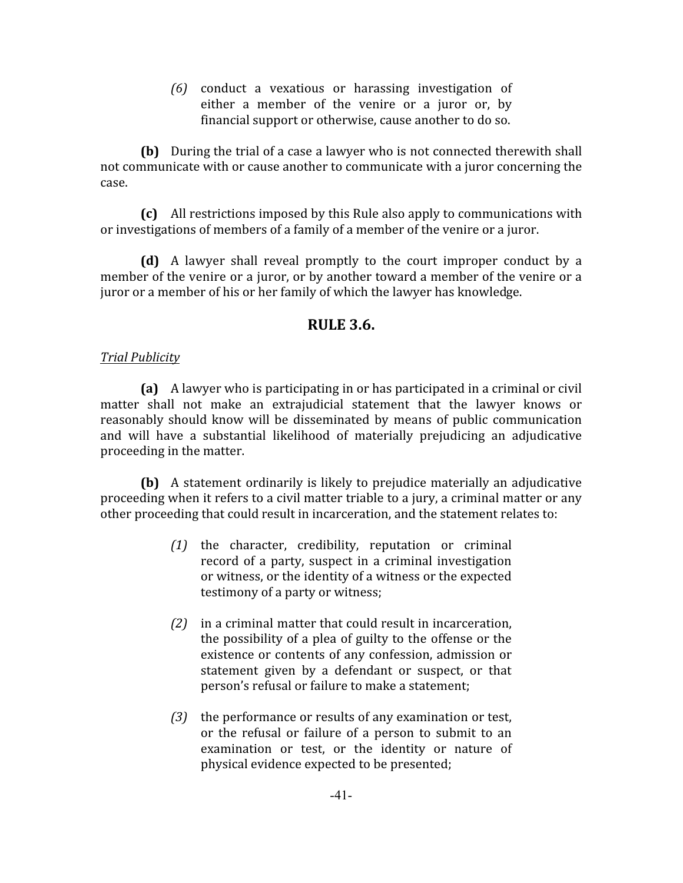*(6)* conduct a vexatious or harassing investigation of either a member of the venire or a juror or, by financial support or otherwise, cause another to do so.

**(b)** During the trial of a case a lawyer who is not connected therewith shall not communicate with or cause another to communicate with a juror concerning the case.

**(c)** All restrictions imposed by this Rule also apply to communications with or investigations of members of a family of a member of the venire or a juror.

**(d)** A lawyer shall reveal promptly to the court improper conduct by a member of the venire or a juror, or by another toward a member of the venire or a juror or a member of his or her family of which the lawyer has knowledge.

# **RULE 3.6.**

## *Trial Publicity*

**(a)** A lawyer who is participating in or has participated in a criminal or civil matter shall not make an extrajudicial statement that the lawyer knows or reasonably should know will be disseminated by means of public communication and will have a substantial likelihood of materially prejudicing an adjudicative proceeding in the matter.

**(b)** A statement ordinarily is likely to prejudice materially an adjudicative proceeding when it refers to a civil matter triable to a jury, a criminal matter or any other proceeding that could result in incarceration, and the statement relates to:

- *(1)* the character, credibility, reputation or criminal record of a party, suspect in a criminal investigation or witness, or the identity of a witness or the expected testimony of a party or witness;
- *(2)* in a criminal matter that could result in incarceration, the possibility of a plea of guilty to the offense or the existence or contents of any confession, admission or statement given by a defendant or suspect, or that person's refusal or failure to make a statement;
- *(3)* the performance or results of any examination or test, or the refusal or failure of a person to submit to an examination or test, or the identity or nature of physical evidence expected to be presented;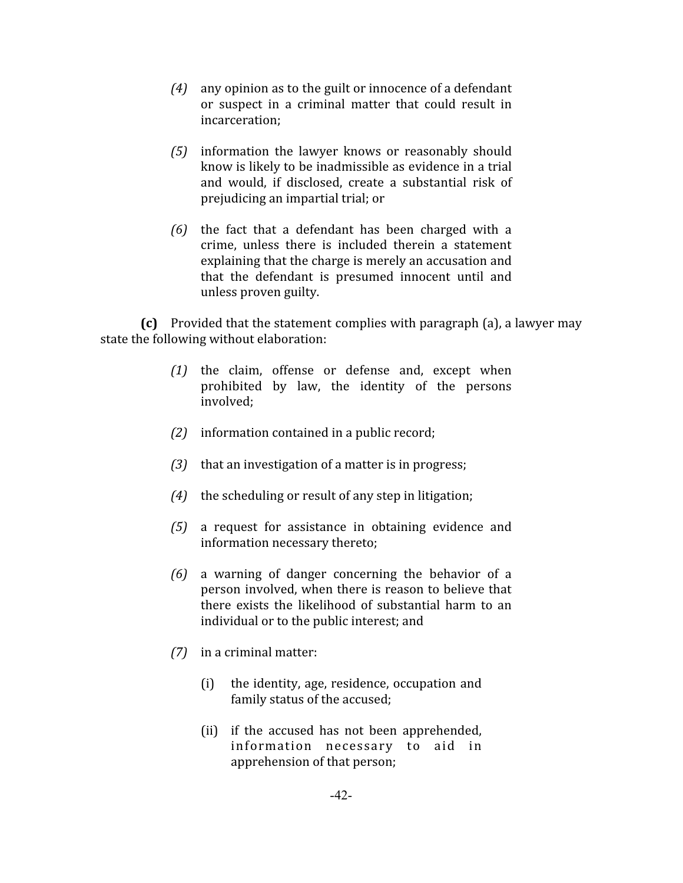- *(4)* any opinion as to the guilt or innocence of a defendant or suspect in a criminal matter that could result in incarceration;
- *(5)* information the lawyer knows or reasonably should know is likely to be inadmissible as evidence in a trial and would, if disclosed, create a substantial risk of prejudicing an impartial trial; or
- *(6)* the fact that a defendant has been charged with a crime, unless there is included therein a statement explaining that the charge is merely an accusation and that the defendant is presumed innocent until and unless proven guilty.

**(c)** Provided that the statement complies with paragraph (a), a lawyer may state the following without elaboration:

- *(1)* the claim, offense or defense and, except when prohibited by law, the identity of the persons involved;
- *(2)* information contained in a public record;
- *(3)* that an investigation of a matter is in progress;
- *(4)* the scheduling or result of any step in litigation;
- *(5)* a request for assistance in obtaining evidence and information necessary thereto;
- *(6)* a warning of danger concerning the behavior of a person involved, when there is reason to believe that there exists the likelihood of substantial harm to an individual or to the public interest; and
- *(7)* in a criminal matter:
	- (i) the identity, age, residence, occupation and family status of the accused;
	- (ii) if the accused has not been apprehended, information necessary to aid in apprehension of that person;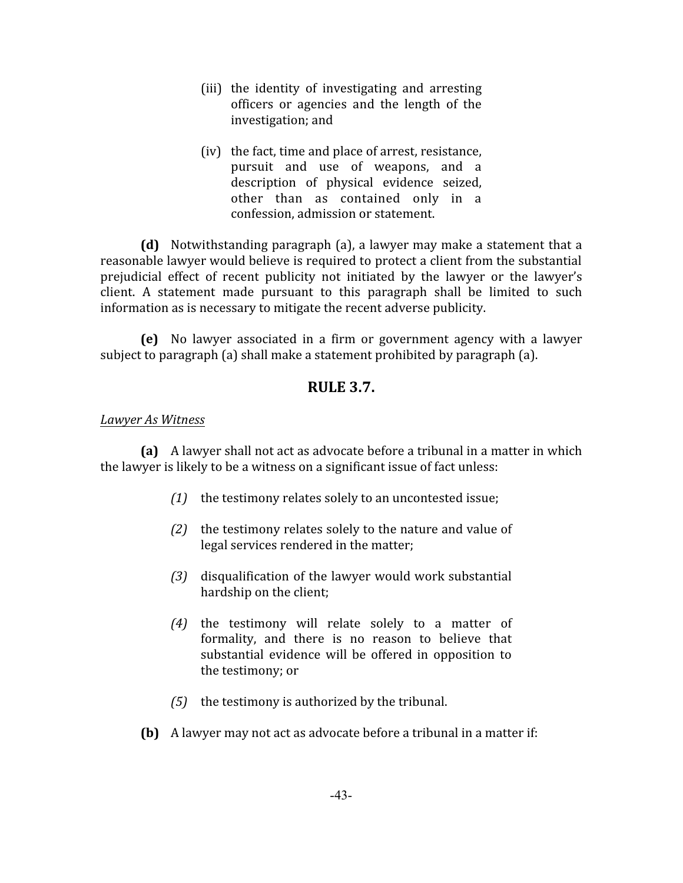- (iii) the identity of investigating and arresting officers or agencies and the length of the investigation; and
- (iv) the fact, time and place of arrest, resistance, pursuit and use of weapons, and a description of physical evidence seized, other than as contained only in a confession, admission or statement.

**(d)** Notwithstanding paragraph (a), a lawyer may make a statement that a reasonable lawyer would believe is required to protect a client from the substantial prejudicial effect of recent publicity not initiated by the lawyer or the lawyer's client. A statement made pursuant to this paragraph shall be limited to such information as is necessary to mitigate the recent adverse publicity.

**(e)** No lawyer associated in a firm or government agency with a lawyer subject to paragraph (a) shall make a statement prohibited by paragraph (a).

# **RULE 3.7.**

#### *Lawyer As Witness*

**(a)** A lawyer shall not act as advocate before a tribunal in a matter in which the lawyer is likely to be a witness on a significant issue of fact unless:

- *(1)* the testimony relates solely to an uncontested issue;
- *(2)* the testimony relates solely to the nature and value of legal services rendered in the matter;
- *(3)* disqualification of the lawyer would work substantial hardship on the client;
- *(4)* the testimony will relate solely to a matter of formality, and there is no reason to believe that substantial evidence will be offered in opposition to the testimony; or
- *(5)* the testimony is authorized by the tribunal.
- **(b)** A lawyer may not act as advocate before a tribunal in a matter if: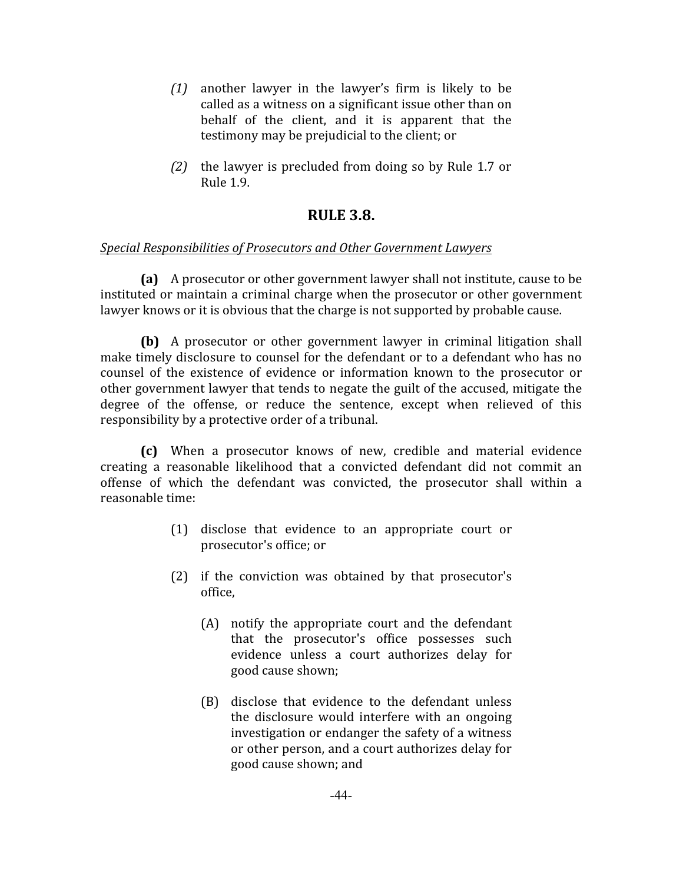- *(1)* another lawyer in the lawyer's firm is likely to be called as a witness on a significant issue other than on behalf of the client, and it is apparent that the testimony may be prejudicial to the client; or
- *(2)* the lawyer is precluded from doing so by Rule 1.7 or Rule 1.9.

# **RULE 3.8.**

## *Special Responsibilities of Prosecutors and Other Government Lawyers*

**(a)** A prosecutor or other government lawyer shall not institute, cause to be instituted or maintain a criminal charge when the prosecutor or other government lawyer knows or it is obvious that the charge is not supported by probable cause.

**(b)** A prosecutor or other government lawyer in criminal litigation shall make timely disclosure to counsel for the defendant or to a defendant who has no counsel of the existence of evidence or information known to the prosecutor or other government lawyer that tends to negate the guilt of the accused, mitigate the degree of the offense, or reduce the sentence, except when relieved of this responsibility by a protective order of a tribunal.

**(c)** When a prosecutor knows of new, credible and material evidence creating a reasonable likelihood that a convicted defendant did not commit an offense of which the defendant was convicted, the prosecutor shall within a reasonable time:

- (1) disclose that evidence to an appropriate court or prosecutor's office; or
- (2) if the conviction was obtained by that prosecutor's office,
	- (A) notify the appropriate court and the defendant that the prosecutor's office possesses such evidence unless a court authorizes delay for good cause shown;
	- (B) disclose that evidence to the defendant unless the disclosure would interfere with an ongoing investigation or endanger the safety of a witness or other person, and a court authorizes delay for good cause shown; and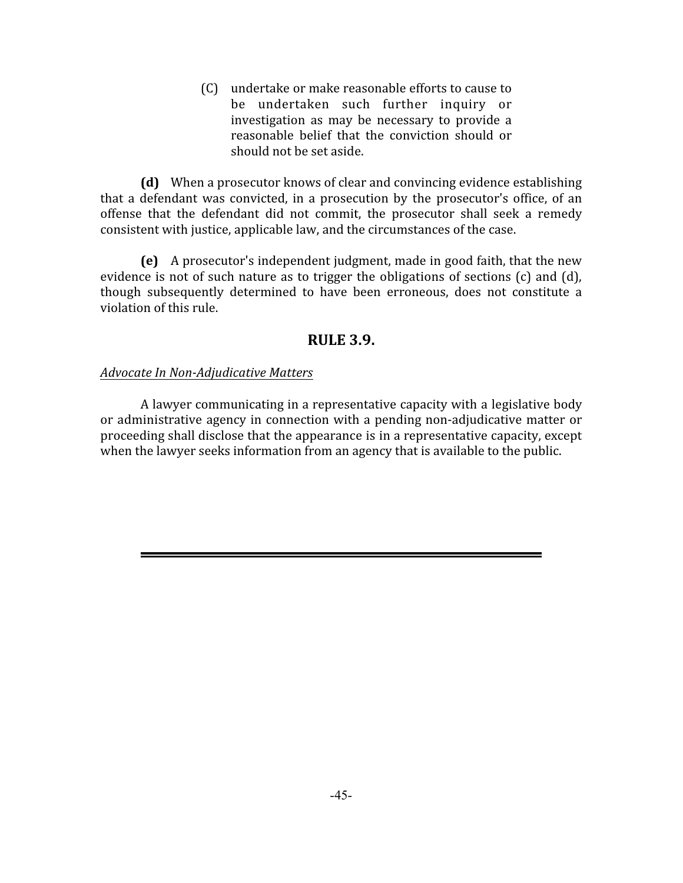(C) undertake or make reasonable efforts to cause to be undertaken such further inquiry or investigation as may be necessary to provide a reasonable belief that the conviction should or should not be set aside.

**(d)** When a prosecutor knows of clear and convincing evidence establishing that a defendant was convicted, in a prosecution by the prosecutor's office, of an offense that the defendant did not commit, the prosecutor shall seek a remedy consistent with justice, applicable law, and the circumstances of the case.

**(e)** A prosecutor's independent judgment, made in good faith, that the new evidence is not of such nature as to trigger the obligations of sections (c) and (d), though subsequently determined to have been erroneous, does not constitute a violation of this rule.

# **RULE 3.9.**

#### *Advocate In Non-Adjudicative Matters*

A lawyer communicating in a representative capacity with a legislative body or administrative agency in connection with a pending non-adjudicative matter or proceeding shall disclose that the appearance is in a representative capacity, except when the lawyer seeks information from an agency that is available to the public.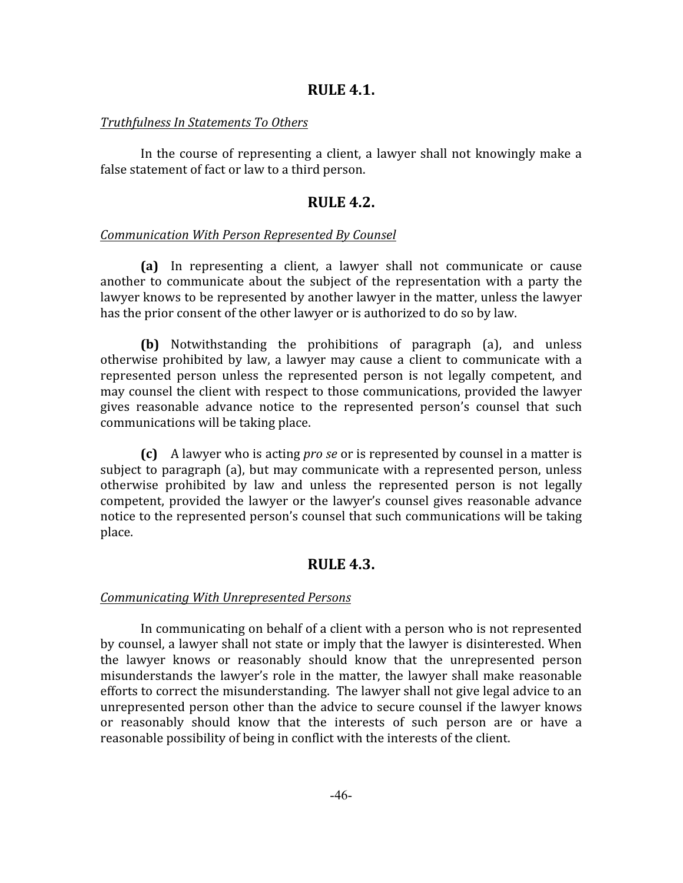#### **RULE 4.1.**

#### *Truthfulness In Statements To Others*

In the course of representing a client, a lawyer shall not knowingly make a false statement of fact or law to a third person.

#### **RULE 4.2.**

#### *Communication With Person Represented By Counsel*

**(a)** In representing a client, a lawyer shall not communicate or cause another to communicate about the subject of the representation with a party the lawyer knows to be represented by another lawyer in the matter, unless the lawyer has the prior consent of the other lawyer or is authorized to do so by law.

**(b)** Notwithstanding the prohibitions of paragraph (a), and unless otherwise prohibited by law, a lawyer may cause a client to communicate with a represented person unless the represented person is not legally competent, and may counsel the client with respect to those communications, provided the lawyer gives reasonable advance notice to the represented person's counsel that such communications will be taking place.

**(c)** A lawyer who is acting *pro se* or is represented by counsel in a matter is subject to paragraph (a), but may communicate with a represented person, unless otherwise prohibited by law and unless the represented person is not legally competent, provided the lawyer or the lawyer's counsel gives reasonable advance notice to the represented person's counsel that such communications will be taking place.

## **RULE 4.3.**

#### *Communicating With Unrepresented Persons*

In communicating on behalf of a client with a person who is not represented by counsel, a lawyer shall not state or imply that the lawyer is disinterested. When the lawyer knows or reasonably should know that the unrepresented person misunderstands the lawyer's role in the matter, the lawyer shall make reasonable efforts to correct the misunderstanding. The lawyer shall not give legal advice to an unrepresented person other than the advice to secure counsel if the lawyer knows or reasonably should know that the interests of such person are or have a reasonable possibility of being in conflict with the interests of the client.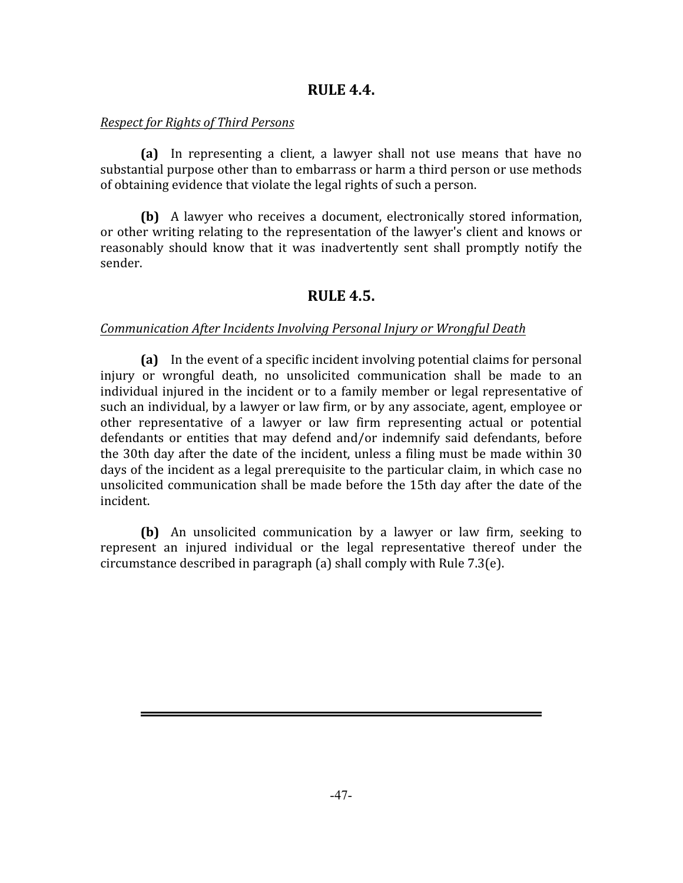## **RULE 4.4.**

#### *Respect for Rights of Third Persons*

**(a)** In representing a client, a lawyer shall not use means that have no substantial purpose other than to embarrass or harm a third person or use methods of obtaining evidence that violate the legal rights of such a person.

**(b)** A lawyer who receives a document, electronically stored information, or other writing relating to the representation of the lawyer's client and knows or reasonably should know that it was inadvertently sent shall promptly notify the sender.

# **RULE 4.5.**

## *Communication After Incidents Involving Personal Injury or Wrongful Death*

**(a)** In the event of a specific incident involving potential claims for personal injury or wrongful death, no unsolicited communication shall be made to an individual injured in the incident or to a family member or legal representative of such an individual, by a lawyer or law firm, or by any associate, agent, employee or other representative of a lawyer or law firm representing actual or potential defendants or entities that may defend and/or indemnify said defendants, before the 30th day after the date of the incident, unless a filing must be made within 30 days of the incident as a legal prerequisite to the particular claim, in which case no unsolicited communication shall be made before the 15th day after the date of the incident.

**(b)** An unsolicited communication by a lawyer or law firm, seeking to represent an injured individual or the legal representative thereof under the circumstance described in paragraph (a) shall comply with Rule 7.3(e).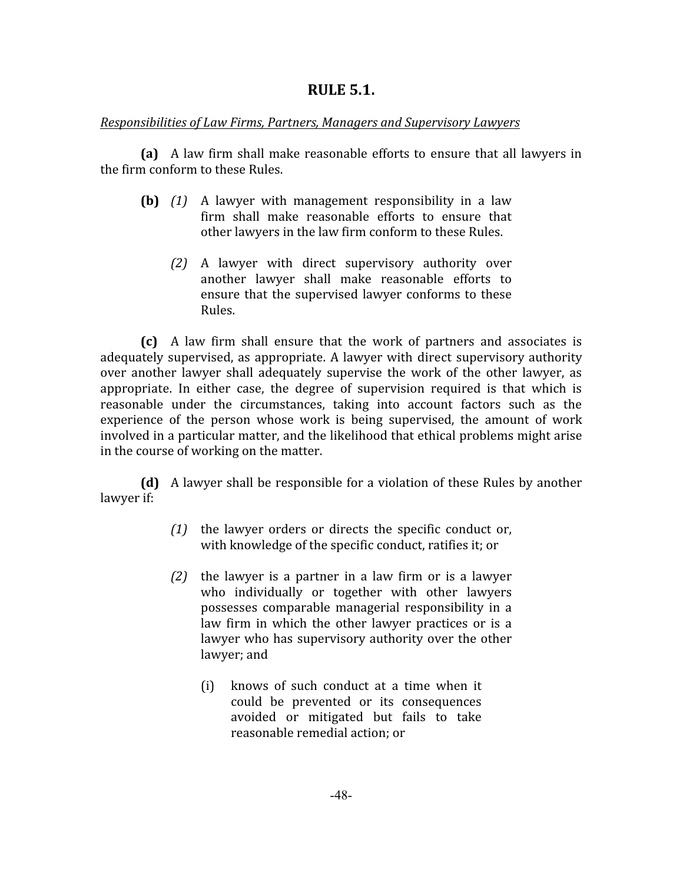# **RULE 5.1.**

## *Responsibilities of Law Firms, Partners, Managers and Supervisory Lawyers*

**(a)** A law firm shall make reasonable efforts to ensure that all lawyers in the firm conform to these Rules.

- **(b)** *(1)* A lawyer with management responsibility in a law firm shall make reasonable efforts to ensure that other lawyers in the law firm conform to these Rules.
	- *(2)* A lawyer with direct supervisory authority over another lawyer shall make reasonable efforts to ensure that the supervised lawyer conforms to these Rules.

**(c)** A law firm shall ensure that the work of partners and associates is adequately supervised, as appropriate. A lawyer with direct supervisory authority over another lawyer shall adequately supervise the work of the other lawyer, as appropriate. In either case, the degree of supervision required is that which is reasonable under the circumstances, taking into account factors such as the experience of the person whose work is being supervised, the amount of work involved in a particular matter, and the likelihood that ethical problems might arise in the course of working on the matter.

**(d)** A lawyer shall be responsible for a violation of these Rules by another lawyer if:

- *(1)* the lawyer orders or directs the specific conduct or, with knowledge of the specific conduct, ratifies it; or
- *(2)* the lawyer is a partner in a law firm or is a lawyer who individually or together with other lawyers possesses comparable managerial responsibility in a law firm in which the other lawyer practices or is a lawyer who has supervisory authority over the other lawyer; and
	- (i) knows of such conduct at a time when it could be prevented or its consequences avoided or mitigated but fails to take reasonable remedial action; or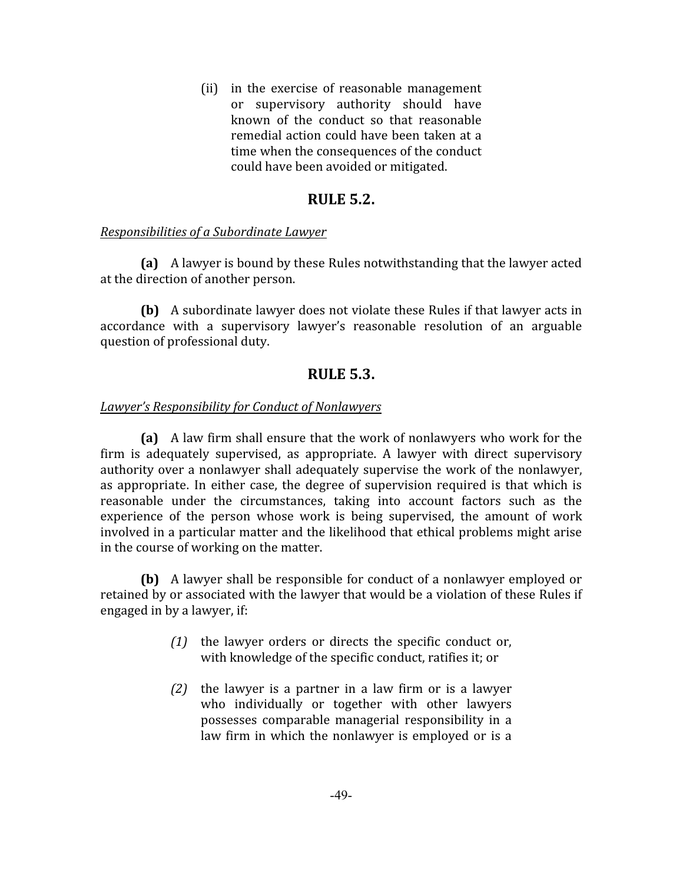(ii) in the exercise of reasonable management or supervisory authority should have known of the conduct so that reasonable remedial action could have been taken at a time when the consequences of the conduct could have been avoided or mitigated.

## **RULE 5.2.**

#### *Responsibilities of a Subordinate Lawyer*

**(a)** A lawyer is bound by these Rules notwithstanding that the lawyer acted at the direction of another person.

**(b)** A subordinate lawyer does not violate these Rules if that lawyer acts in accordance with a supervisory lawyer's reasonable resolution of an arguable question of professional duty.

## **RULE 5.3.**

#### *Lawyer's Responsibility for Conduct of Nonlawyers*

**(a)** A law firm shall ensure that the work of nonlawyers who work for the firm is adequately supervised, as appropriate. A lawyer with direct supervisory authority over a nonlawyer shall adequately supervise the work of the nonlawyer, as appropriate. In either case, the degree of supervision required is that which is reasonable under the circumstances, taking into account factors such as the experience of the person whose work is being supervised, the amount of work involved in a particular matter and the likelihood that ethical problems might arise in the course of working on the matter.

**(b)** A lawyer shall be responsible for conduct of a nonlawyer employed or retained by or associated with the lawyer that would be a violation of these Rules if engaged in by a lawyer, if:

- *(1)* the lawyer orders or directs the specific conduct or, with knowledge of the specific conduct, ratifies it; or
- *(2)* the lawyer is a partner in a law firm or is a lawyer who individually or together with other lawyers possesses comparable managerial responsibility in a law firm in which the nonlawyer is employed or is a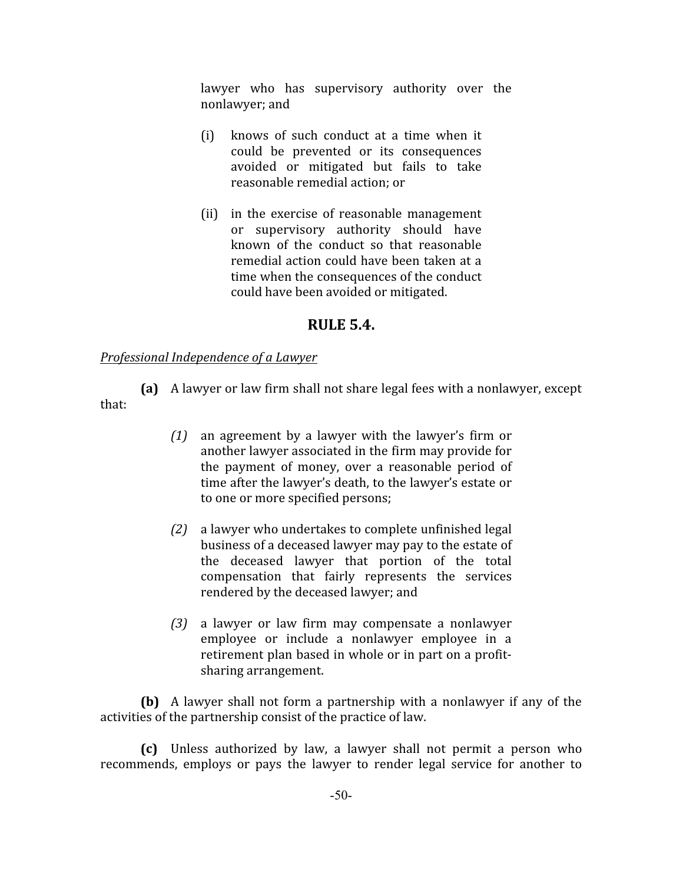lawyer who has supervisory authority over the nonlawyer; and

- (i) knows of such conduct at a time when it could be prevented or its consequences avoided or mitigated but fails to take reasonable remedial action; or
- (ii) in the exercise of reasonable management or supervisory authority should have known of the conduct so that reasonable remedial action could have been taken at a time when the consequences of the conduct could have been avoided or mitigated.

# **RULE 5.4.**

## *Professional Independence of a Lawyer*

**(a)** A lawyer or law firm shall not share legal fees with a nonlawyer, except that:

- *(1)* an agreement by a lawyer with the lawyer's firm or another lawyer associated in the firm may provide for the payment of money, over a reasonable period of time after the lawyer's death, to the lawyer's estate or to one or more specified persons;
- *(2)* a lawyer who undertakes to complete unfinished legal business of a deceased lawyer may pay to the estate of the deceased lawyer that portion of the total compensation that fairly represents the services rendered by the deceased lawyer; and
- *(3)* a lawyer or law firm may compensate a nonlawyer employee or include a nonlawyer employee in a retirement plan based in whole or in part on a profitsharing arrangement.

**(b)** A lawyer shall not form a partnership with a nonlawyer if any of the activities of the partnership consist of the practice of law.

**(c)** Unless authorized by law, a lawyer shall not permit a person who recommends, employs or pays the lawyer to render legal service for another to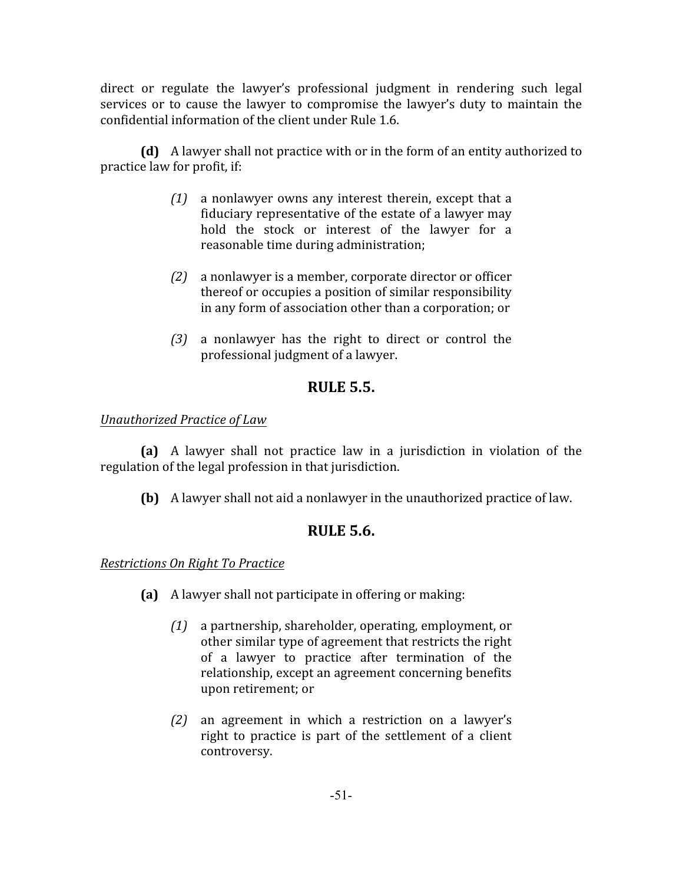direct or regulate the lawyer's professional judgment in rendering such legal services or to cause the lawyer to compromise the lawyer's duty to maintain the confidential information of the client under Rule 1.6.

**(d)** A lawyer shall not practice with or in the form of an entity authorized to practice law for profit, if:

- *(1)* a nonlawyer owns any interest therein, except that a fiduciary representative of the estate of a lawyer may hold the stock or interest of the lawyer for a reasonable time during administration;
- *(2)* a nonlawyer is a member, corporate director or officer thereof or occupies a position of similar responsibility in any form of association other than a corporation; or
- *(3)* a nonlawyer has the right to direct or control the professional judgment of a lawyer.

# **RULE 5.5.**

# *Unauthorized Practice of Law*

**(a)** A lawyer shall not practice law in a jurisdiction in violation of the regulation of the legal profession in that jurisdiction.

**(b)** A lawyer shall not aid a nonlawyer in the unauthorized practice of law.

# **RULE 5.6.**

*Restrictions On Right To Practice*

- **(a)** A lawyer shall not participate in offering or making:
	- *(1)* a partnership, shareholder, operating, employment, or other similar type of agreement that restricts the right of a lawyer to practice after termination of the relationship, except an agreement concerning benefits upon retirement; or
	- *(2)* an agreement in which a restriction on a lawyer's right to practice is part of the settlement of a client controversy.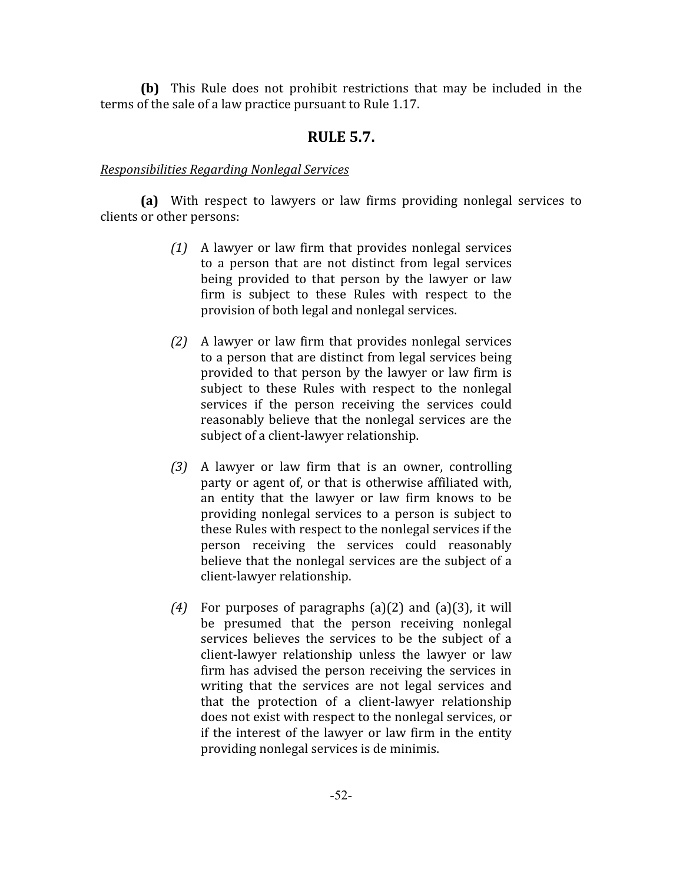**(b)** This Rule does not prohibit restrictions that may be included in the terms of the sale of a law practice pursuant to Rule 1.17.

# **RULE 5.7.**

## *Responsibilities Regarding Nonlegal Services*

**(a)** With respect to lawyers or law firms providing nonlegal services to clients or other persons:

- *(1)* A lawyer or law firm that provides nonlegal services to a person that are not distinct from legal services being provided to that person by the lawyer or law firm is subject to these Rules with respect to the provision of both legal and nonlegal services.
- *(2)* A lawyer or law firm that provides nonlegal services to a person that are distinct from legal services being provided to that person by the lawyer or law firm is subject to these Rules with respect to the nonlegal services if the person receiving the services could reasonably believe that the nonlegal services are the subject of a client-lawyer relationship.
- *(3)* A lawyer or law firm that is an owner, controlling party or agent of, or that is otherwise affiliated with, an entity that the lawyer or law firm knows to be providing nonlegal services to a person is subject to these Rules with respect to the nonlegal services if the person receiving the services could reasonably believe that the nonlegal services are the subject of a client-lawyer relationship.
- *(4)* For purposes of paragraphs (a)(2) and (a)(3), it will be presumed that the person receiving nonlegal services believes the services to be the subject of a client-lawyer relationship unless the lawyer or law firm has advised the person receiving the services in writing that the services are not legal services and that the protection of a client-lawyer relationship does not exist with respect to the nonlegal services, or if the interest of the lawyer or law firm in the entity providing nonlegal services is de minimis.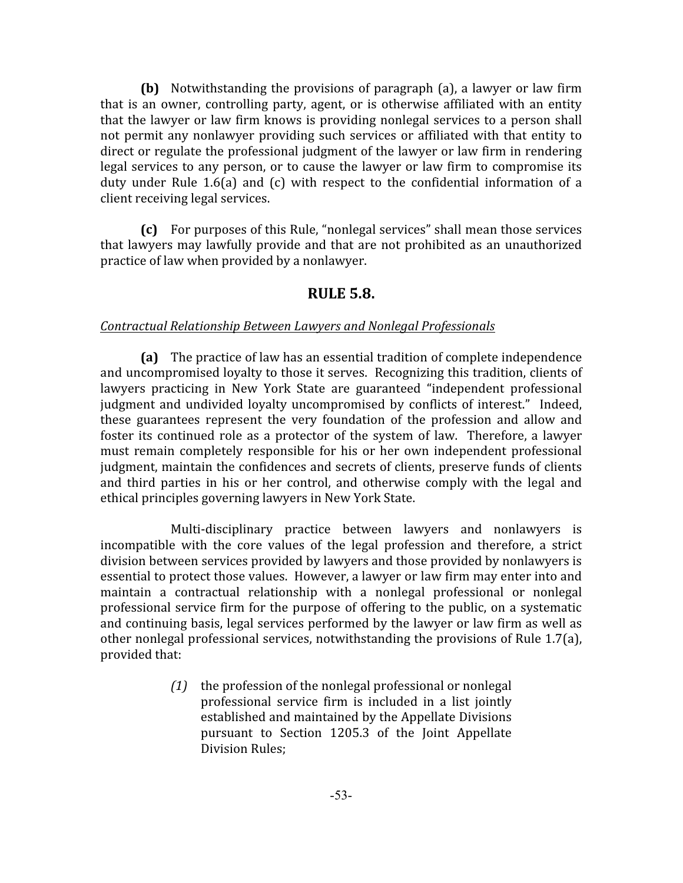**(b)** Notwithstanding the provisions of paragraph (a), a lawyer or law firm that is an owner, controlling party, agent, or is otherwise affiliated with an entity that the lawyer or law firm knows is providing nonlegal services to a person shall not permit any nonlawyer providing such services or affiliated with that entity to direct or regulate the professional judgment of the lawyer or law firm in rendering legal services to any person, or to cause the lawyer or law firm to compromise its duty under Rule 1.6(a) and (c) with respect to the confidential information of a client receiving legal services.

**(c)** For purposes of this Rule, "nonlegal services" shall mean those services that lawyers may lawfully provide and that are not prohibited as an unauthorized practice of law when provided by a nonlawyer.

## **RULE 5.8.**

#### *Contractual Relationship Between Lawyers and Nonlegal Professionals*

**(a)** The practice of law has an essential tradition of complete independence and uncompromised loyalty to those it serves. Recognizing this tradition, clients of lawyers practicing in New York State are guaranteed "independent professional judgment and undivided loyalty uncompromised by conflicts of interest." Indeed, these guarantees represent the very foundation of the profession and allow and foster its continued role as a protector of the system of law. Therefore, a lawyer must remain completely responsible for his or her own independent professional judgment, maintain the confidences and secrets of clients, preserve funds of clients and third parties in his or her control, and otherwise comply with the legal and ethical principles governing lawyers in New York State.

Multi-disciplinary practice between lawyers and nonlawyers is incompatible with the core values of the legal profession and therefore, a strict division between services provided by lawyers and those provided by nonlawyers is essential to protect those values. However, a lawyer or law firm may enter into and maintain a contractual relationship with a nonlegal professional or nonlegal professional service firm for the purpose of offering to the public, on a systematic and continuing basis, legal services performed by the lawyer or law firm as well as other nonlegal professional services, notwithstanding the provisions of Rule 1.7(a), provided that:

> *(1)* the profession of the nonlegal professional or nonlegal professional service firm is included in a list jointly established and maintained by the Appellate Divisions pursuant to Section 1205.3 of the Joint Appellate Division Rules;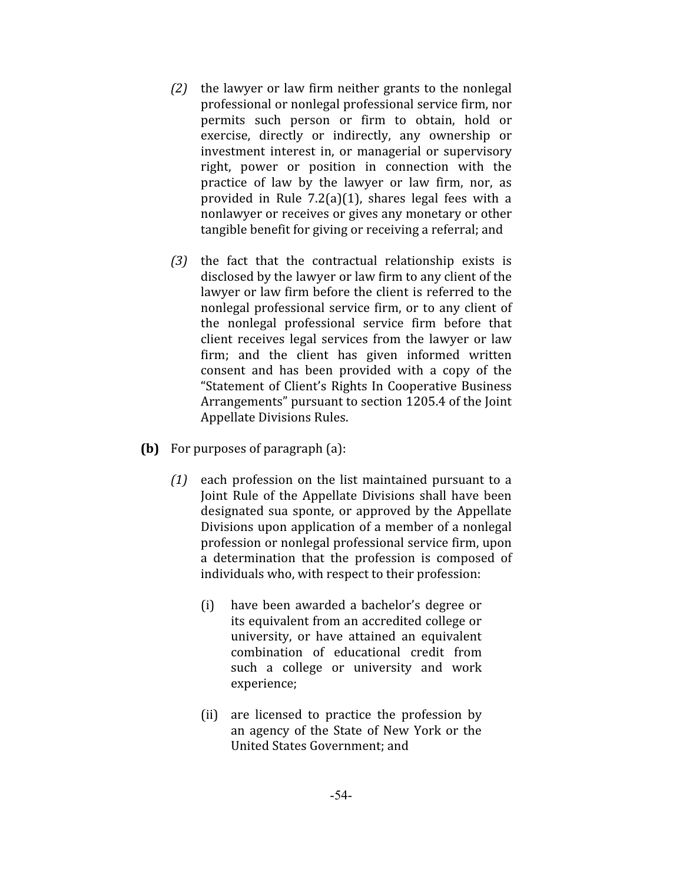- *(2)* the lawyer or law firm neither grants to the nonlegal professional or nonlegal professional service firm, nor permits such person or firm to obtain, hold or exercise, directly or indirectly, any ownership or investment interest in, or managerial or supervisory right, power or position in connection with the practice of law by the lawyer or law firm, nor, as provided in Rule 7.2(a)(1), shares legal fees with a nonlawyer or receives or gives any monetary or other tangible benefit for giving or receiving a referral; and
- *(3)* the fact that the contractual relationship exists is disclosed by the lawyer or law firm to any client of the lawyer or law firm before the client is referred to the nonlegal professional service firm, or to any client of the nonlegal professional service firm before that client receives legal services from the lawyer or law firm; and the client has given informed written consent and has been provided with a copy of the "Statement of Client's Rights In Cooperative Business Arrangements" pursuant to section 1205.4 of the Joint Appellate Divisions Rules.
- **(b)** For purposes of paragraph (a):
	- *(1)* each profession on the list maintained pursuant to a Joint Rule of the Appellate Divisions shall have been designated sua sponte, or approved by the Appellate Divisions upon application of a member of a nonlegal profession or nonlegal professional service firm, upon a determination that the profession is composed of individuals who, with respect to their profession:
		- (i) have been awarded a bachelor's degree or its equivalent from an accredited college or university, or have attained an equivalent combination of educational credit from such a college or university and work experience;
		- (ii) are licensed to practice the profession by an agency of the State of New York or the United States Government; and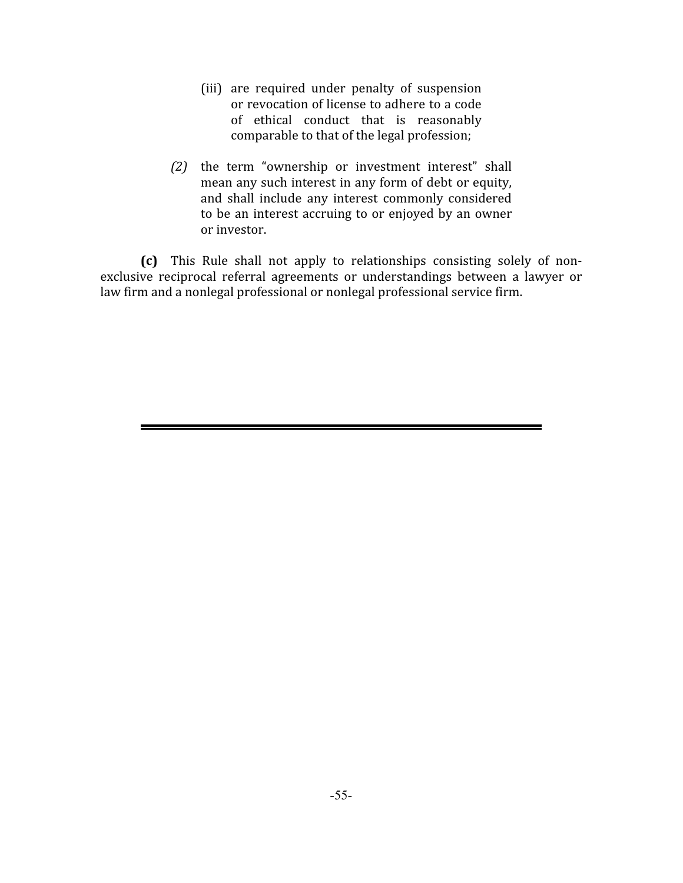- (iii) are required under penalty of suspension or revocation of license to adhere to a code of ethical conduct that is reasonably comparable to that of the legal profession;
- *(2)* the term "ownership or investment interest" shall mean any such interest in any form of debt or equity, and shall include any interest commonly considered to be an interest accruing to or enjoyed by an owner or investor.

**(c)** This Rule shall not apply to relationships consisting solely of nonexclusive reciprocal referral agreements or understandings between a lawyer or law firm and a nonlegal professional or nonlegal professional service firm.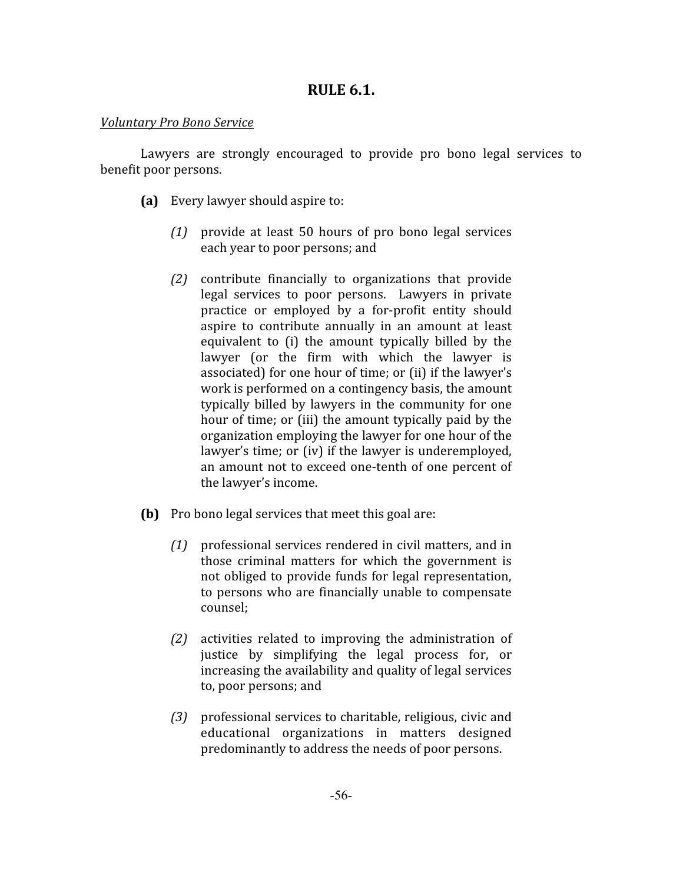# **RULE 6.1.**

#### *Voluntary Pro Bono Service*

Lawyers are strongly encouraged to provide pro bono legal services to benefit poor persons.

- **(a)** Every lawyer should aspire to:
	- *(1)* provide at least 50 hours of pro bono legal services each year to poor persons; and
	- *(2)* contribute financially to organizations that provide legal services to poor persons. Lawyers in private practice or employed by a for-profit entity should aspire to contribute annually in an amount at least equivalent to (i) the amount typically billed by the lawyer (or the firm with which the lawyer is associated) for one hour of time; or (ii) if the lawyer's work is performed on a contingency basis, the amount typically billed by lawyers in the community for one hour of time; or (iii) the amount typically paid by the organization employing the lawyer for one hour of the lawyer's time; or (iv) if the lawyer is underemployed, an amount not to exceed one-tenth of one percent of the lawyer's income.
- **(b)** Pro bono legal services that meet this goal are:
	- *(1)* professional services rendered in civil matters, and in those criminal matters for which the government is not obliged to provide funds for legal representation, to persons who are financially unable to compensate counsel;
	- *(2)* activities related to improving the administration of justice by simplifying the legal process for, or increasing the availability and quality of legal services to, poor persons; and
	- *(3)* professional services to charitable, religious, civic and educational organizations in matters designed predominantly to address the needs of poor persons.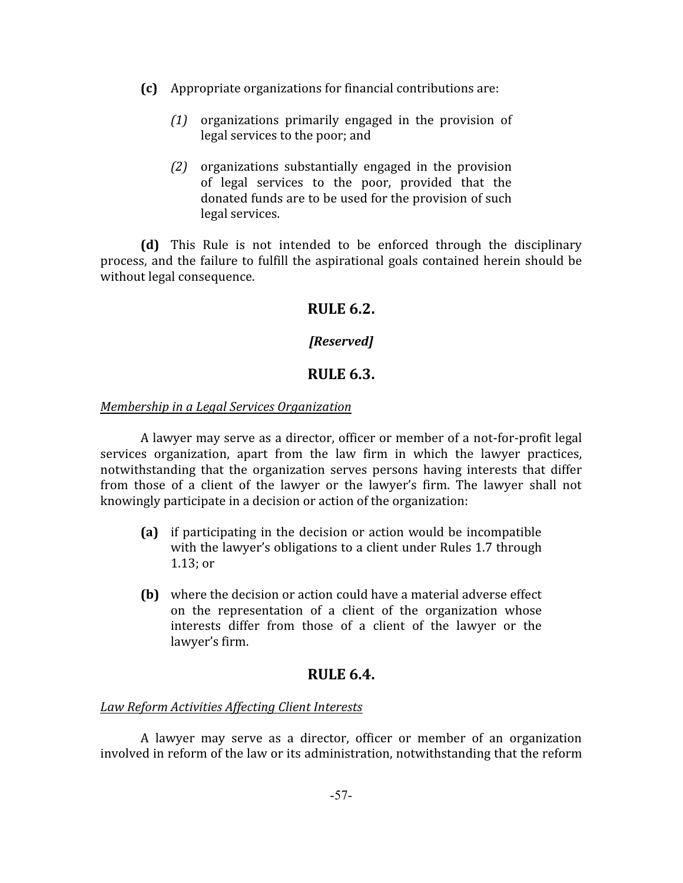- **(c)** Appropriate organizations for financial contributions are:
	- *(1)* organizations primarily engaged in the provision of legal services to the poor; and
	- *(2)* organizations substantially engaged in the provision of legal services to the poor, provided that the donated funds are to be used for the provision of such legal services.

**(d)** This Rule is not intended to be enforced through the disciplinary process, and the failure to fulfill the aspirational goals contained herein should be without legal consequence.

# **RULE 6.2.**

# *[Reserved]*

# **RULE 6.3.**

## *Membership in a Legal Services Organization*

A lawyer may serve as a director, officer or member of a not-for-profit legal services organization, apart from the law firm in which the lawyer practices, notwithstanding that the organization serves persons having interests that differ from those of a client of the lawyer or the lawyer's firm. The lawyer shall not knowingly participate in a decision or action of the organization:

- **(a)** if participating in the decision or action would be incompatible with the lawyer's obligations to a client under Rules 1.7 through 1.13; or
- **(b)** where the decision or action could have a material adverse effect on the representation of a client of the organization whose interests differ from those of a client of the lawyer or the lawyer's firm.

# **RULE 6.4.**

## *Law Reform Activities Affecting Client Interests*

A lawyer may serve as a director, officer or member of an organization involved in reform of the law or its administration, notwithstanding that the reform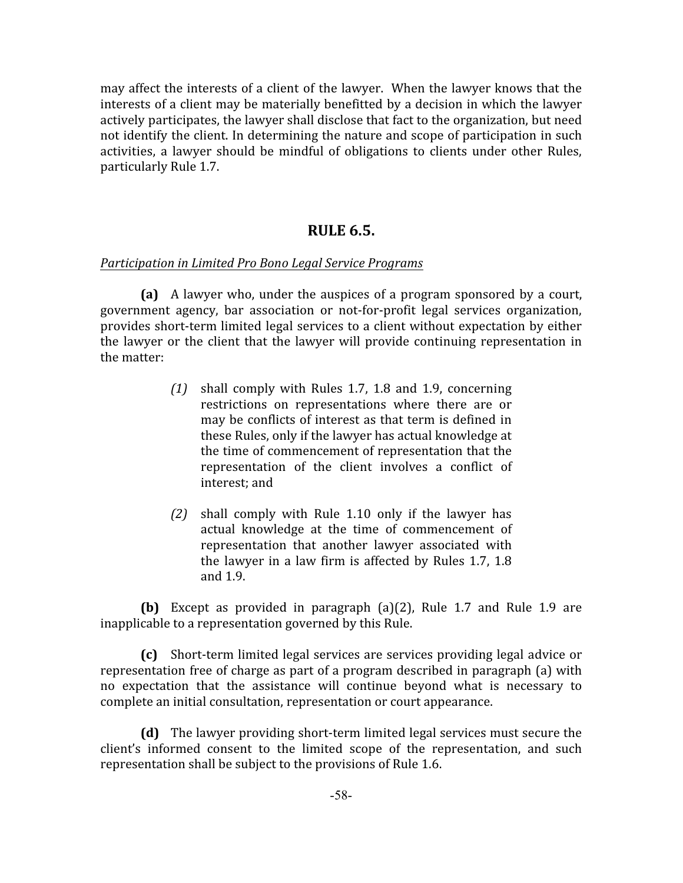may affect the interests of a client of the lawyer. When the lawyer knows that the interests of a client may be materially benefitted by a decision in which the lawyer actively participates, the lawyer shall disclose that fact to the organization, but need not identify the client. In determining the nature and scope of participation in such activities, a lawyer should be mindful of obligations to clients under other Rules, particularly Rule 1.7.

#### **RULE 6.5.**

#### *Participation in Limited Pro Bono Legal Service Programs*

**(a)** A lawyer who, under the auspices of a program sponsored by a court, government agency, bar association or not-for-profit legal services organization, provides short-term limited legal services to a client without expectation by either the lawyer or the client that the lawyer will provide continuing representation in the matter:

- *(1)* shall comply with Rules 1.7, 1.8 and 1.9, concerning restrictions on representations where there are or may be conflicts of interest as that term is defined in these Rules, only if the lawyer has actual knowledge at the time of commencement of representation that the representation of the client involves a conflict of interest; and
- *(2)* shall comply with Rule 1.10 only if the lawyer has actual knowledge at the time of commencement of representation that another lawyer associated with the lawyer in a law firm is affected by Rules 1.7, 1.8 and 1.9.

**(b)** Except as provided in paragraph (a)(2), Rule 1.7 and Rule 1.9 are inapplicable to a representation governed by this Rule.

**(c)** Short-term limited legal services are services providing legal advice or representation free of charge as part of a program described in paragraph (a) with no expectation that the assistance will continue beyond what is necessary to complete an initial consultation, representation or court appearance.

**(d)** The lawyer providing short-term limited legal services must secure the client's informed consent to the limited scope of the representation, and such representation shall be subject to the provisions of Rule 1.6.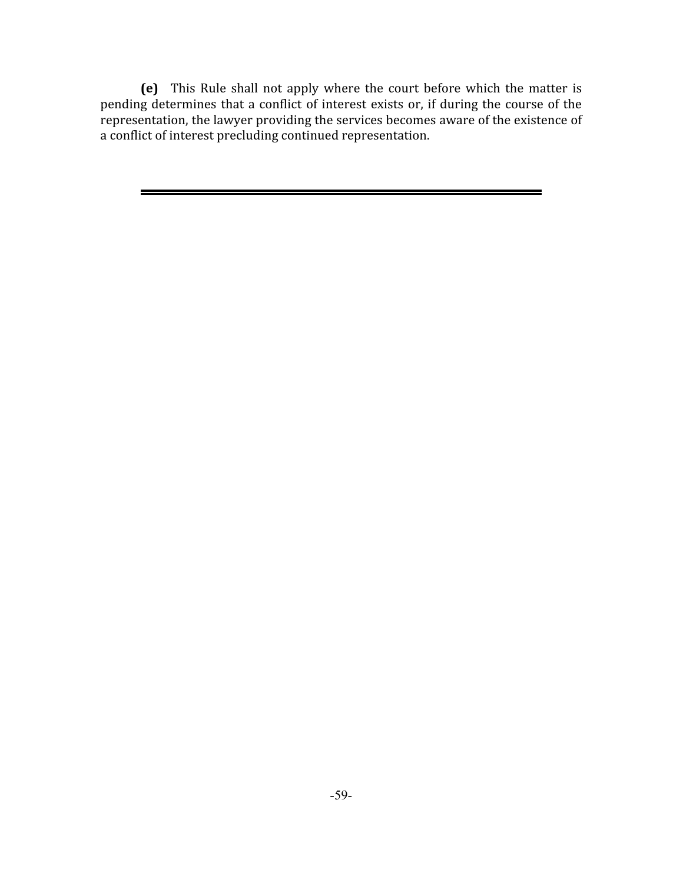**(e)** This Rule shall not apply where the court before which the matter is pending determines that a conflict of interest exists or, if during the course of the representation, the lawyer providing the services becomes aware of the existence of a conflict of interest precluding continued representation.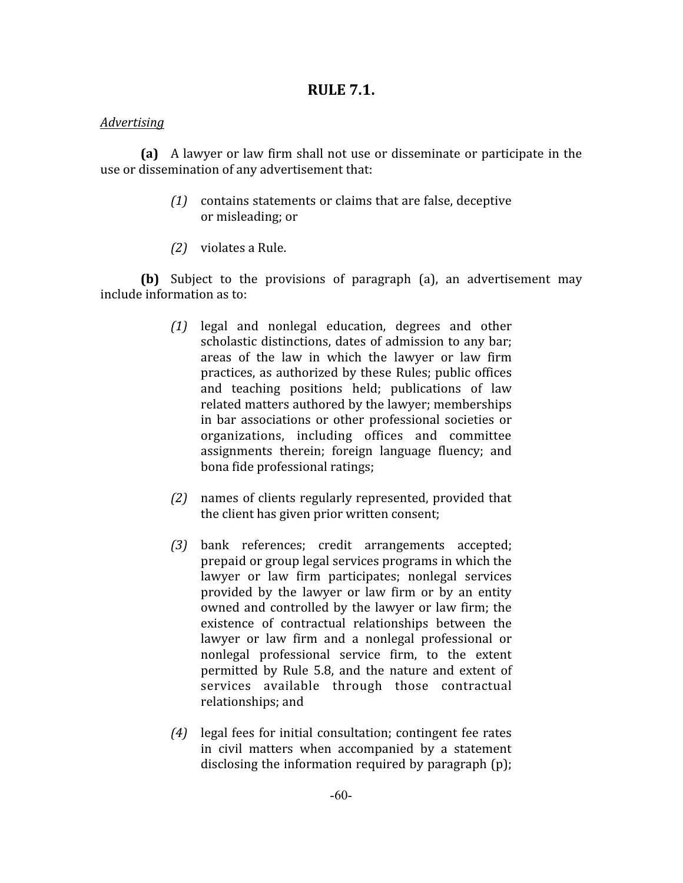## **RULE 7.1.**

#### *Advertising*

**(a)** A lawyer or law firm shall not use or disseminate or participate in the use or dissemination of any advertisement that:

- *(1)* contains statements or claims that are false, deceptive or misleading; or
- *(2)* violates a Rule.

**(b)** Subject to the provisions of paragraph (a), an advertisement may include information as to:

- *(1)* legal and nonlegal education, degrees and other scholastic distinctions, dates of admission to any bar; areas of the law in which the lawyer or law firm practices, as authorized by these Rules; public offices and teaching positions held; publications of law related matters authored by the lawyer; memberships in bar associations or other professional societies or organizations, including offices and committee assignments therein; foreign language fluency; and bona fide professional ratings;
- *(2)* names of clients regularly represented, provided that the client has given prior written consent;
- *(3)* bank references; credit arrangements accepted; prepaid or group legal services programs in which the lawyer or law firm participates; nonlegal services provided by the lawyer or law firm or by an entity owned and controlled by the lawyer or law firm; the existence of contractual relationships between the lawyer or law firm and a nonlegal professional or nonlegal professional service firm, to the extent permitted by Rule 5.8, and the nature and extent of services available through those contractual relationships; and
- *(4)* legal fees for initial consultation; contingent fee rates in civil matters when accompanied by a statement disclosing the information required by paragraph (p);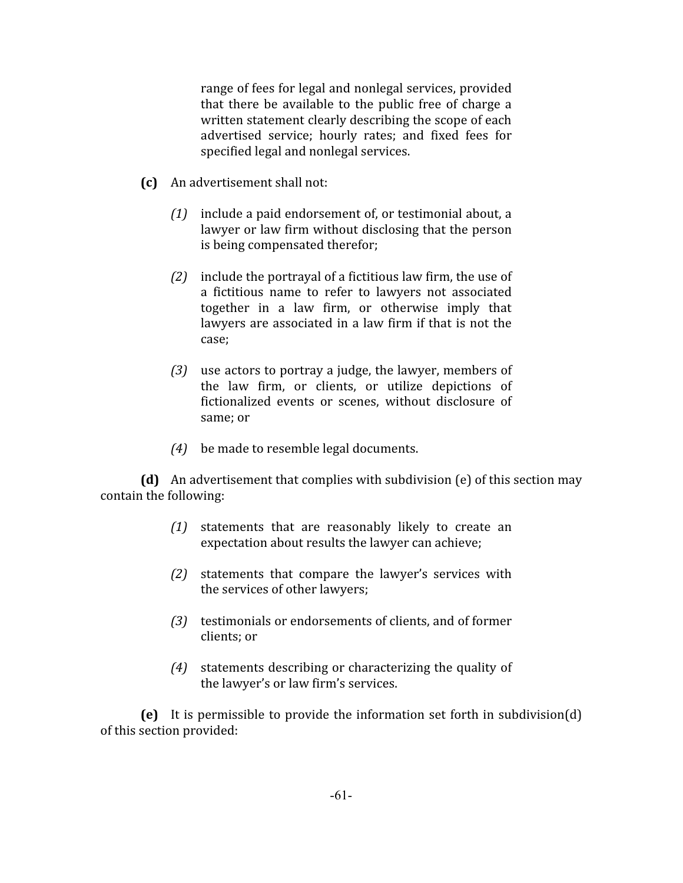range of fees for legal and nonlegal services, provided that there be available to the public free of charge a written statement clearly describing the scope of each advertised service; hourly rates; and fixed fees for specified legal and nonlegal services.

- **(c)** An advertisement shall not:
	- *(1)* include a paid endorsement of, or testimonial about, a lawyer or law firm without disclosing that the person is being compensated therefor;
	- *(2)* include the portrayal of a fictitious law firm, the use of a fictitious name to refer to lawyers not associated together in a law firm, or otherwise imply that lawyers are associated in a law firm if that is not the case;
	- *(3)* use actors to portray a judge, the lawyer, members of the law firm, or clients, or utilize depictions of fictionalized events or scenes, without disclosure of same; or
	- *(4)* be made to resemble legal documents.

**(d)** An advertisement that complies with subdivision (e) of this section may contain the following:

- *(1)* statements that are reasonably likely to create an expectation about results the lawyer can achieve;
- *(2)* statements that compare the lawyer's services with the services of other lawyers;
- *(3)* testimonials or endorsements of clients, and of former clients; or
- *(4)* statements describing or characterizing the quality of the lawyer's or law firm's services.

**(e)** It is permissible to provide the information set forth in subdivision(d) of this section provided: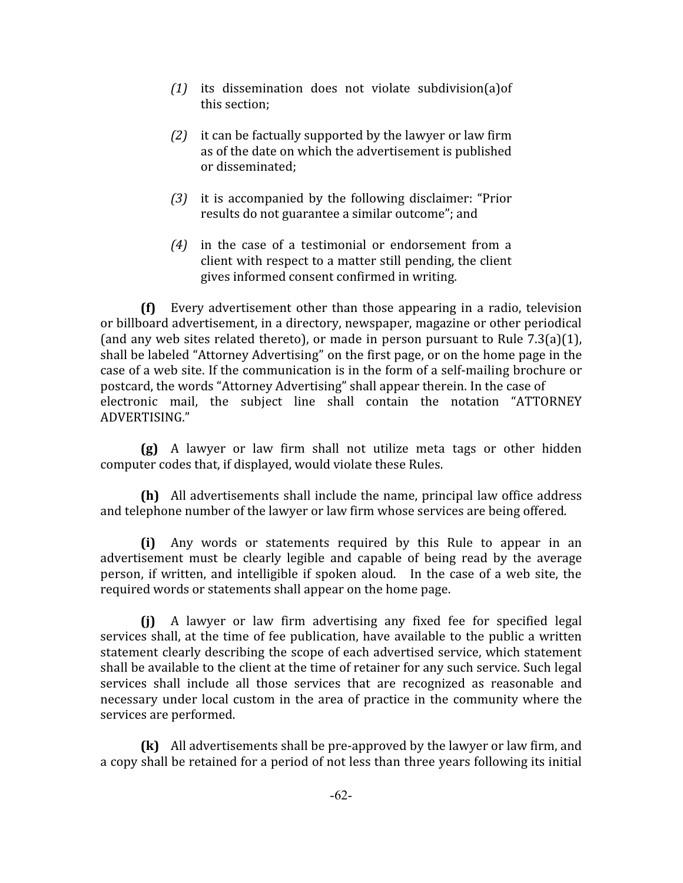- *(1)* its dissemination does not violate subdivision(a)of this section;
- *(2)* it can be factually supported by the lawyer or law firm as of the date on which the advertisement is published or disseminated;
- *(3)* it is accompanied by the following disclaimer: "Prior results do not guarantee a similar outcome"; and
- *(4)* in the case of a testimonial or endorsement from a client with respect to a matter still pending, the client gives informed consent confirmed in writing.

**(f)** Every advertisement other than those appearing in a radio, television or billboard advertisement, in a directory, newspaper, magazine or other periodical (and any web sites related thereto), or made in person pursuant to Rule  $7.3(a)(1)$ , shall be labeled "Attorney Advertising" on the first page, or on the home page in the case of a web site. If the communication is in the form of a self-mailing brochure or postcard, the words "Attorney Advertising" shall appear therein. In the case of electronic mail, the subject line shall contain the notation "ATTORNEY ADVERTISING."

**(g)** A lawyer or law firm shall not utilize meta tags or other hidden computer codes that, if displayed, would violate these Rules.

**(h)** All advertisements shall include the name, principal law office address and telephone number of the lawyer or law firm whose services are being offered.

**(i)** Any words or statements required by this Rule to appear in an advertisement must be clearly legible and capable of being read by the average person, if written, and intelligible if spoken aloud. In the case of a web site, the required words or statements shall appear on the home page.

**(j)** A lawyer or law firm advertising any fixed fee for specified legal services shall, at the time of fee publication, have available to the public a written statement clearly describing the scope of each advertised service, which statement shall be available to the client at the time of retainer for any such service. Such legal services shall include all those services that are recognized as reasonable and necessary under local custom in the area of practice in the community where the services are performed.

**(k)** All advertisements shall be pre-approved by the lawyer or law firm, and a copy shall be retained for a period of not less than three years following its initial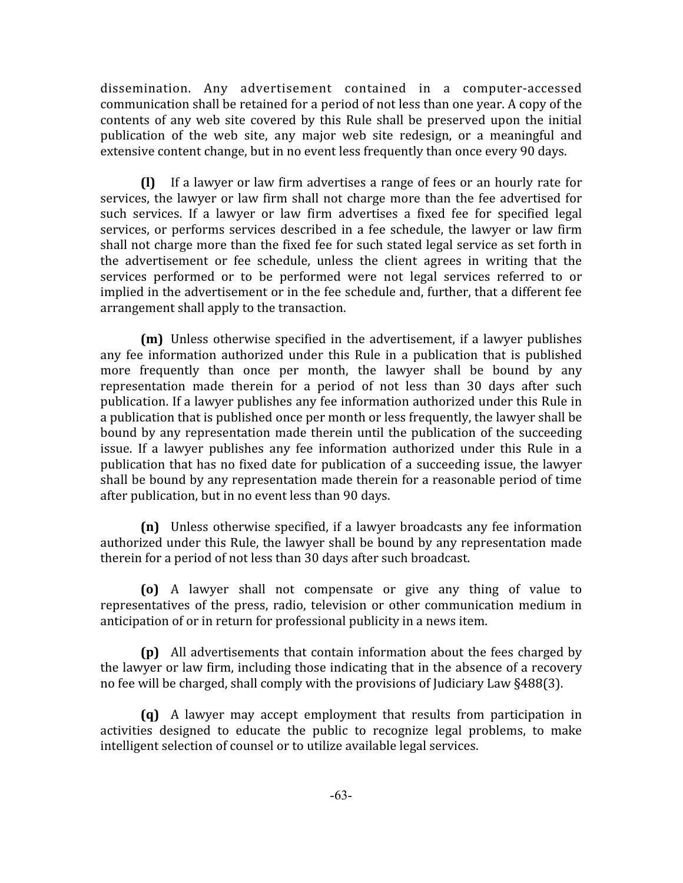dissemination. Any advertisement contained in a computer-accessed communication shall be retained for a period of not less than one year. A copy of the contents of any web site covered by this Rule shall be preserved upon the initial publication of the web site, any major web site redesign, or a meaningful and extensive content change, but in no event less frequently than once every 90 days.

**(l)** If a lawyer or law firm advertises a range of fees or an hourly rate for services, the lawyer or law firm shall not charge more than the fee advertised for such services. If a lawyer or law firm advertises a fixed fee for specified legal services, or performs services described in a fee schedule, the lawyer or law firm shall not charge more than the fixed fee for such stated legal service as set forth in the advertisement or fee schedule, unless the client agrees in writing that the services performed or to be performed were not legal services referred to or implied in the advertisement or in the fee schedule and, further, that a different fee arrangement shall apply to the transaction.

**(m)** Unless otherwise specified in the advertisement, if a lawyer publishes any fee information authorized under this Rule in a publication that is published more frequently than once per month, the lawyer shall be bound by any representation made therein for a period of not less than 30 days after such publication. If a lawyer publishes any fee information authorized under this Rule in a publication that is published once per month or less frequently, the lawyer shall be bound by any representation made therein until the publication of the succeeding issue. If a lawyer publishes any fee information authorized under this Rule in a publication that has no fixed date for publication of a succeeding issue, the lawyer shall be bound by any representation made therein for a reasonable period of time after publication, but in no event less than 90 days.

**(n)** Unless otherwise specified, if a lawyer broadcasts any fee information authorized under this Rule, the lawyer shall be bound by any representation made therein for a period of not less than 30 days after such broadcast.

**(o)** A lawyer shall not compensate or give any thing of value to representatives of the press, radio, television or other communication medium in anticipation of or in return for professional publicity in a news item.

**(p)** All advertisements that contain information about the fees charged by the lawyer or law firm, including those indicating that in the absence of a recovery no fee will be charged, shall comply with the provisions of Judiciary Law §488(3).

**(q)** A lawyer may accept employment that results from participation in activities designed to educate the public to recognize legal problems, to make intelligent selection of counsel or to utilize available legal services.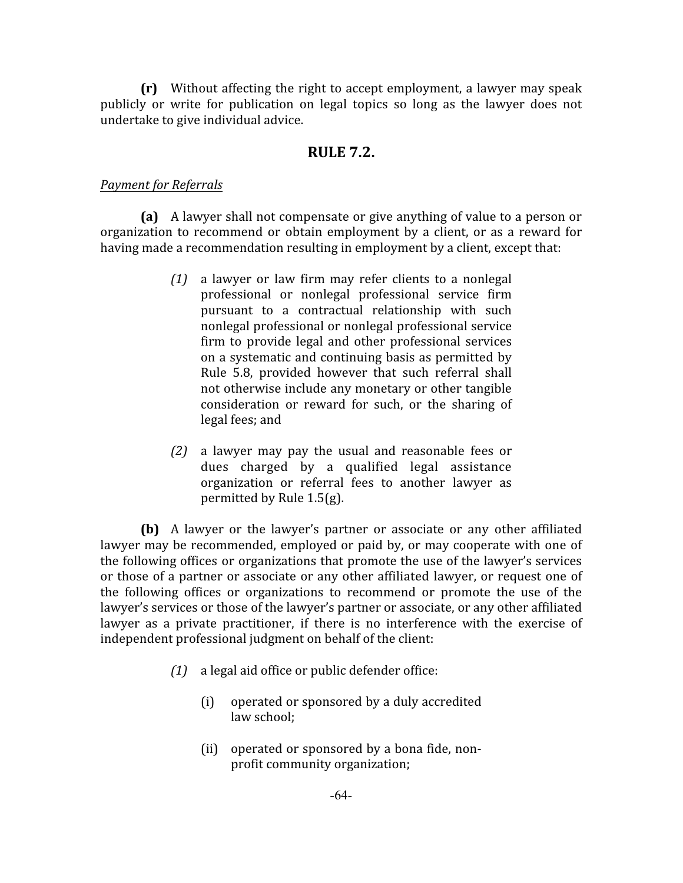**(r)** Without affecting the right to accept employment, a lawyer may speak publicly or write for publication on legal topics so long as the lawyer does not undertake to give individual advice.

## **RULE 7.2.**

#### *Payment for Referrals*

**(a)** A lawyer shall not compensate or give anything of value to a person or organization to recommend or obtain employment by a client, or as a reward for having made a recommendation resulting in employment by a client, except that:

- *(1)* a lawyer or law firm may refer clients to a nonlegal professional or nonlegal professional service firm pursuant to a contractual relationship with such nonlegal professional or nonlegal professional service firm to provide legal and other professional services on a systematic and continuing basis as permitted by Rule 5.8, provided however that such referral shall not otherwise include any monetary or other tangible consideration or reward for such, or the sharing of legal fees; and
- *(2)* a lawyer may pay the usual and reasonable fees or dues charged by a qualified legal assistance organization or referral fees to another lawyer as permitted by Rule 1.5(g).

**(b)** A lawyer or the lawyer's partner or associate or any other affiliated lawyer may be recommended, employed or paid by, or may cooperate with one of the following offices or organizations that promote the use of the lawyer's services or those of a partner or associate or any other affiliated lawyer, or request one of the following offices or organizations to recommend or promote the use of the lawyer's services or those of the lawyer's partner or associate, or any other affiliated lawyer as a private practitioner, if there is no interference with the exercise of independent professional judgment on behalf of the client:

- *(1)* a legal aid office or public defender office:
	- (i) operated or sponsored by a duly accredited law school;
	- (ii) operated or sponsored by a bona fide, nonprofit community organization;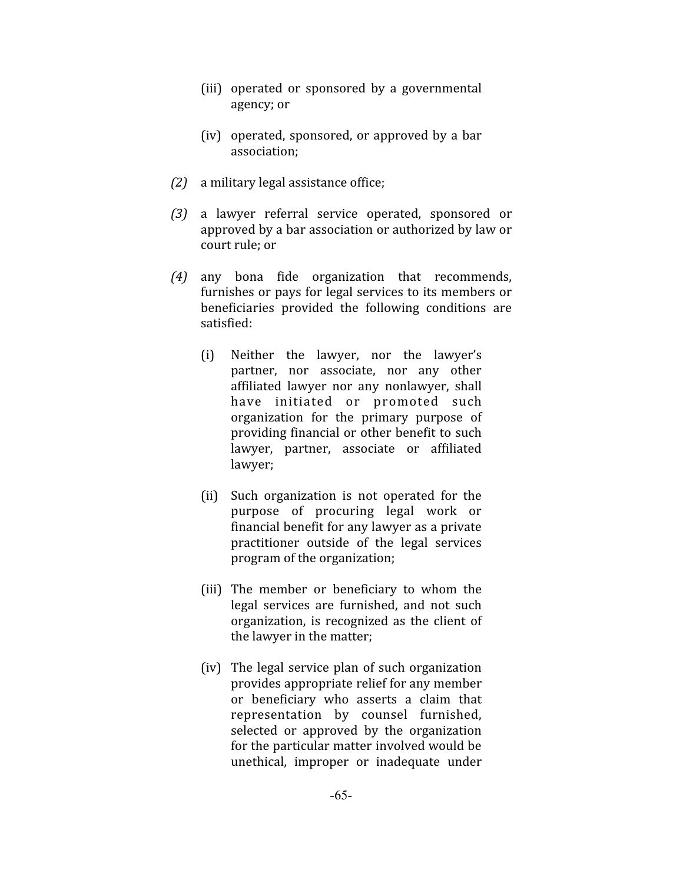- (iii) operated or sponsored by a governmental agency; or
- (iv) operated, sponsored, or approved by a bar association;
- *(2)* a military legal assistance office;
- *(3)* a lawyer referral service operated, sponsored or approved by a bar association or authorized by law or court rule; or
- *(4)* any bona fide organization that recommends, furnishes or pays for legal services to its members or beneficiaries provided the following conditions are satisfied:
	- (i) Neither the lawyer, nor the lawyer's partner, nor associate, nor any other affiliated lawyer nor any nonlawyer, shall have initiated or promoted such organization for the primary purpose of providing financial or other benefit to such lawyer, partner, associate or affiliated lawyer;
	- (ii) Such organization is not operated for the purpose of procuring legal work or financial benefit for any lawyer as a private practitioner outside of the legal services program of the organization;
	- (iii) The member or beneficiary to whom the legal services are furnished, and not such organization, is recognized as the client of the lawyer in the matter;
	- (iv) The legal service plan of such organization provides appropriate relief for any member or beneficiary who asserts a claim that representation by counsel furnished, selected or approved by the organization for the particular matter involved would be unethical, improper or inadequate under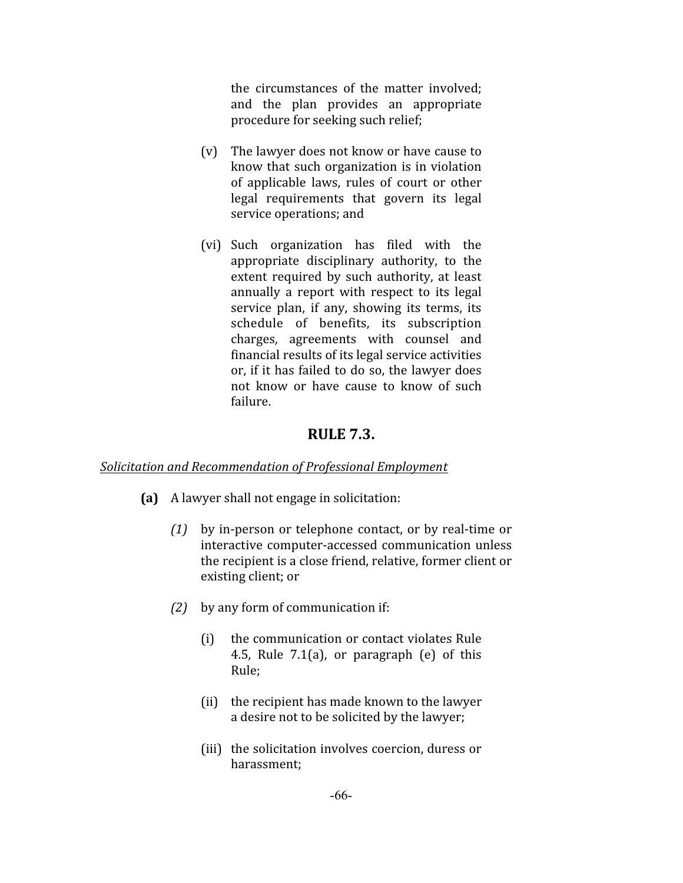the circumstances of the matter involved; and the plan provides an appropriate procedure for seeking such relief;

- (v) The lawyer does not know or have cause to know that such organization is in violation of applicable laws, rules of court or other legal requirements that govern its legal service operations; and
- (vi) Such organization has filed with the appropriate disciplinary authority, to the extent required by such authority, at least annually a report with respect to its legal service plan, if any, showing its terms, its schedule of benefits, its subscription charges, agreements with counsel and financial results of its legal service activities or, if it has failed to do so, the lawyer does not know or have cause to know of such failure.

## **RULE 7.3.**

#### *Solicitation and Recommendation of Professional Employment*

- **(a)** A lawyer shall not engage in solicitation:
	- *(1)* by in-person or telephone contact, or by real-time or interactive computer-accessed communication unless the recipient is a close friend, relative, former client or existing client; or
	- *(2)* by any form of communication if:
		- (i) the communication or contact violates Rule 4.5, Rule 7.1(a), or paragraph (e) of this Rule;
		- (ii) the recipient has made known to the lawyer a desire not to be solicited by the lawyer;
		- (iii) the solicitation involves coercion, duress or harassment;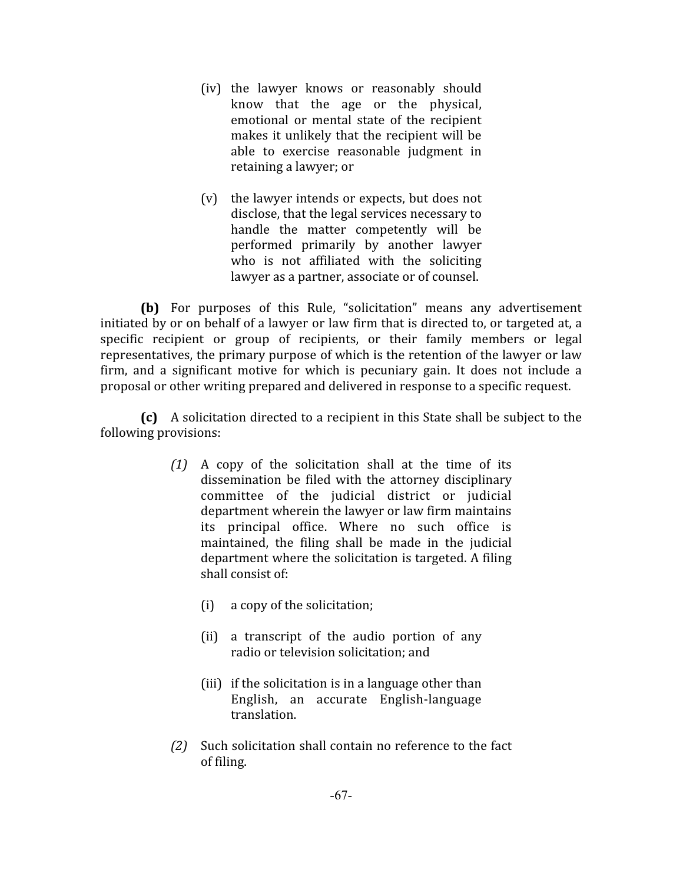- (iv) the lawyer knows or reasonably should know that the age or the physical, emotional or mental state of the recipient makes it unlikely that the recipient will be able to exercise reasonable judgment in retaining a lawyer; or
- (v) the lawyer intends or expects, but does not disclose, that the legal services necessary to handle the matter competently will be performed primarily by another lawyer who is not affiliated with the soliciting lawyer as a partner, associate or of counsel.

**(b)** For purposes of this Rule, "solicitation" means any advertisement initiated by or on behalf of a lawyer or law firm that is directed to, or targeted at, a specific recipient or group of recipients, or their family members or legal representatives, the primary purpose of which is the retention of the lawyer or law firm, and a significant motive for which is pecuniary gain. It does not include a proposal or other writing prepared and delivered in response to a specific request.

**(c)** A solicitation directed to a recipient in this State shall be subject to the following provisions:

- *(1)* A copy of the solicitation shall at the time of its dissemination be filed with the attorney disciplinary committee of the judicial district or judicial department wherein the lawyer or law firm maintains its principal office. Where no such office is maintained, the filing shall be made in the judicial department where the solicitation is targeted. A filing shall consist of:
	- (i) a copy of the solicitation;
	- (ii) a transcript of the audio portion of any radio or television solicitation; and
	- (iii) if the solicitation is in a language other than English, an accurate English-language translation.
- *(2)* Such solicitation shall contain no reference to the fact of filing.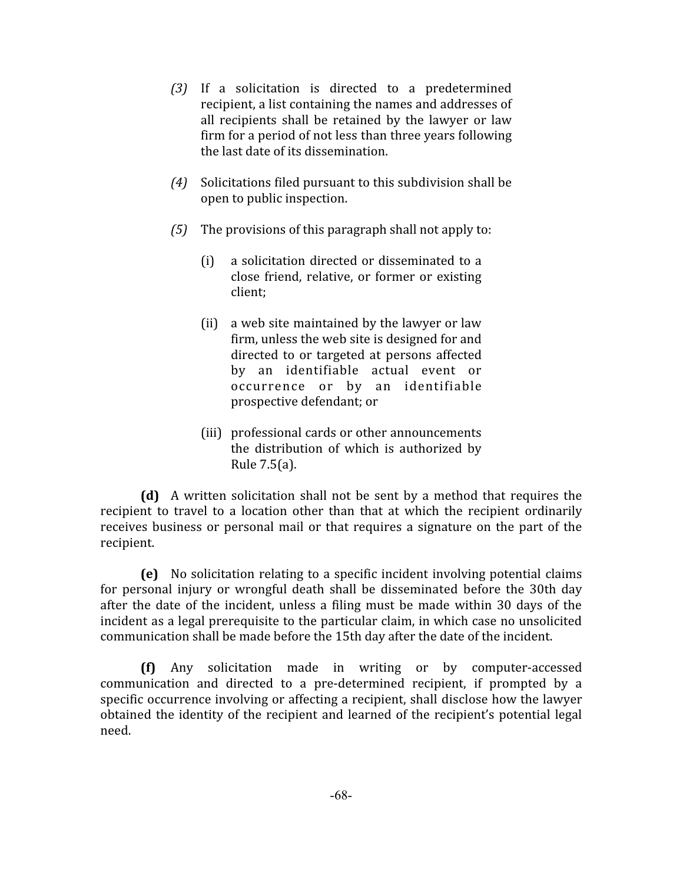- *(3)* If a solicitation is directed to a predetermined recipient, a list containing the names and addresses of all recipients shall be retained by the lawyer or law firm for a period of not less than three years following the last date of its dissemination.
- *(4)* Solicitations filed pursuant to this subdivision shall be open to public inspection.
- *(5)* The provisions of this paragraph shall not apply to:
	- (i) a solicitation directed or disseminated to a close friend, relative, or former or existing client;
	- (ii) a web site maintained by the lawyer or law firm, unless the web site is designed for and directed to or targeted at persons affected by an identifiable actual event or occurrence or by an identifiable prospective defendant; or
	- (iii) professional cards or other announcements the distribution of which is authorized by Rule 7.5(a).

**(d)** A written solicitation shall not be sent by a method that requires the recipient to travel to a location other than that at which the recipient ordinarily receives business or personal mail or that requires a signature on the part of the recipient.

**(e)** No solicitation relating to a specific incident involving potential claims for personal injury or wrongful death shall be disseminated before the 30th day after the date of the incident, unless a filing must be made within 30 days of the incident as a legal prerequisite to the particular claim, in which case no unsolicited communication shall be made before the 15th day after the date of the incident.

**(f)** Any solicitation made in writing or by computer-accessed communication and directed to a pre-determined recipient, if prompted by a specific occurrence involving or affecting a recipient, shall disclose how the lawyer obtained the identity of the recipient and learned of the recipient's potential legal need.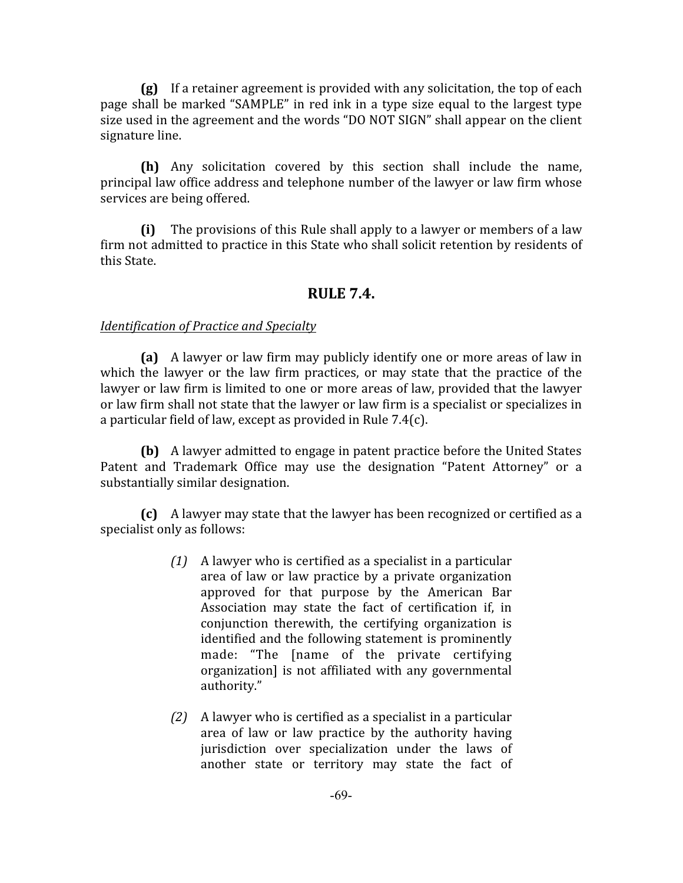**(g)** If a retainer agreement is provided with any solicitation, the top of each page shall be marked "SAMPLE" in red ink in a type size equal to the largest type size used in the agreement and the words "DO NOT SIGN" shall appear on the client signature line.

**(h)** Any solicitation covered by this section shall include the name, principal law office address and telephone number of the lawyer or law firm whose services are being offered.

**(i)** The provisions of this Rule shall apply to a lawyer or members of a law firm not admitted to practice in this State who shall solicit retention by residents of this State.

### **RULE 7.4.**

#### *Identification of Practice and Specialty*

**(a)** A lawyer or law firm may publicly identify one or more areas of law in which the lawyer or the law firm practices, or may state that the practice of the lawyer or law firm is limited to one or more areas of law, provided that the lawyer or law firm shall not state that the lawyer or law firm is a specialist or specializes in a particular field of law, except as provided in Rule 7.4(c).

**(b)** A lawyer admitted to engage in patent practice before the United States Patent and Trademark Office may use the designation "Patent Attorney" or a substantially similar designation.

**(c)** A lawyer may state that the lawyer has been recognized or certified as a specialist only as follows:

- *(1)* A lawyer who is certified as a specialist in a particular area of law or law practice by a private organization approved for that purpose by the American Bar Association may state the fact of certification if, in conjunction therewith, the certifying organization is identified and the following statement is prominently made: "The [name of the private certifying organization] is not affiliated with any governmental authority."
- *(2)* A lawyer who is certified as a specialist in a particular area of law or law practice by the authority having jurisdiction over specialization under the laws of another state or territory may state the fact of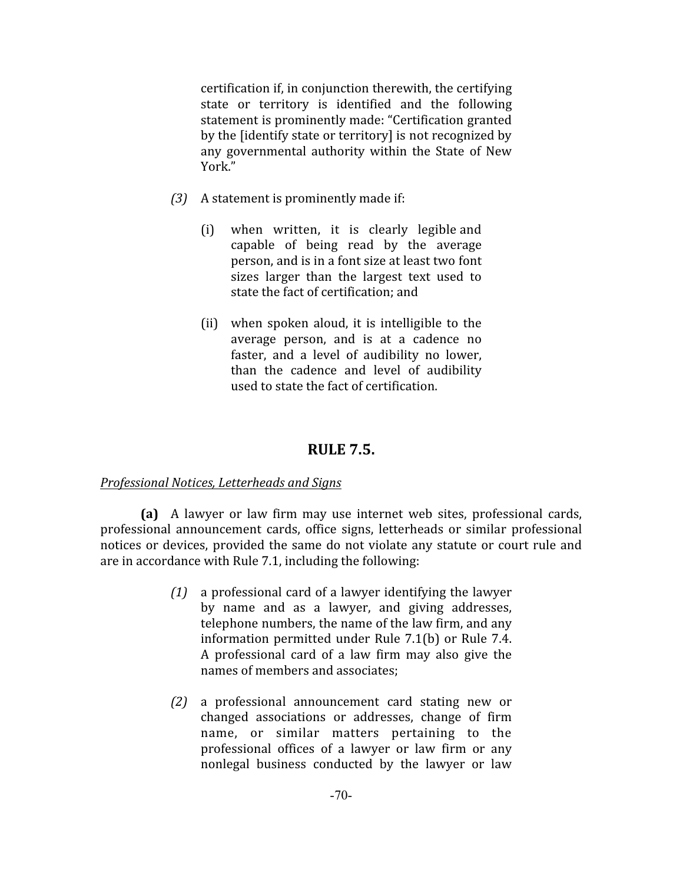certification if, in conjunction therewith, the certifying state or territory is identified and the following statement is prominently made: "Certification granted by the [identify state or territory] is not recognized by any governmental authority within the State of New York."

- *(3)* A statement is prominently made if:
	- (i) when written, it is clearly legible and capable of being read by the average person, and is in a font size at least two font sizes larger than the largest text used to state the fact of certification; and
	- (ii) when spoken aloud, it is intelligible to the average person, and is at a cadence no faster, and a level of audibility no lower, than the cadence and level of audibility used to state the fact of certification.

# **RULE 7.5.**

### *Professional Notices, Letterheads and Signs*

**(a)** A lawyer or law firm may use internet web sites, professional cards, professional announcement cards, office signs, letterheads or similar professional notices or devices, provided the same do not violate any statute or court rule and are in accordance with Rule 7.1, including the following:

- *(1)* a professional card of a lawyer identifying the lawyer by name and as a lawyer, and giving addresses, telephone numbers, the name of the law firm, and any information permitted under Rule 7.1(b) or Rule 7.4. A professional card of a law firm may also give the names of members and associates;
- *(2)* a professional announcement card stating new or changed associations or addresses, change of firm name, or similar matters pertaining to the professional offices of a lawyer or law firm or any nonlegal business conducted by the lawyer or law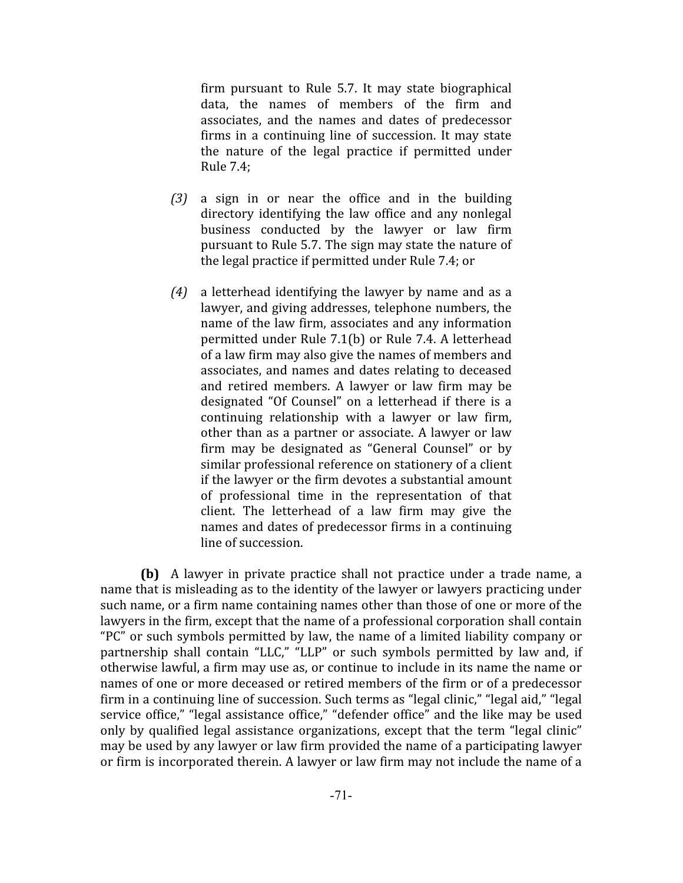firm pursuant to Rule 5.7. It may state biographical data, the names of members of the firm and associates, and the names and dates of predecessor firms in a continuing line of succession. It may state the nature of the legal practice if permitted under Rule 7.4;

- *(3)* a sign in or near the office and in the building directory identifying the law office and any nonlegal business conducted by the lawyer or law firm pursuant to Rule 5.7. The sign may state the nature of the legal practice if permitted under Rule 7.4; or
- *(4)* a letterhead identifying the lawyer by name and as a lawyer, and giving addresses, telephone numbers, the name of the law firm, associates and any information permitted under Rule 7.1(b) or Rule 7.4. A letterhead of a law firm may also give the names of members and associates, and names and dates relating to deceased and retired members. A lawyer or law firm may be designated "Of Counsel" on a letterhead if there is a continuing relationship with a lawyer or law firm, other than as a partner or associate. A lawyer or law firm may be designated as "General Counsel" or by similar professional reference on stationery of a client if the lawyer or the firm devotes a substantial amount of professional time in the representation of that client. The letterhead of a law firm may give the names and dates of predecessor firms in a continuing line of succession.

**(b)** A lawyer in private practice shall not practice under a trade name, a name that is misleading as to the identity of the lawyer or lawyers practicing under such name, or a firm name containing names other than those of one or more of the lawyers in the firm, except that the name of a professional corporation shall contain "PC" or such symbols permitted by law, the name of a limited liability company or partnership shall contain "LLC," "LLP" or such symbols permitted by law and, if otherwise lawful, a firm may use as, or continue to include in its name the name or names of one or more deceased or retired members of the firm or of a predecessor firm in a continuing line of succession. Such terms as "legal clinic," "legal aid," "legal service office," "legal assistance office," "defender office" and the like may be used only by qualified legal assistance organizations, except that the term "legal clinic" may be used by any lawyer or law firm provided the name of a participating lawyer or firm is incorporated therein. A lawyer or law firm may not include the name of a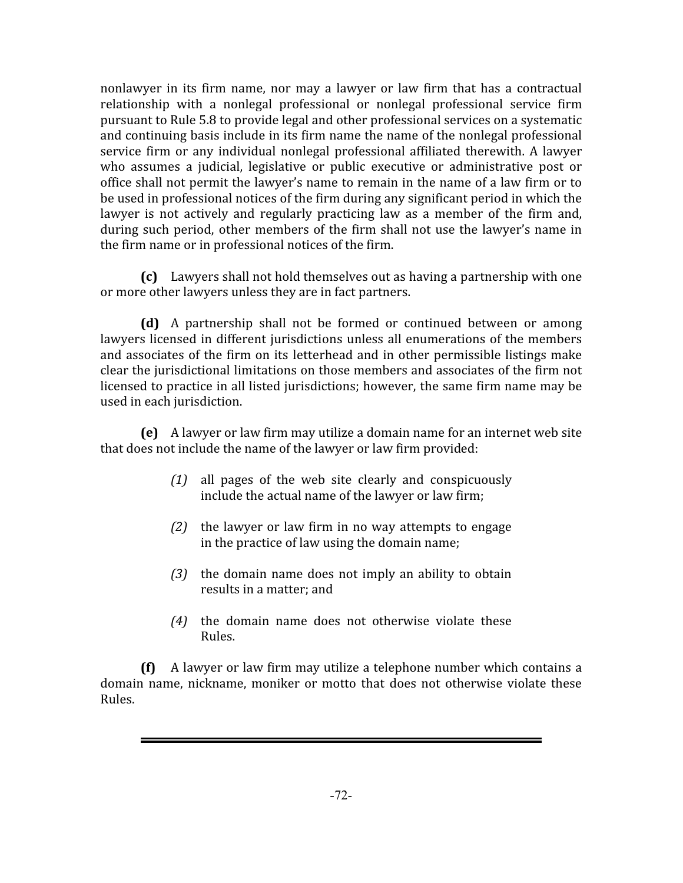nonlawyer in its firm name, nor may a lawyer or law firm that has a contractual relationship with a nonlegal professional or nonlegal professional service firm pursuant to Rule 5.8 to provide legal and other professional services on a systematic and continuing basis include in its firm name the name of the nonlegal professional service firm or any individual nonlegal professional affiliated therewith. A lawyer who assumes a judicial, legislative or public executive or administrative post or office shall not permit the lawyer's name to remain in the name of a law firm or to be used in professional notices of the firm during any significant period in which the lawyer is not actively and regularly practicing law as a member of the firm and, during such period, other members of the firm shall not use the lawyer's name in the firm name or in professional notices of the firm.

**(c)** Lawyers shall not hold themselves out as having a partnership with one or more other lawyers unless they are in fact partners.

**(d)** A partnership shall not be formed or continued between or among lawyers licensed in different jurisdictions unless all enumerations of the members and associates of the firm on its letterhead and in other permissible listings make clear the jurisdictional limitations on those members and associates of the firm not licensed to practice in all listed jurisdictions; however, the same firm name may be used in each jurisdiction.

**(e)** A lawyer or law firm may utilize a domain name for an internet web site that does not include the name of the lawyer or law firm provided:

- *(1)* all pages of the web site clearly and conspicuously include the actual name of the lawyer or law firm;
- *(2)* the lawyer or law firm in no way attempts to engage in the practice of law using the domain name;
- *(3)* the domain name does not imply an ability to obtain results in a matter; and
- *(4)* the domain name does not otherwise violate these Rules.

**(f)** A lawyer or law firm may utilize a telephone number which contains a domain name, nickname, moniker or motto that does not otherwise violate these Rules.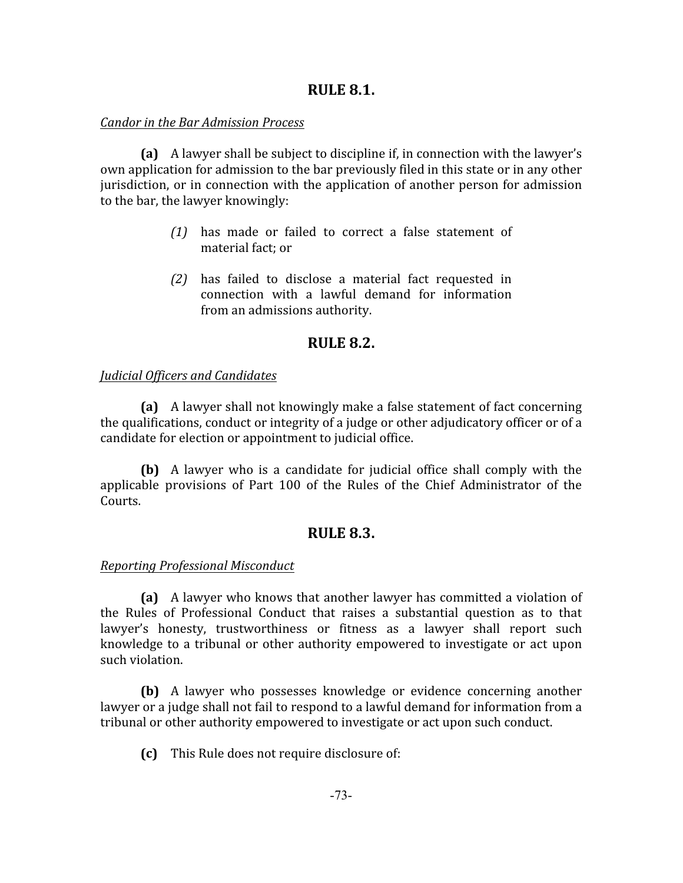### **RULE 8.1.**

#### *Candor in the Bar Admission Process*

**(a)** A lawyer shall be subject to discipline if, in connection with the lawyer's own application for admission to the bar previously filed in this state or in any other jurisdiction, or in connection with the application of another person for admission to the bar, the lawyer knowingly:

- *(1)* has made or failed to correct a false statement of material fact; or
- *(2)* has failed to disclose a material fact requested in connection with a lawful demand for information from an admissions authority.

## **RULE 8.2.**

#### *Judicial Officers and Candidates*

**(a)** A lawyer shall not knowingly make a false statement of fact concerning the qualifications, conduct or integrity of a judge or other adjudicatory officer or of a candidate for election or appointment to judicial office.

**(b)** A lawyer who is a candidate for judicial office shall comply with the applicable provisions of Part 100 of the Rules of the Chief Administrator of the Courts.

## **RULE 8.3.**

#### *Reporting Professional Misconduct*

**(a)** A lawyer who knows that another lawyer has committed a violation of the Rules of Professional Conduct that raises a substantial question as to that lawyer's honesty, trustworthiness or fitness as a lawyer shall report such knowledge to a tribunal or other authority empowered to investigate or act upon such violation.

**(b)** A lawyer who possesses knowledge or evidence concerning another lawyer or a judge shall not fail to respond to a lawful demand for information from a tribunal or other authority empowered to investigate or act upon such conduct.

**(c)** This Rule does not require disclosure of: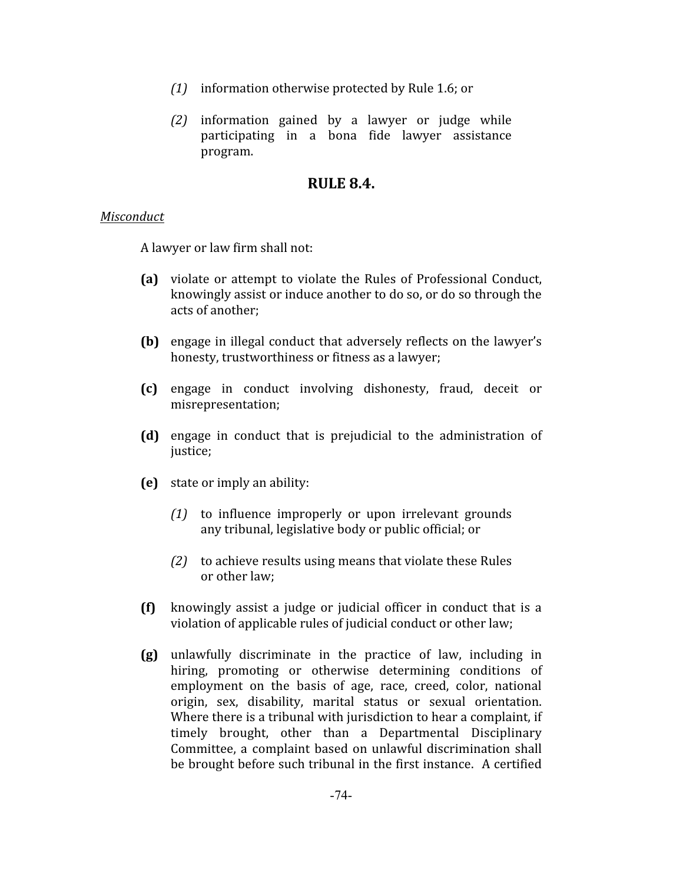- *(1)* information otherwise protected by Rule 1.6; or
- *(2)* information gained by a lawyer or judge while participating in a bona fide lawyer assistance program.

### **RULE 8.4.**

#### *Misconduct*

A lawyer or law firm shall not:

- **(a)** violate or attempt to violate the Rules of Professional Conduct, knowingly assist or induce another to do so, or do so through the acts of another;
- **(b)** engage in illegal conduct that adversely reflects on the lawyer's honesty, trustworthiness or fitness as a lawyer;
- **(c)** engage in conduct involving dishonesty, fraud, deceit or misrepresentation;
- **(d)** engage in conduct that is prejudicial to the administration of justice;
- **(e)** state or imply an ability:
	- *(1)* to influence improperly or upon irrelevant grounds any tribunal, legislative body or public official; or
	- *(2)* to achieve results using means that violate these Rules or other law;
- **(f)** knowingly assist a judge or judicial officer in conduct that is a violation of applicable rules of judicial conduct or other law;
- **(g)** unlawfully discriminate in the practice of law, including in hiring, promoting or otherwise determining conditions of employment on the basis of age, race, creed, color, national origin, sex, disability, marital status or sexual orientation. Where there is a tribunal with jurisdiction to hear a complaint, if timely brought, other than a Departmental Disciplinary Committee, a complaint based on unlawful discrimination shall be brought before such tribunal in the first instance. A certified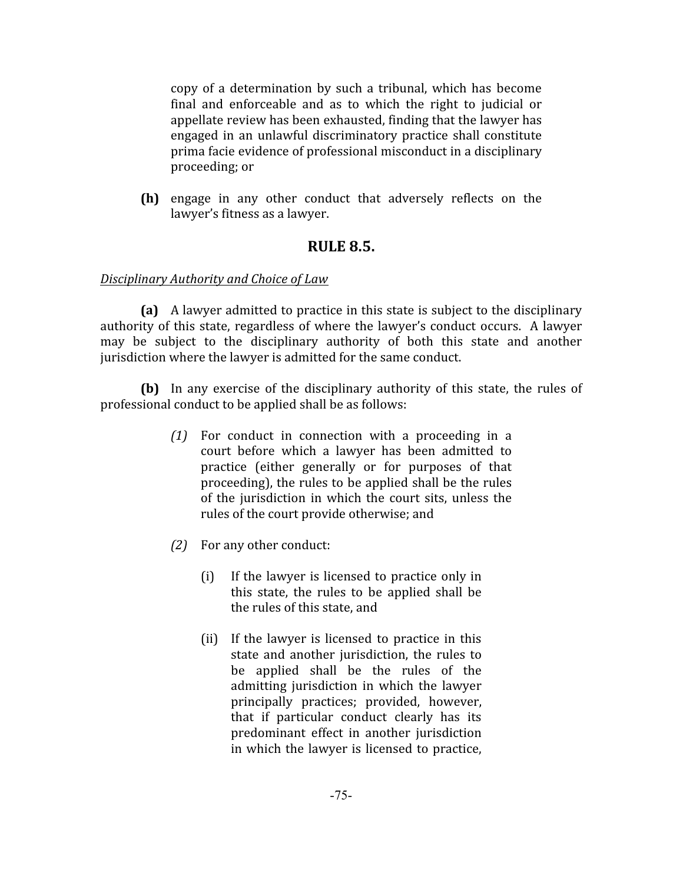copy of a determination by such a tribunal, which has become final and enforceable and as to which the right to judicial or appellate review has been exhausted, finding that the lawyer has engaged in an unlawful discriminatory practice shall constitute prima facie evidence of professional misconduct in a disciplinary proceeding; or

**(h)** engage in any other conduct that adversely reflects on the lawyer's fitness as a lawyer.

# **RULE 8.5.**

## *Disciplinary Authority and Choice of Law*

**(a)** A lawyer admitted to practice in this state is subject to the disciplinary authority of this state, regardless of where the lawyer's conduct occurs. A lawyer may be subject to the disciplinary authority of both this state and another jurisdiction where the lawyer is admitted for the same conduct.

**(b)** In any exercise of the disciplinary authority of this state, the rules of professional conduct to be applied shall be as follows:

- *(1)* For conduct in connection with a proceeding in a court before which a lawyer has been admitted to practice (either generally or for purposes of that proceeding), the rules to be applied shall be the rules of the jurisdiction in which the court sits, unless the rules of the court provide otherwise; and
- *(2)* For any other conduct:
	- (i) If the lawyer is licensed to practice only in this state, the rules to be applied shall be the rules of this state, and
	- (ii) If the lawyer is licensed to practice in this state and another jurisdiction, the rules to be applied shall be the rules of the admitting jurisdiction in which the lawyer principally practices; provided, however, that if particular conduct clearly has its predominant effect in another jurisdiction in which the lawyer is licensed to practice,